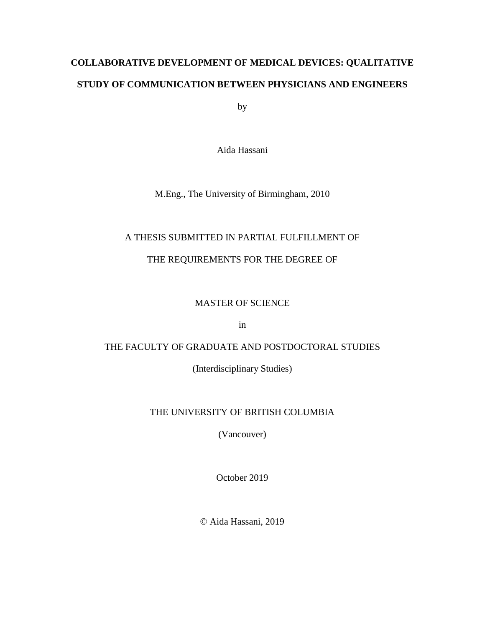# **COLLABORATIVE DEVELOPMENT OF MEDICAL DEVICES: QUALITATIVE STUDY OF COMMUNICATION BETWEEN PHYSICIANS AND ENGINEERS**

by

Aida Hassani

M.Eng., The University of Birmingham, 2010

## A THESIS SUBMITTED IN PARTIAL FULFILLMENT OF

## THE REQUIREMENTS FOR THE DEGREE OF

## MASTER OF SCIENCE

in

## THE FACULTY OF GRADUATE AND POSTDOCTORAL STUDIES

(Interdisciplinary Studies)

## THE UNIVERSITY OF BRITISH COLUMBIA

(Vancouver)

October 2019

© Aida Hassani, 2019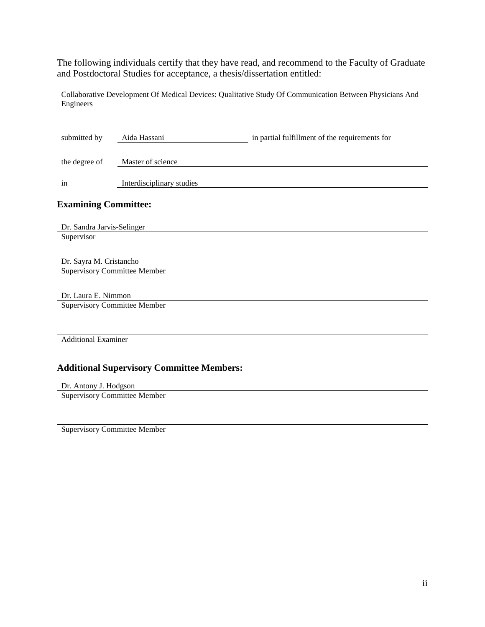The following individuals certify that they have read, and recommend to the Faculty of Graduate and Postdoctoral Studies for acceptance, a thesis/dissertation entitled:

Collaborative Development Of Medical Devices: Qualitative Study Of Communication Between Physicians And Engineers

| submitted by                        | Aida Hassani                                     | in partial fulfillment of the requirements for |
|-------------------------------------|--------------------------------------------------|------------------------------------------------|
| the degree of                       | Master of science                                |                                                |
| in                                  | Interdisciplinary studies                        |                                                |
| <b>Examining Committee:</b>         |                                                  |                                                |
| Dr. Sandra Jarvis-Selinger          |                                                  |                                                |
| Supervisor                          |                                                  |                                                |
|                                     |                                                  |                                                |
| Dr. Sayra M. Cristancho             |                                                  |                                                |
| <b>Supervisory Committee Member</b> |                                                  |                                                |
|                                     |                                                  |                                                |
| Dr. Laura E. Nimmon                 |                                                  |                                                |
| <b>Supervisory Committee Member</b> |                                                  |                                                |
|                                     |                                                  |                                                |
|                                     |                                                  |                                                |
| <b>Additional Examiner</b>          |                                                  |                                                |
|                                     |                                                  |                                                |
|                                     | <b>Additional Supervisory Committee Members:</b> |                                                |
| Dr. Antony J. Hodgson               |                                                  |                                                |

Supervisory Committee Member

Supervisory Committee Member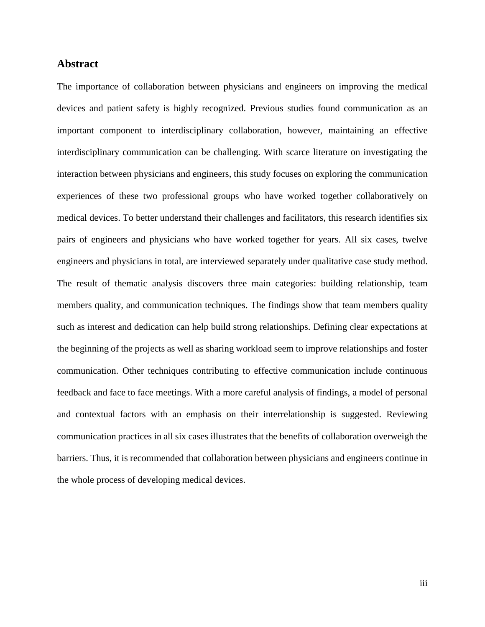#### **Abstract**

The importance of collaboration between physicians and engineers on improving the medical devices and patient safety is highly recognized. Previous studies found communication as an important component to interdisciplinary collaboration, however, maintaining an effective interdisciplinary communication can be challenging. With scarce literature on investigating the interaction between physicians and engineers, this study focuses on exploring the communication experiences of these two professional groups who have worked together collaboratively on medical devices. To better understand their challenges and facilitators, this research identifies six pairs of engineers and physicians who have worked together for years. All six cases, twelve engineers and physicians in total, are interviewed separately under qualitative case study method. The result of thematic analysis discovers three main categories: building relationship, team members quality, and communication techniques. The findings show that team members quality such as interest and dedication can help build strong relationships. Defining clear expectations at the beginning of the projects as well as sharing workload seem to improve relationships and foster communication. Other techniques contributing to effective communication include continuous feedback and face to face meetings. With a more careful analysis of findings, a model of personal and contextual factors with an emphasis on their interrelationship is suggested. Reviewing communication practices in all six cases illustrates that the benefits of collaboration overweigh the barriers. Thus, it is recommended that collaboration between physicians and engineers continue in the whole process of developing medical devices.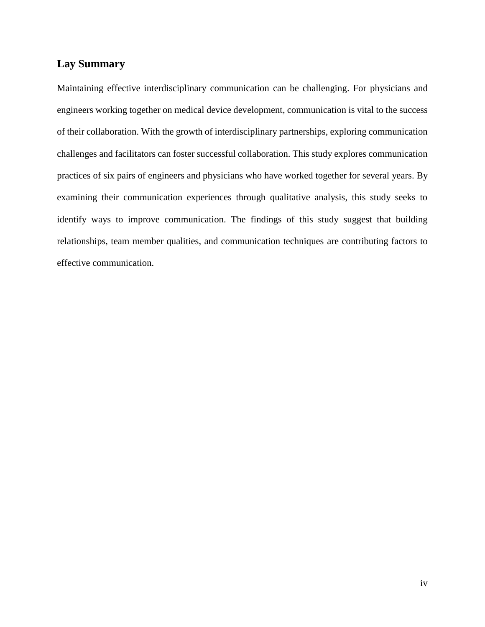## **Lay Summary**

Maintaining effective interdisciplinary communication can be challenging. For physicians and engineers working together on medical device development, communication is vital to the success of their collaboration. With the growth of interdisciplinary partnerships, exploring communication challenges and facilitators can foster successful collaboration. This study explores communication practices of six pairs of engineers and physicians who have worked together for several years. By examining their communication experiences through qualitative analysis, this study seeks to identify ways to improve communication. The findings of this study suggest that building relationships, team member qualities, and communication techniques are contributing factors to effective communication.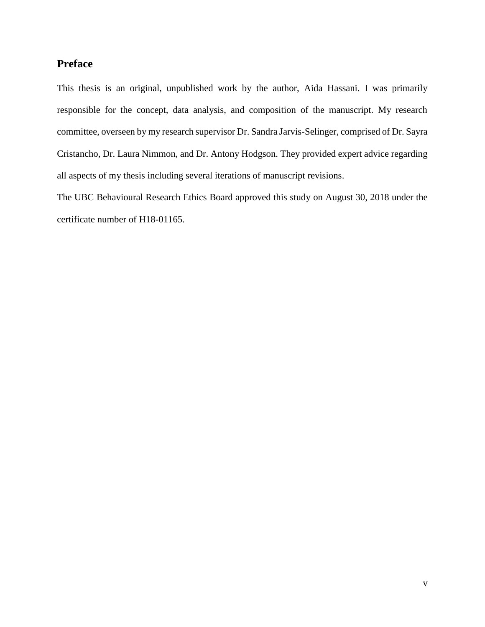## **Preface**

This thesis is an original, unpublished work by the author, Aida Hassani. I was primarily responsible for the concept, data analysis, and composition of the manuscript. My research committee, overseen by my research supervisor Dr. Sandra Jarvis-Selinger, comprised of Dr. Sayra Cristancho, Dr. Laura Nimmon, and Dr. Antony Hodgson. They provided expert advice regarding all aspects of my thesis including several iterations of manuscript revisions.

The UBC Behavioural Research Ethics Board approved this study on August 30, 2018 under the certificate number of H18-01165.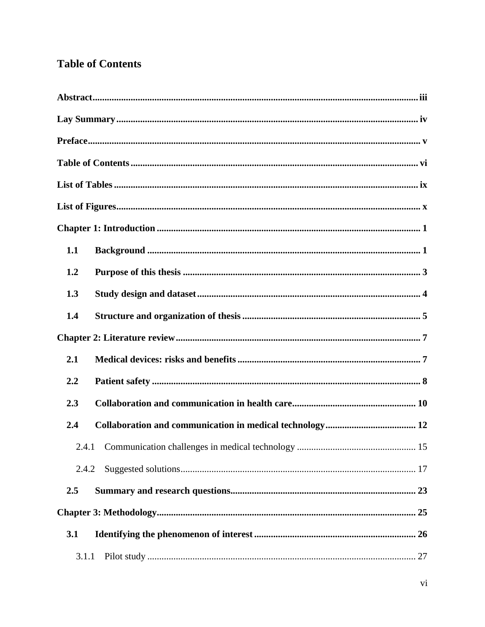## **Table of Contents**

| 1.1   |  |
|-------|--|
| 1.2   |  |
| 1.3   |  |
| 1.4   |  |
|       |  |
| 2.1   |  |
| 2.2   |  |
| 2.3   |  |
| 2.4   |  |
|       |  |
| 2.4.2 |  |
| 2.5   |  |
|       |  |
| 3.1   |  |
| 3.1.1 |  |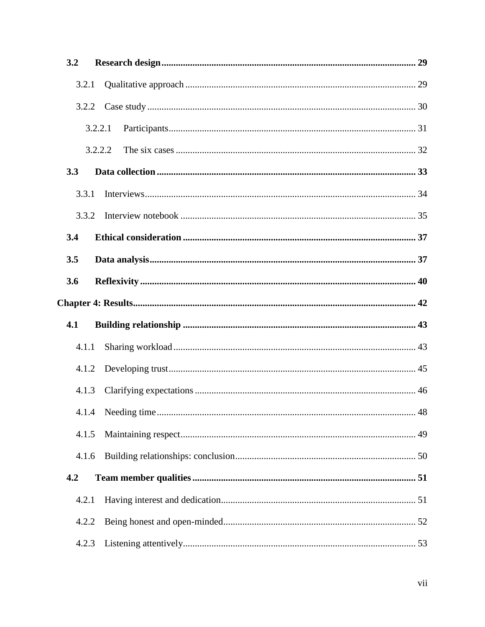| 3.2 |         |  |
|-----|---------|--|
|     | 3.2.1   |  |
|     | 3.2.2   |  |
|     | 3.2.2.1 |  |
|     | 3.2.2.2 |  |
| 3.3 |         |  |
|     | 3.3.1   |  |
|     | 3.3.2   |  |
| 3.4 |         |  |
| 3.5 |         |  |
| 3.6 |         |  |
|     |         |  |
| 4.1 |         |  |
|     | 4.1.1   |  |
|     | 4.1.2   |  |
|     | 4.1.3   |  |
|     |         |  |
|     | 4.1.5   |  |
|     | 4.1.6   |  |
| 4.2 |         |  |
|     | 4.2.1   |  |
|     | 4.2.2   |  |
|     | 4.2.3   |  |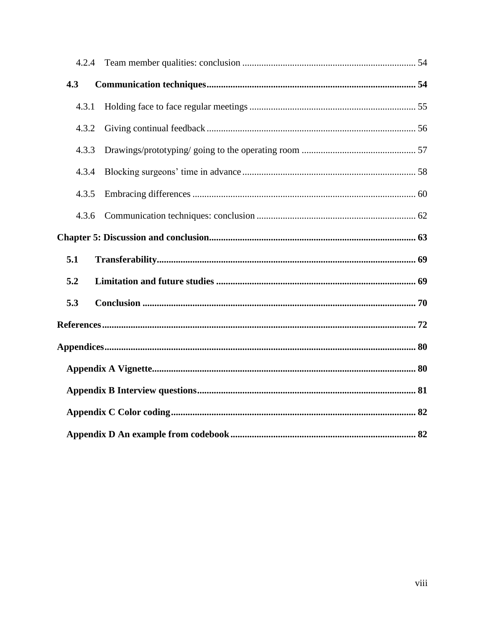| 4.3   |  |
|-------|--|
| 4.3.1 |  |
| 4.3.2 |  |
| 4.3.3 |  |
| 4.3.4 |  |
| 4.3.5 |  |
| 4.3.6 |  |
|       |  |
| 5.1   |  |
| 5.2   |  |
| 5.3   |  |
|       |  |
|       |  |
|       |  |
|       |  |
|       |  |
|       |  |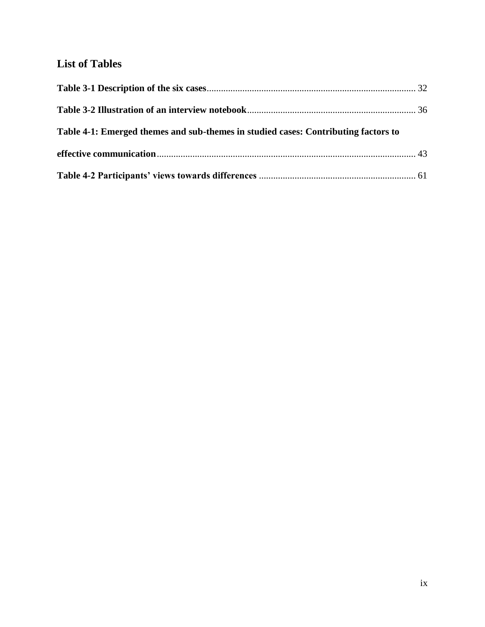## **List of Tables**

| Table 4-1: Emerged themes and sub-themes in studied cases: Contributing factors to |  |
|------------------------------------------------------------------------------------|--|
|                                                                                    |  |
|                                                                                    |  |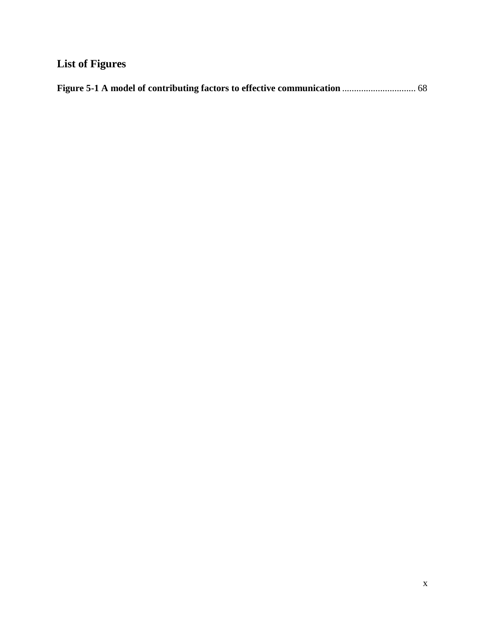# **List of Figures**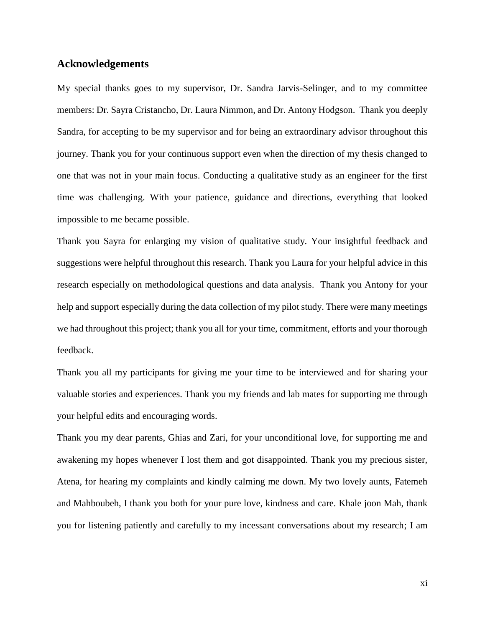#### **Acknowledgements**

My special thanks goes to my supervisor, Dr. Sandra Jarvis-Selinger, and to my committee members: Dr. Sayra Cristancho, Dr. Laura Nimmon, and Dr. Antony Hodgson. Thank you deeply Sandra, for accepting to be my supervisor and for being an extraordinary advisor throughout this journey. Thank you for your continuous support even when the direction of my thesis changed to one that was not in your main focus. Conducting a qualitative study as an engineer for the first time was challenging. With your patience, guidance and directions, everything that looked impossible to me became possible.

Thank you Sayra for enlarging my vision of qualitative study. Your insightful feedback and suggestions were helpful throughout this research. Thank you Laura for your helpful advice in this research especially on methodological questions and data analysis. Thank you Antony for your help and support especially during the data collection of my pilot study. There were many meetings we had throughout this project; thank you all for your time, commitment, efforts and your thorough feedback.

Thank you all my participants for giving me your time to be interviewed and for sharing your valuable stories and experiences. Thank you my friends and lab mates for supporting me through your helpful edits and encouraging words.

Thank you my dear parents, Ghias and Zari, for your unconditional love, for supporting me and awakening my hopes whenever I lost them and got disappointed. Thank you my precious sister, Atena, for hearing my complaints and kindly calming me down. My two lovely aunts, Fatemeh and Mahboubeh, I thank you both for your pure love, kindness and care. Khale joon Mah, thank you for listening patiently and carefully to my incessant conversations about my research; I am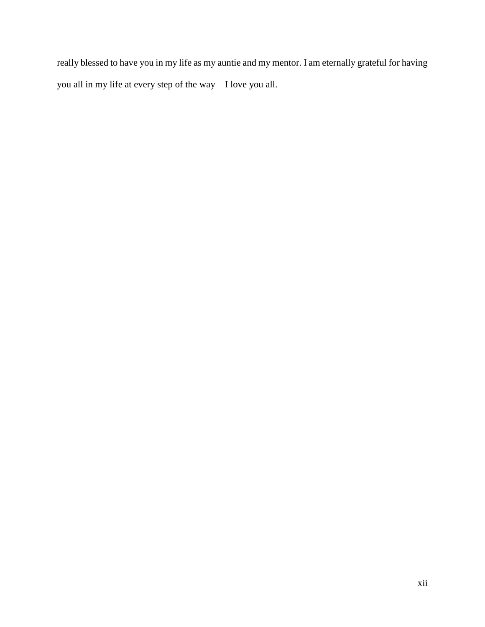really blessed to have you in my life as my auntie and my mentor. I am eternally grateful for having you all in my life at every step of the way—I love you all.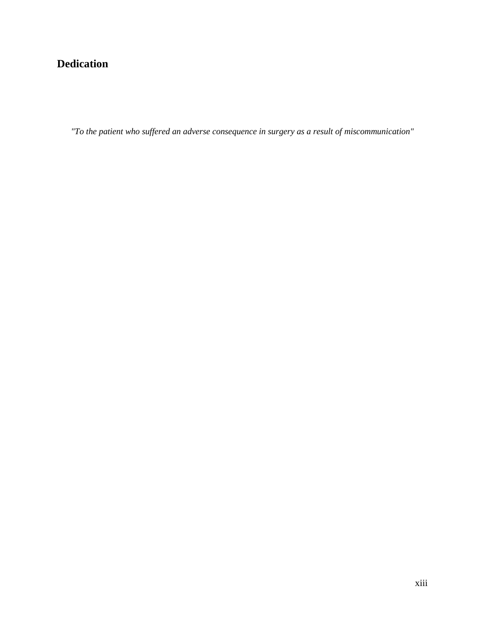## **Dedication**

*"To the patient who suffered an adverse consequence in surgery as a result of miscommunication"*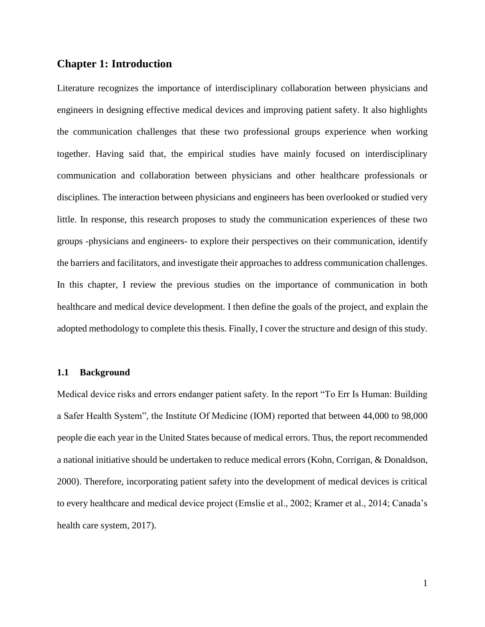#### **Chapter 1: Introduction**

Literature recognizes the importance of interdisciplinary collaboration between physicians and engineers in designing effective medical devices and improving patient safety. It also highlights the communication challenges that these two professional groups experience when working together. Having said that, the empirical studies have mainly focused on interdisciplinary communication and collaboration between physicians and other healthcare professionals or disciplines. The interaction between physicians and engineers has been overlooked or studied very little. In response, this research proposes to study the communication experiences of these two groups -physicians and engineers- to explore their perspectives on their communication, identify the barriers and facilitators, and investigate their approaches to address communication challenges. In this chapter, I review the previous studies on the importance of communication in both healthcare and medical device development. I then define the goals of the project, and explain the adopted methodology to complete this thesis. Finally, I cover the structure and design of this study.

#### **1.1 Background**

Medical device risks and errors endanger patient safety. In the report "To Err Is Human: Building a Safer Health System", the Institute Of Medicine (IOM) reported that between 44,000 to 98,000 people die each year in the United States because of medical errors. Thus, the report recommended a national initiative should be undertaken to reduce medical errors (Kohn, Corrigan, & Donaldson, 2000). Therefore, incorporating patient safety into the development of medical devices is critical to every healthcare and medical device project (Emslie et al., 2002; Kramer et al., 2014; Canada's health care system, 2017).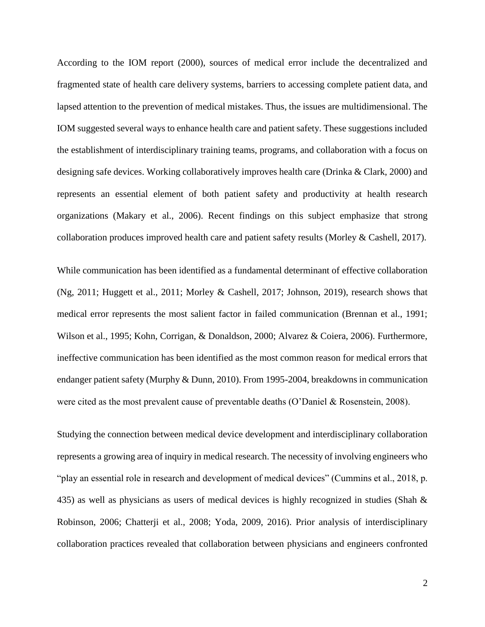According to the IOM report (2000), sources of medical error include the decentralized and fragmented state of health care delivery systems, barriers to accessing complete patient data, and lapsed attention to the prevention of medical mistakes. Thus, the issues are multidimensional. The IOM suggested several ways to enhance health care and patient safety. These suggestions included the establishment of interdisciplinary training teams, programs, and collaboration with a focus on designing safe devices. Working collaboratively improves health care (Drinka & Clark, 2000) and represents an essential element of both patient safety and productivity at health research organizations (Makary et al., 2006). Recent findings on this subject emphasize that strong collaboration produces improved health care and patient safety results (Morley & Cashell, 2017).

While communication has been identified as a fundamental determinant of effective collaboration (Ng, 2011; Huggett et al., 2011; Morley & Cashell, 2017; Johnson, 2019), research shows that medical error represents the most salient factor in failed communication (Brennan et al., 1991; Wilson et al., 1995; Kohn, Corrigan, & Donaldson, 2000; Alvarez & Coiera, 2006). Furthermore, ineffective communication has been identified as the most common reason for medical errors that endanger patient safety (Murphy & Dunn, 2010). From 1995-2004, breakdowns in communication were cited as the most prevalent cause of preventable deaths (O'Daniel & Rosenstein, 2008).

Studying the connection between medical device development and interdisciplinary collaboration represents a growing area of inquiry in medical research. The necessity of involving engineers who "play an essential role in research and development of medical devices" (Cummins et al., 2018, p. 435) as well as physicians as users of medical devices is highly recognized in studies (Shah  $\&$ Robinson, 2006; Chatterji et al., 2008; Yoda, 2009, 2016). Prior analysis of interdisciplinary collaboration practices revealed that collaboration between physicians and engineers confronted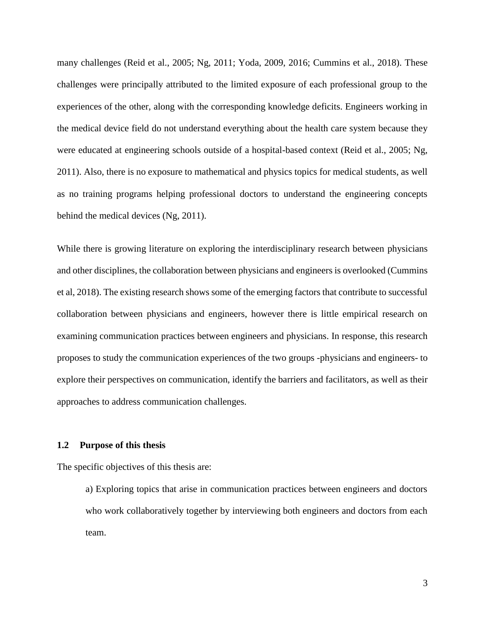many challenges (Reid et al., 2005; Ng, 2011; Yoda, 2009, 2016; Cummins et al., 2018). These challenges were principally attributed to the limited exposure of each professional group to the experiences of the other, along with the corresponding knowledge deficits. Engineers working in the medical device field do not understand everything about the health care system because they were educated at engineering schools outside of a hospital-based context (Reid et al., 2005; Ng, 2011). Also, there is no exposure to mathematical and physics topics for medical students, as well as no training programs helping professional doctors to understand the engineering concepts behind the medical devices (Ng, 2011).

While there is growing literature on exploring the interdisciplinary research between physicians and other disciplines, the collaboration between physicians and engineers is overlooked (Cummins et al, 2018). The existing research shows some of the emerging factors that contribute to successful collaboration between physicians and engineers, however there is little empirical research on examining communication practices between engineers and physicians. In response, this research proposes to study the communication experiences of the two groups -physicians and engineers- to explore their perspectives on communication, identify the barriers and facilitators, as well as their approaches to address communication challenges.

#### **1.2 Purpose of this thesis**

The specific objectives of this thesis are:

a) Exploring topics that arise in communication practices between engineers and doctors who work collaboratively together by interviewing both engineers and doctors from each team.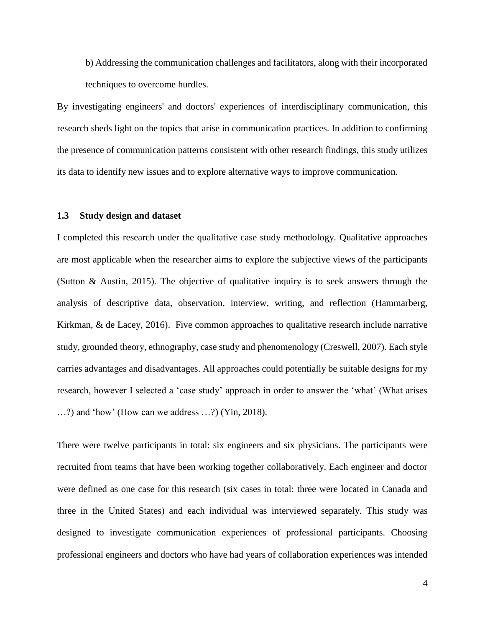b) Addressing the communication challenges and facilitators, along with their incorporated techniques to overcome hurdles.

By investigating engineers' and doctors' experiences of interdisciplinary communication, this research sheds light on the topics that arise in communication practices. In addition to confirming the presence of communication patterns consistent with other research findings, this study utilizes its data to identify new issues and to explore alternative ways to improve communication.

#### **1.3 Study design and dataset**

I completed this research under the qualitative case study methodology. Qualitative approaches are most applicable when the researcher aims to explore the subjective views of the participants (Sutton & Austin, 2015). The objective of qualitative inquiry is to seek answers through the analysis of descriptive data, observation, interview, writing, and reflection (Hammarberg, Kirkman,  $\&$  de Lacey, 2016). Five common approaches to qualitative research include narrative study, grounded theory, ethnography, case study and phenomenology (Creswell, 2007). Each style carries advantages and disadvantages. All approaches could potentially be suitable designs for my research, however I selected a 'case study' approach in order to answer the 'what' (What arises …?) and 'how' (How can we address …?) (Yin, 2018).

There were twelve participants in total: six engineers and six physicians. The participants were recruited from teams that have been working together collaboratively. Each engineer and doctor were defined as one case for this research (six cases in total: three were located in Canada and three in the United States) and each individual was interviewed separately. This study was designed to investigate communication experiences of professional participants. Choosing professional engineers and doctors who have had years of collaboration experiences was intended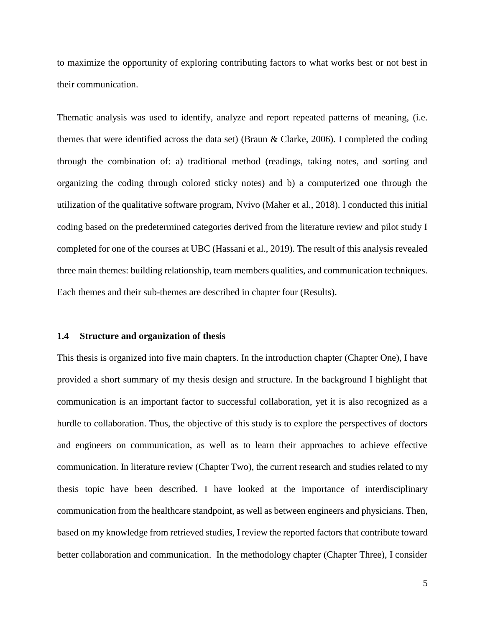to maximize the opportunity of exploring contributing factors to what works best or not best in their communication.

Thematic analysis was used to identify, analyze and report repeated patterns of meaning, (i.e. themes that were identified across the data set) (Braun & Clarke, 2006). I completed the coding through the combination of: a) traditional method (readings, taking notes, and sorting and organizing the coding through colored sticky notes) and b) a computerized one through the utilization of the qualitative software program, Nvivo (Maher et al., 2018). I conducted this initial coding based on the predetermined categories derived from the literature review and pilot study I completed for one of the courses at UBC (Hassani et al., 2019). The result of this analysis revealed three main themes: building relationship, team members qualities, and communication techniques. Each themes and their sub-themes are described in chapter four (Results).

#### **1.4 Structure and organization of thesis**

This thesis is organized into five main chapters. In the introduction chapter (Chapter One), I have provided a short summary of my thesis design and structure. In the background I highlight that communication is an important factor to successful collaboration, yet it is also recognized as a hurdle to collaboration. Thus, the objective of this study is to explore the perspectives of doctors and engineers on communication, as well as to learn their approaches to achieve effective communication. In literature review (Chapter Two), the current research and studies related to my thesis topic have been described. I have looked at the importance of interdisciplinary communication from the healthcare standpoint, as well as between engineers and physicians. Then, based on my knowledge from retrieved studies, I review the reported factors that contribute toward better collaboration and communication. In the methodology chapter (Chapter Three), I consider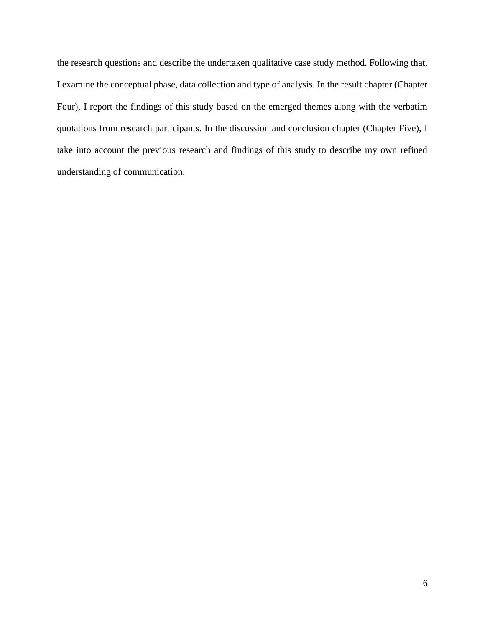the research questions and describe the undertaken qualitative case study method. Following that, I examine the conceptual phase, data collection and type of analysis. In the result chapter (Chapter Four), I report the findings of this study based on the emerged themes along with the verbatim quotations from research participants. In the discussion and conclusion chapter (Chapter Five), I take into account the previous research and findings of this study to describe my own refined understanding of communication.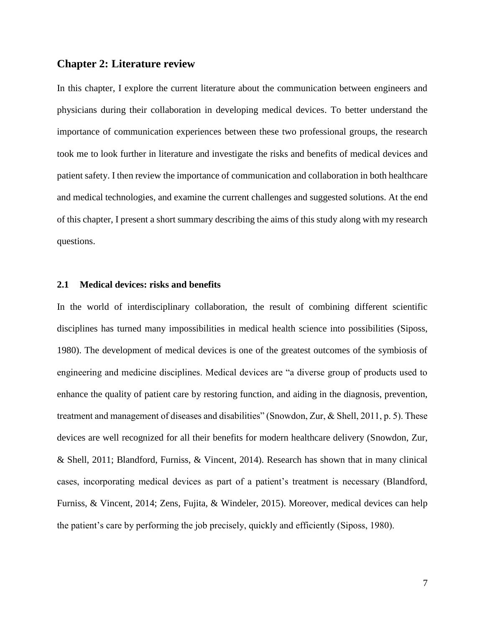#### **Chapter 2: Literature review**

In this chapter, I explore the current literature about the communication between engineers and physicians during their collaboration in developing medical devices. To better understand the importance of communication experiences between these two professional groups, the research took me to look further in literature and investigate the risks and benefits of medical devices and patient safety. I then review the importance of communication and collaboration in both healthcare and medical technologies, and examine the current challenges and suggested solutions. At the end of this chapter, I present a short summary describing the aims of this study along with my research questions.

#### **2.1 Medical devices: risks and benefits**

In the world of interdisciplinary collaboration, the result of combining different scientific disciplines has turned many impossibilities in medical health science into possibilities (Siposs, 1980). The development of medical devices is one of the greatest outcomes of the symbiosis of engineering and medicine disciplines. Medical devices are "a diverse group of products used to enhance the quality of patient care by restoring function, and aiding in the diagnosis, prevention, treatment and management of diseases and disabilities" (Snowdon, Zur, & Shell, 2011, p. 5). These devices are well recognized for all their benefits for modern healthcare delivery (Snowdon, Zur, & Shell, 2011; Blandford, Furniss, & Vincent, 2014). Research has shown that in many clinical cases, incorporating medical devices as part of a patient's treatment is necessary (Blandford, Furniss, & Vincent, 2014; Zens, Fujita, & Windeler, 2015). Moreover, medical devices can help the patient's care by performing the job precisely, quickly and efficiently (Siposs, 1980).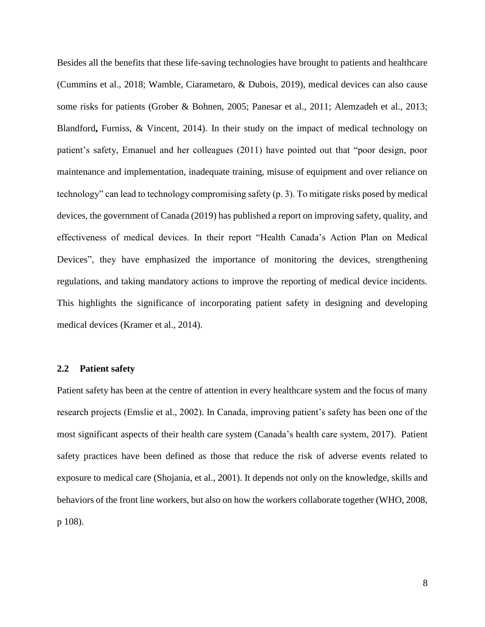Besides all the benefits that these life-saving technologies have brought to patients and healthcare (Cummins et al., 2018; Wamble, Ciarametaro, & Dubois, 2019), medical devices can also cause some risks for patients (Grober & Bohnen, 2005; Panesar et al., 2011; Alemzadeh et al., 2013; Blandford**,** Furniss, & Vincent, 2014). In their study on the impact of medical technology on patient's safety, Emanuel and her colleagues (2011) have pointed out that "poor design, poor maintenance and implementation, inadequate training, misuse of equipment and over reliance on technology" can lead to technology compromising safety (p. 3). To mitigate risks posed by medical devices, the government of Canada (2019) has published a report on improving safety, quality, and effectiveness of medical devices. In their report "Health Canada's Action Plan on Medical Devices", they have emphasized the importance of monitoring the devices, strengthening regulations, and taking mandatory actions to improve the reporting of medical device incidents. This highlights the significance of incorporating patient safety in designing and developing medical devices (Kramer et al., 2014).

#### **2.2 Patient safety**

Patient safety has been at the centre of attention in every healthcare system and the focus of many research projects (Emslie et al., 2002). In Canada, improving patient's safety has been one of the most significant aspects of their health care system (Canada's health care system, 2017). Patient safety practices have been defined as those that reduce the risk of adverse events related to exposure to medical care (Shojania, et al., 2001). It depends not only on the knowledge, skills and behaviors of the front line workers, but also on how the workers collaborate together (WHO, 2008, p 108).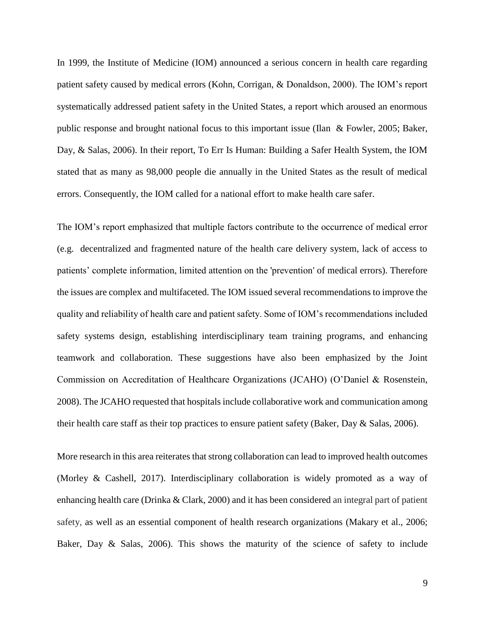In 1999, the Institute of Medicine (IOM) announced a serious concern in health care regarding patient safety caused by medical errors (Kohn, Corrigan, & Donaldson, 2000). The IOM's report systematically addressed patient safety in the United States, a report which aroused an enormous public response and brought national focus to this important issue (Ilan & Fowler, 2005; Baker, Day, & Salas, 2006). In their report, To Err Is Human: Building a Safer Health System, the IOM stated that as many as 98,000 people die annually in the United States as the result of medical errors. Consequently, the IOM called for a national effort to make health care safer.

The IOM's report emphasized that multiple factors contribute to the occurrence of medical error (e.g. decentralized and fragmented nature of the health care delivery system, lack of access to patients' complete information, limited attention on the 'prevention' of medical errors). Therefore the issues are complex and multifaceted. The IOM issued several recommendations to improve the quality and reliability of health care and patient safety. Some of IOM's recommendations included safety systems design, establishing interdisciplinary team training programs, and enhancing teamwork and collaboration. These suggestions have also been emphasized by the Joint Commission on Accreditation of Healthcare Organizations (JCAHO) (O'Daniel & Rosenstein, 2008). The JCAHO requested that hospitals include collaborative work and communication among their health care staff as their top practices to ensure patient safety (Baker, Day & Salas, 2006).

More research in this area reiterates that strong collaboration can lead to improved health outcomes (Morley & Cashell, 2017). Interdisciplinary collaboration is widely promoted as a way of enhancing health care (Drinka & Clark, 2000) and it has been considered an integral part of patient safety, as well as an essential component of health research organizations (Makary et al., 2006; Baker, Day & Salas, 2006). This shows the maturity of the science of safety to include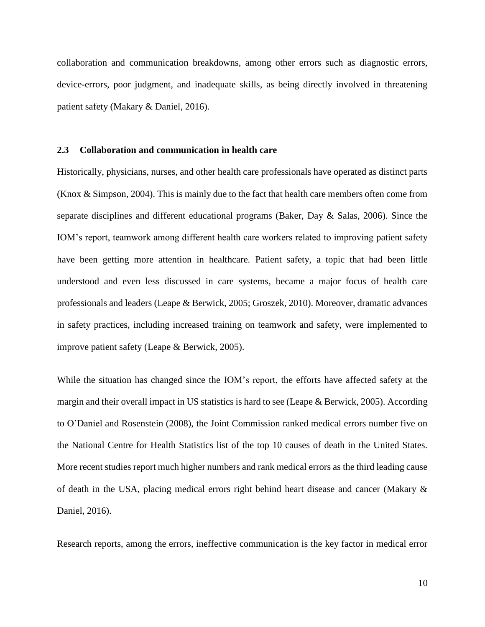collaboration and communication breakdowns, among other errors such as diagnostic errors, device-errors, poor judgment, and inadequate skills, as being directly involved in threatening patient safety (Makary & Daniel, 2016).

#### **2.3 Collaboration and communication in health care**

Historically, physicians, nurses, and other health care professionals have operated as distinct parts (Knox & Simpson, 2004). This is mainly due to the fact that health care members often come from separate disciplines and different educational programs (Baker, Day & Salas, 2006). Since the IOM's report, teamwork among different health care workers related to improving patient safety have been getting more attention in healthcare. Patient safety, a topic that had been little understood and even less discussed in care systems, became a major focus of health care professionals and leaders (Leape & Berwick, 2005; Groszek, 2010). Moreover, dramatic advances in safety practices, including increased training on teamwork and safety, were implemented to improve patient safety (Leape & Berwick, 2005).

While the situation has changed since the IOM's report, the efforts have affected safety at the margin and their overall impact in US statistics is hard to see (Leape & Berwick, 2005). According to O'Daniel and Rosenstein (2008), the Joint Commission ranked medical errors number five on the National Centre for Health Statistics list of the top 10 causes of death in the United States. More recent studies report much higher numbers and rank medical errors as the third leading cause of death in the USA, placing medical errors right behind heart disease and cancer (Makary & Daniel, 2016).

Research reports, among the errors, ineffective communication is the key factor in medical error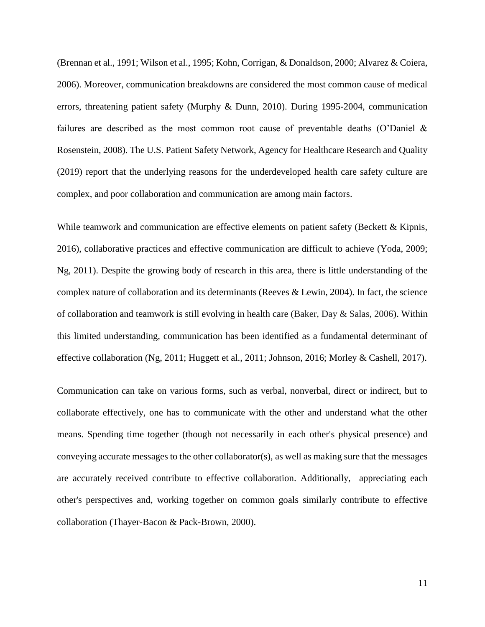(Brennan et al., 1991; Wilson et al., 1995; Kohn, Corrigan, & Donaldson, 2000; Alvarez & Coiera, 2006). Moreover, communication breakdowns are considered the most common cause of medical errors, threatening patient safety (Murphy & Dunn, 2010). During 1995-2004, communication failures are described as the most common root cause of preventable deaths (O'Daniel & Rosenstein, 2008). The U.S. Patient Safety Network, Agency for Healthcare Research and Quality (2019) report that the underlying reasons for the underdeveloped health care safety culture are complex, and poor collaboration and communication are among main factors.

While teamwork and communication are effective elements on patient safety (Beckett & Kipnis, 2016), collaborative practices and effective communication are difficult to achieve (Yoda, 2009; Ng, 2011). Despite the growing body of research in this area, there is little understanding of the complex nature of collaboration and its determinants (Reeves & Lewin, 2004). In fact, the science of collaboration and teamwork is still evolving in health care (Baker, Day & Salas, 2006). Within this limited understanding, communication has been identified as a fundamental determinant of effective collaboration (Ng, 2011; Huggett et al., 2011; Johnson, 2016; Morley & Cashell, 2017).

Communication can take on various forms, such as verbal, nonverbal, direct or indirect, but to collaborate effectively, one has to communicate with the other and understand what the other means. Spending time together (though not necessarily in each other's physical presence) and conveying accurate messages to the other collaborator(s), as well as making sure that the messages are accurately received contribute to effective collaboration. Additionally, appreciating each other's perspectives and, working together on common goals similarly contribute to effective collaboration (Thayer-Bacon & Pack-Brown, 2000).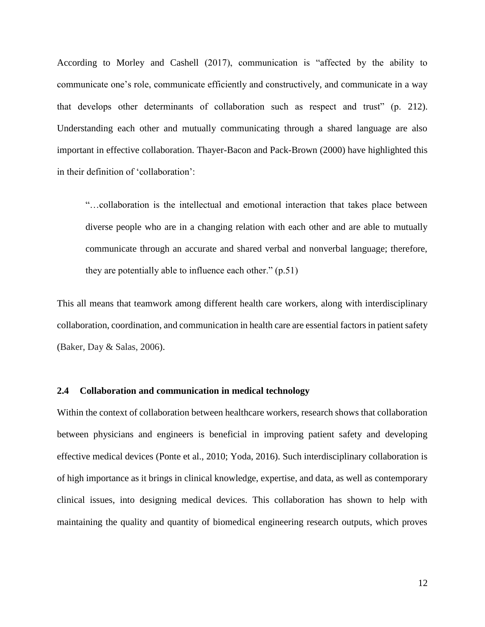According to Morley and Cashell (2017), communication is "affected by the ability to communicate one's role, communicate efficiently and constructively, and communicate in a way that develops other determinants of collaboration such as respect and trust" (p. 212). Understanding each other and mutually communicating through a shared language are also important in effective collaboration. Thayer-Bacon and Pack-Brown (2000) have highlighted this in their definition of 'collaboration':

"…collaboration is the intellectual and emotional interaction that takes place between diverse people who are in a changing relation with each other and are able to mutually communicate through an accurate and shared verbal and nonverbal language; therefore, they are potentially able to influence each other." (p.51)

This all means that teamwork among different health care workers, along with interdisciplinary collaboration, coordination, and communication in health care are essential factors in patient safety (Baker, Day & Salas, 2006).

#### **2.4 Collaboration and communication in medical technology**

Within the context of collaboration between healthcare workers, research shows that collaboration between physicians and engineers is beneficial in improving patient safety and developing effective medical devices (Ponte et al., 2010; Yoda, 2016). Such interdisciplinary collaboration is of high importance as it brings in clinical knowledge, expertise, and data, as well as contemporary clinical issues, into designing medical devices. This collaboration has shown to help with maintaining the quality and quantity of biomedical engineering research outputs, which proves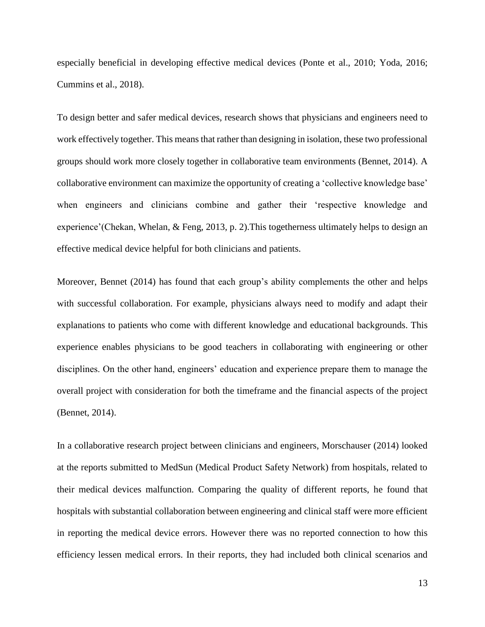especially beneficial in developing effective medical devices (Ponte et al., 2010; Yoda, 2016; Cummins et al., 2018).

To design better and safer medical devices, research shows that physicians and engineers need to work effectively together. This means that rather than designing in isolation, these two professional groups should work more closely together in collaborative team environments (Bennet, 2014). A collaborative environment can maximize the opportunity of creating a 'collective knowledge base' when engineers and clinicians combine and gather their 'respective knowledge and experience'(Chekan, Whelan, & Feng, 2013, p. 2).This togetherness ultimately helps to design an effective medical device helpful for both clinicians and patients.

Moreover, Bennet (2014) has found that each group's ability complements the other and helps with successful collaboration. For example, physicians always need to modify and adapt their explanations to patients who come with different knowledge and educational backgrounds. This experience enables physicians to be good teachers in collaborating with engineering or other disciplines. On the other hand, engineers' education and experience prepare them to manage the overall project with consideration for both the timeframe and the financial aspects of the project (Bennet, 2014).

In a collaborative research project between clinicians and engineers, Morschauser (2014) looked at the reports submitted to MedSun (Medical Product Safety Network) from hospitals, related to their medical devices malfunction. Comparing the quality of different reports, he found that hospitals with substantial collaboration between engineering and clinical staff were more efficient in reporting the medical device errors. However there was no reported connection to how this efficiency lessen medical errors. In their reports, they had included both clinical scenarios and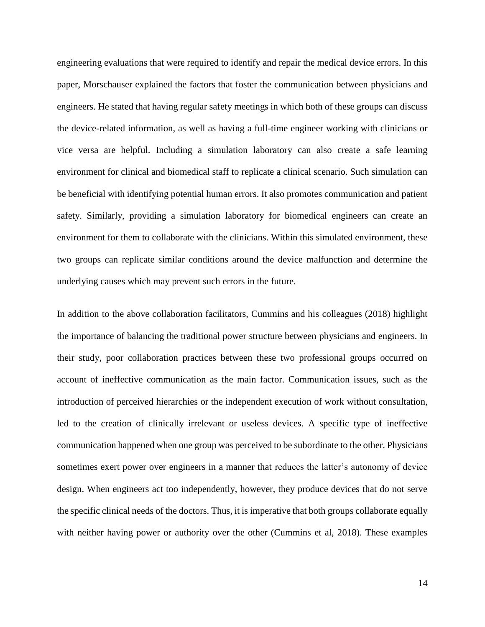engineering evaluations that were required to identify and repair the medical device errors. In this paper, Morschauser explained the factors that foster the communication between physicians and engineers. He stated that having regular safety meetings in which both of these groups can discuss the device-related information, as well as having a full-time engineer working with clinicians or vice versa are helpful. Including a simulation laboratory can also create a safe learning environment for clinical and biomedical staff to replicate a clinical scenario. Such simulation can be beneficial with identifying potential human errors. It also promotes communication and patient safety. Similarly, providing a simulation laboratory for biomedical engineers can create an environment for them to collaborate with the clinicians. Within this simulated environment, these two groups can replicate similar conditions around the device malfunction and determine the underlying causes which may prevent such errors in the future.

In addition to the above collaboration facilitators, Cummins and his colleagues (2018) highlight the importance of balancing the traditional power structure between physicians and engineers. In their study, poor collaboration practices between these two professional groups occurred on account of ineffective communication as the main factor. Communication issues, such as the introduction of perceived hierarchies or the independent execution of work without consultation, led to the creation of clinically irrelevant or useless devices. A specific type of ineffective communication happened when one group was perceived to be subordinate to the other. Physicians sometimes exert power over engineers in a manner that reduces the latter's autonomy of device design. When engineers act too independently, however, they produce devices that do not serve the specific clinical needs of the doctors. Thus, it is imperative that both groups collaborate equally with neither having power or authority over the other (Cummins et al, 2018). These examples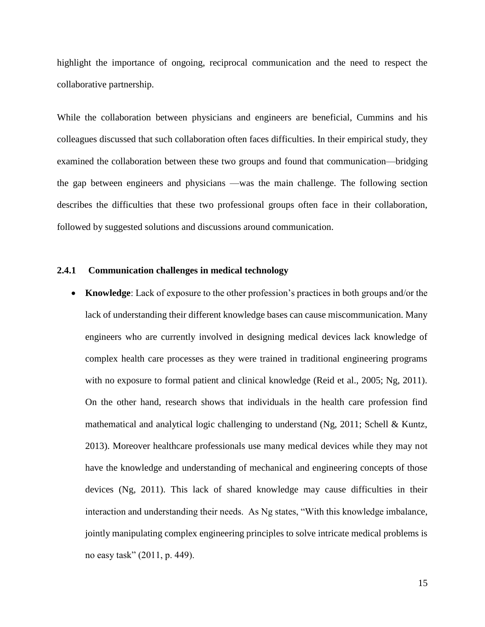highlight the importance of ongoing, reciprocal communication and the need to respect the collaborative partnership.

While the collaboration between physicians and engineers are beneficial, Cummins and his colleagues discussed that such collaboration often faces difficulties. In their empirical study, they examined the collaboration between these two groups and found that communication—bridging the gap between engineers and physicians —was the main challenge. The following section describes the difficulties that these two professional groups often face in their collaboration, followed by suggested solutions and discussions around communication.

#### **2.4.1 Communication challenges in medical technology**

• **Knowledge**: Lack of exposure to the other profession's practices in both groups and/or the lack of understanding their different knowledge bases can cause miscommunication. Many engineers who are currently involved in designing medical devices lack knowledge of complex health care processes as they were trained in traditional engineering programs with no exposure to formal patient and clinical knowledge (Reid et al., 2005; Ng, 2011). On the other hand, research shows that individuals in the health care profession find mathematical and analytical logic challenging to understand (Ng, 2011; Schell & Kuntz, 2013). Moreover healthcare professionals use many medical devices while they may not have the knowledge and understanding of mechanical and engineering concepts of those devices (Ng, 2011). This lack of shared knowledge may cause difficulties in their interaction and understanding their needs. As Ng states, "With this knowledge imbalance, jointly manipulating complex engineering principles to solve intricate medical problems is no easy task" (2011, p. 449).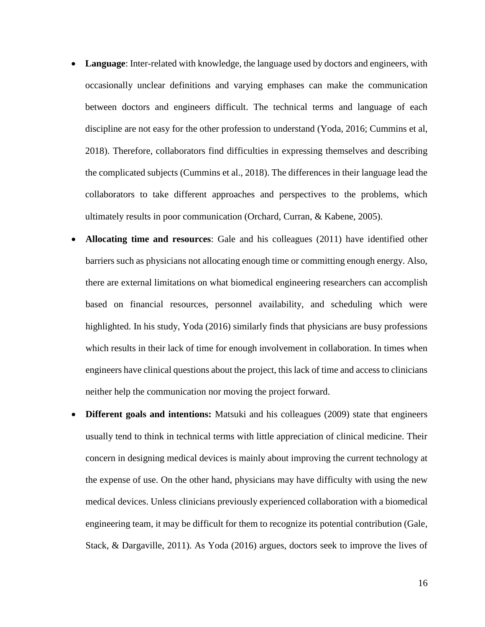- **Language**: Inter-related with knowledge, the language used by doctors and engineers, with occasionally unclear definitions and varying emphases can make the communication between doctors and engineers difficult. The technical terms and language of each discipline are not easy for the other profession to understand (Yoda, 2016; Cummins et al, 2018). Therefore, collaborators find difficulties in expressing themselves and describing the complicated subjects (Cummins et al., 2018). The differences in their language lead the collaborators to take different approaches and perspectives to the problems, which ultimately results in poor communication (Orchard, Curran, & Kabene, 2005).
- **Allocating time and resources**: Gale and his colleagues (2011) have identified other barriers such as physicians not allocating enough time or committing enough energy. Also, there are external limitations on what biomedical engineering researchers can accomplish based on financial resources, personnel availability, and scheduling which were highlighted. In his study, Yoda (2016) similarly finds that physicians are busy professions which results in their lack of time for enough involvement in collaboration. In times when engineers have clinical questions about the project, this lack of time and access to clinicians neither help the communication nor moving the project forward.
- **Different goals and intentions:** Matsuki and his colleagues (2009) state that engineers usually tend to think in technical terms with little appreciation of clinical medicine. Their concern in designing medical devices is mainly about improving the current technology at the expense of use. On the other hand, physicians may have difficulty with using the new medical devices. Unless clinicians previously experienced collaboration with a biomedical engineering team, it may be difficult for them to recognize its potential contribution (Gale, Stack, & Dargaville, 2011). As Yoda (2016) argues, doctors seek to improve the lives of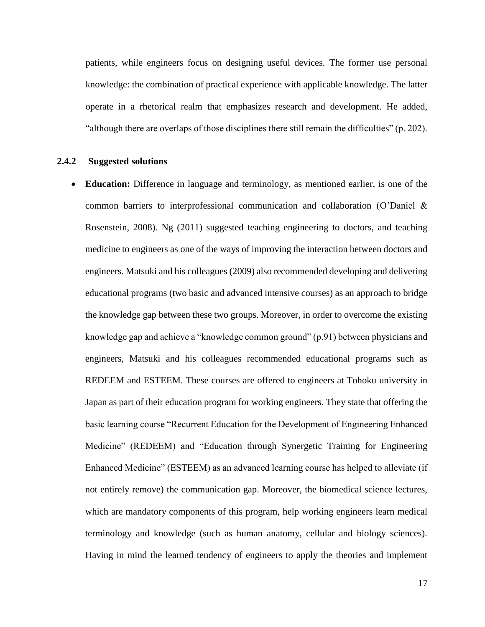patients, while engineers focus on designing useful devices. The former use personal knowledge: the combination of practical experience with applicable knowledge. The latter operate in a rhetorical realm that emphasizes research and development. He added, "although there are overlaps of those disciplines there still remain the difficulties" (p. 202).

#### **2.4.2 Suggested solutions**

• **Education:** Difference in language and terminology, as mentioned earlier, is one of the common barriers to interprofessional communication and collaboration (O'Daniel & Rosenstein, 2008). Ng (2011) suggested teaching engineering to doctors, and teaching medicine to engineers as one of the ways of improving the interaction between doctors and engineers. Matsuki and his colleagues (2009) also recommended developing and delivering educational programs (two basic and advanced intensive courses) as an approach to bridge the knowledge gap between these two groups. Moreover, in order to overcome the existing knowledge gap and achieve a "knowledge common ground" (p.91) between physicians and engineers, Matsuki and his colleagues recommended educational programs such as REDEEM and ESTEEM. These courses are offered to engineers at Tohoku university in Japan as part of their education program for working engineers. They state that offering the basic learning course "Recurrent Education for the Development of Engineering Enhanced Medicine" (REDEEM) and "Education through Synergetic Training for Engineering Enhanced Medicine" (ESTEEM) as an advanced learning course has helped to alleviate (if not entirely remove) the communication gap. Moreover, the biomedical science lectures, which are mandatory components of this program, help working engineers learn medical terminology and knowledge (such as human anatomy, cellular and biology sciences). Having in mind the learned tendency of engineers to apply the theories and implement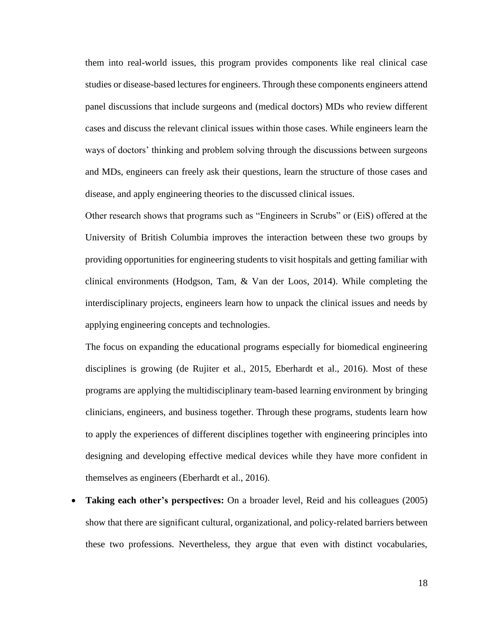them into real-world issues, this program provides components like real clinical case studies or disease-based lectures for engineers. Through these components engineers attend panel discussions that include surgeons and (medical doctors) MDs who review different cases and discuss the relevant clinical issues within those cases. While engineers learn the ways of doctors' thinking and problem solving through the discussions between surgeons and MDs, engineers can freely ask their questions, learn the structure of those cases and disease, and apply engineering theories to the discussed clinical issues.

Other research shows that programs such as "Engineers in Scrubs" or (EiS) offered at the University of British Columbia improves the interaction between these two groups by providing opportunities for engineering students to visit hospitals and getting familiar with clinical environments (Hodgson, Tam, & Van der Loos, 2014). While completing the interdisciplinary projects, engineers learn how to unpack the clinical issues and needs by applying engineering concepts and technologies.

The focus on expanding the educational programs especially for biomedical engineering disciplines is growing (de Rujiter et al., 2015, Eberhardt et al., 2016). Most of these programs are applying the multidisciplinary team-based learning environment by bringing clinicians, engineers, and business together. Through these programs, students learn how to apply the experiences of different disciplines together with engineering principles into designing and developing effective medical devices while they have more confident in themselves as engineers (Eberhardt et al., 2016).

**Taking each other's perspectives:** On a broader level, Reid and his colleagues (2005) show that there are significant cultural, organizational, and policy-related barriers between these two professions. Nevertheless, they argue that even with distinct vocabularies,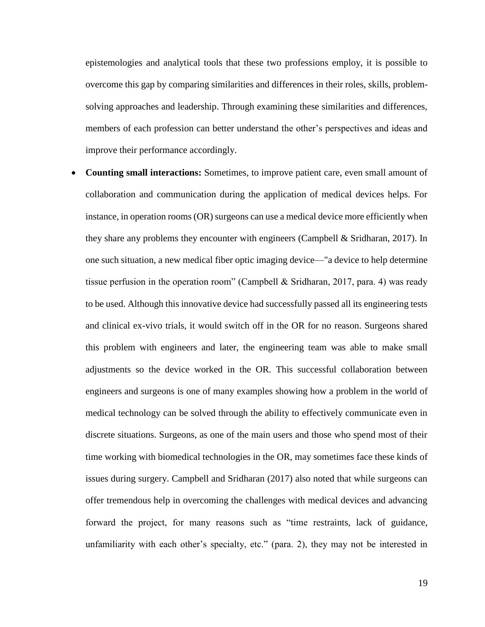epistemologies and analytical tools that these two professions employ, it is possible to overcome this gap by comparing similarities and differences in their roles, skills, problemsolving approaches and leadership. Through examining these similarities and differences, members of each profession can better understand the other's perspectives and ideas and improve their performance accordingly.

• **Counting small interactions:** Sometimes, to improve patient care, even small amount of collaboration and communication during the application of medical devices helps. For instance, in operation rooms (OR) surgeons can use a medical device more efficiently when they share any problems they encounter with engineers (Campbell & Sridharan, 2017). In one such situation, a new medical fiber optic imaging device—"a device to help determine tissue perfusion in the operation room" (Campbell & Sridharan, 2017, para. 4) was ready to be used. Although this innovative device had successfully passed all its engineering tests and clinical ex-vivo trials, it would switch off in the OR for no reason. Surgeons shared this problem with engineers and later, the engineering team was able to make small adjustments so the device worked in the OR. This successful collaboration between engineers and surgeons is one of many examples showing how a problem in the world of medical technology can be solved through the ability to effectively communicate even in discrete situations. Surgeons, as one of the main users and those who spend most of their time working with biomedical technologies in the OR, may sometimes face these kinds of issues during surgery. Campbell and Sridharan (2017) also noted that while surgeons can offer tremendous help in overcoming the challenges with medical devices and advancing forward the project, for many reasons such as "time restraints, lack of guidance, unfamiliarity with each other's specialty, etc." (para. 2), they may not be interested in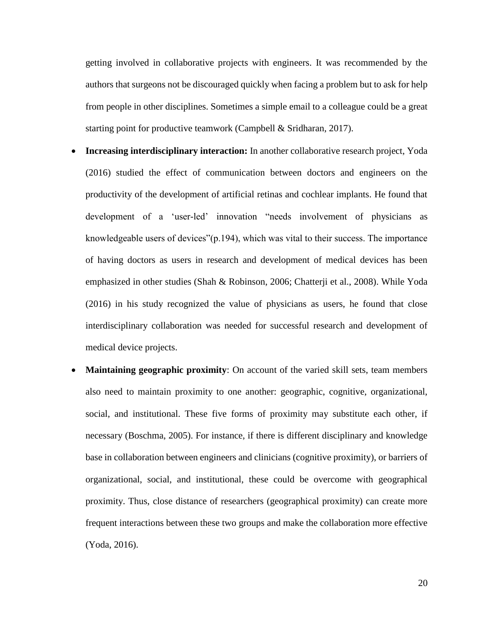getting involved in collaborative projects with engineers. It was recommended by the authors that surgeons not be discouraged quickly when facing a problem but to ask for help from people in other disciplines. Sometimes a simple email to a colleague could be a great starting point for productive teamwork (Campbell & Sridharan, 2017).

- **Increasing interdisciplinary interaction:** In another collaborative research project, Yoda (2016) studied the effect of communication between doctors and engineers on the productivity of the development of artificial retinas and cochlear implants. He found that development of a 'user-led' innovation "needs involvement of physicians as knowledgeable users of devices"(p.194), which was vital to their success. The importance of having doctors as users in research and development of medical devices has been emphasized in other studies (Shah & Robinson, 2006; Chatterji et al., 2008). While Yoda (2016) in his study recognized the value of physicians as users, he found that close interdisciplinary collaboration was needed for successful research and development of medical device projects.
- **Maintaining geographic proximity**: On account of the varied skill sets, team members also need to maintain proximity to one another: geographic, cognitive, organizational, social, and institutional. These five forms of proximity may substitute each other, if necessary (Boschma, 2005). For instance, if there is different disciplinary and knowledge base in collaboration between engineers and clinicians (cognitive proximity), or barriers of organizational, social, and institutional, these could be overcome with geographical proximity. Thus, close distance of researchers (geographical proximity) can create more frequent interactions between these two groups and make the collaboration more effective (Yoda, 2016).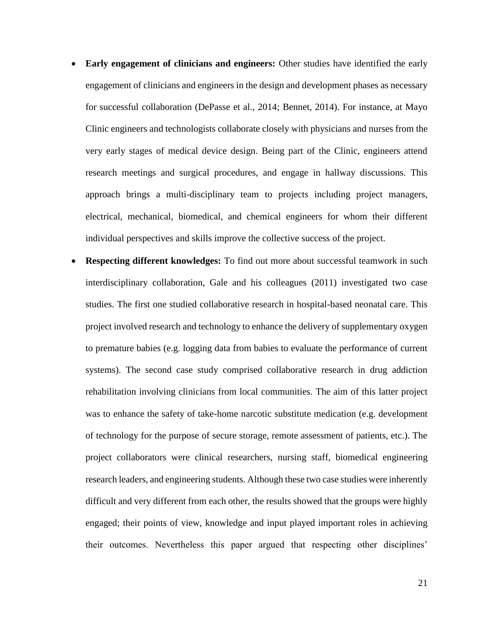- **Early engagement of clinicians and engineers:** Other studies have identified the early engagement of clinicians and engineers in the design and development phases as necessary for successful collaboration (DePasse et al., 2014; Bennet, 2014). For instance, at Mayo Clinic engineers and technologists collaborate closely with physicians and nurses from the very early stages of medical device design. Being part of the Clinic, engineers attend research meetings and surgical procedures, and engage in hallway discussions. This approach brings a multi-disciplinary team to projects including project managers, electrical, mechanical, biomedical, and chemical engineers for whom their different individual perspectives and skills improve the collective success of the project.
- **Respecting different knowledges:** To find out more about successful teamwork in such interdisciplinary collaboration, Gale and his colleagues (2011) investigated two case studies. The first one studied collaborative research in hospital-based neonatal care. This project involved research and technology to enhance the delivery of supplementary oxygen to premature babies (e.g. logging data from babies to evaluate the performance of current systems). The second case study comprised collaborative research in drug addiction rehabilitation involving clinicians from local communities. The aim of this latter project was to enhance the safety of take-home narcotic substitute medication (e.g. development of technology for the purpose of secure storage, remote assessment of patients, etc.). The project collaborators were clinical researchers, nursing staff, biomedical engineering research leaders, and engineering students. Although these two case studies were inherently difficult and very different from each other, the results showed that the groups were highly engaged; their points of view, knowledge and input played important roles in achieving their outcomes. Nevertheless this paper argued that respecting other disciplines'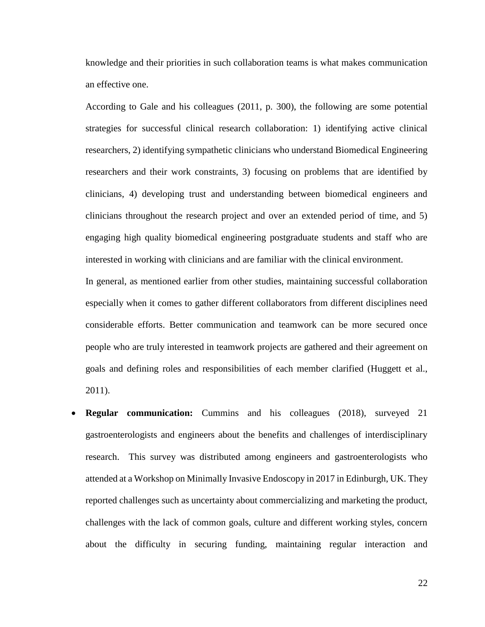knowledge and their priorities in such collaboration teams is what makes communication an effective one.

According to Gale and his colleagues (2011, p. 300), the following are some potential strategies for successful clinical research collaboration: 1) identifying active clinical researchers, 2) identifying sympathetic clinicians who understand Biomedical Engineering researchers and their work constraints, 3) focusing on problems that are identified by clinicians, 4) developing trust and understanding between biomedical engineers and clinicians throughout the research project and over an extended period of time, and 5) engaging high quality biomedical engineering postgraduate students and staff who are interested in working with clinicians and are familiar with the clinical environment.

In general, as mentioned earlier from other studies, maintaining successful collaboration especially when it comes to gather different collaborators from different disciplines need considerable efforts. Better communication and teamwork can be more secured once people who are truly interested in teamwork projects are gathered and their agreement on goals and defining roles and responsibilities of each member clarified (Huggett et al., 2011).

**Regular communication:** Cummins and his colleagues (2018), surveyed 21 gastroenterologists and engineers about the benefits and challenges of interdisciplinary research. This survey was distributed among engineers and gastroenterologists who attended at a Workshop on Minimally Invasive Endoscopy in 2017 in Edinburgh, UK. They reported challenges such as uncertainty about commercializing and marketing the product, challenges with the lack of common goals, culture and different working styles, concern about the difficulty in securing funding, maintaining regular interaction and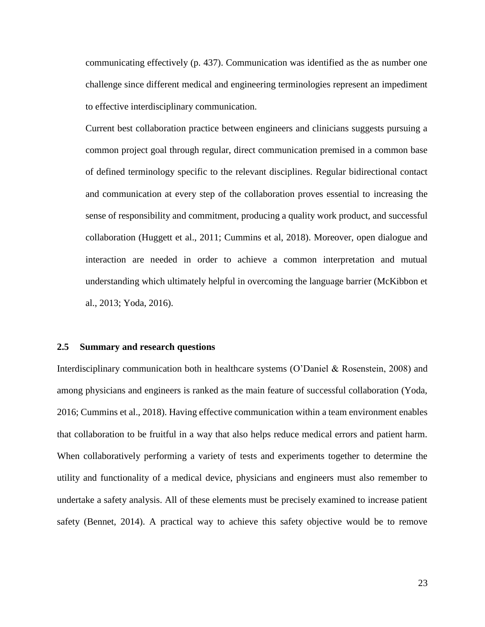communicating effectively (p. 437). Communication was identified as the as number one challenge since different medical and engineering terminologies represent an impediment to effective interdisciplinary communication.

Current best collaboration practice between engineers and clinicians suggests pursuing a common project goal through regular, direct communication premised in a common base of defined terminology specific to the relevant disciplines. Regular bidirectional contact and communication at every step of the collaboration proves essential to increasing the sense of responsibility and commitment, producing a quality work product, and successful collaboration (Huggett et al., 2011; Cummins et al, 2018). Moreover, open dialogue and interaction are needed in order to achieve a common interpretation and mutual understanding which ultimately helpful in overcoming the language barrier (McKibbon et al., 2013; Yoda, 2016).

#### **2.5 Summary and research questions**

Interdisciplinary communication both in healthcare systems (O'Daniel & Rosenstein, 2008) and among physicians and engineers is ranked as the main feature of successful collaboration (Yoda, 2016; Cummins et al., 2018). Having effective communication within a team environment enables that collaboration to be fruitful in a way that also helps reduce medical errors and patient harm. When collaboratively performing a variety of tests and experiments together to determine the utility and functionality of a medical device, physicians and engineers must also remember to undertake a safety analysis. All of these elements must be precisely examined to increase patient safety (Bennet, 2014). A practical way to achieve this safety objective would be to remove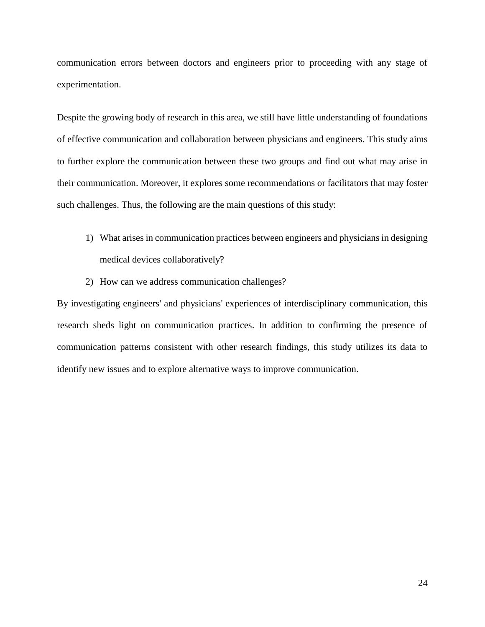communication errors between doctors and engineers prior to proceeding with any stage of experimentation.

Despite the growing body of research in this area, we still have little understanding of foundations of effective communication and collaboration between physicians and engineers. This study aims to further explore the communication between these two groups and find out what may arise in their communication. Moreover, it explores some recommendations or facilitators that may foster such challenges. Thus, the following are the main questions of this study:

- 1) What arises in communication practices between engineers and physicians in designing medical devices collaboratively?
- 2) How can we address communication challenges?

By investigating engineers' and physicians' experiences of interdisciplinary communication, this research sheds light on communication practices. In addition to confirming the presence of communication patterns consistent with other research findings, this study utilizes its data to identify new issues and to explore alternative ways to improve communication.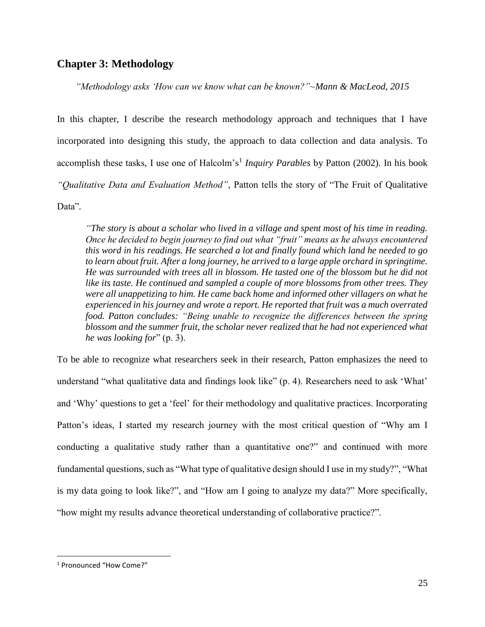# **Chapter 3: Methodology**

*"Methodology asks 'How can we know what can be known?"~Mann & MacLeod, 2015*

In this chapter, I describe the research methodology approach and techniques that I have incorporated into designing this study, the approach to data collection and data analysis. To accomplish these tasks, I use one of Halcolm's<sup>1</sup> Inquiry Parables by Patton (2002). In his book *"Qualitative Data and Evaluation Method"*, Patton tells the story of "The Fruit of Qualitative Data"*.*

*"The story is about a scholar who lived in a village and spent most of his time in reading. Once he decided to begin journey to find out what "fruit" means as he always encountered this word in his readings. He searched a lot and finally found which land he needed to go to learn about fruit. After a long journey, he arrived to a large apple orchard in springtime. He was surrounded with trees all in blossom. He tasted one of the blossom but he did not like its taste. He continued and sampled a couple of more blossoms from other trees. They were all unappetizing to him. He came back home and informed other villagers on what he experienced in his journey and wrote a report. He reported that fruit was a much overrated food. Patton concludes: "Being unable to recognize the differences between the spring blossom and the summer fruit, the scholar never realized that he had not experienced what he was looking for*" (p. 3).

To be able to recognize what researchers seek in their research, Patton emphasizes the need to understand "what qualitative data and findings look like" (p. 4). Researchers need to ask 'What' and 'Why' questions to get a 'feel' for their methodology and qualitative practices. Incorporating Patton's ideas, I started my research journey with the most critical question of "Why am I conducting a qualitative study rather than a quantitative one?" and continued with more fundamental questions, such as "What type of qualitative design should I use in my study?", "What is my data going to look like?", and "How am I going to analyze my data?" More specifically, "how might my results advance theoretical understanding of collaborative practice?".

 $\overline{a}$ 

<sup>1</sup> Pronounced "How Come?"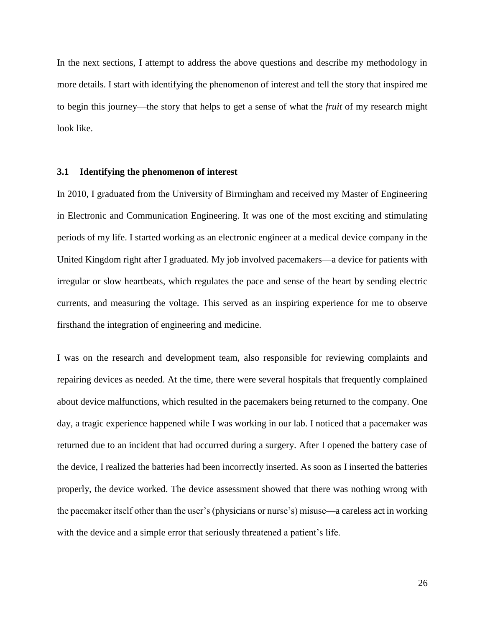In the next sections, I attempt to address the above questions and describe my methodology in more details. I start with identifying the phenomenon of interest and tell the story that inspired me to begin this journey—the story that helps to get a sense of what the *fruit* of my research might look like.

#### **3.1 Identifying the phenomenon of interest**

In 2010, I graduated from the University of Birmingham and received my Master of Engineering in Electronic and Communication Engineering. It was one of the most exciting and stimulating periods of my life. I started working as an electronic engineer at a medical device company in the United Kingdom right after I graduated. My job involved pacemakers—a device for patients with irregular or slow heartbeats, which regulates the pace and sense of the heart by sending electric currents, and measuring the voltage. This served as an inspiring experience for me to observe firsthand the integration of engineering and medicine.

I was on the research and development team, also responsible for reviewing complaints and repairing devices as needed. At the time, there were several hospitals that frequently complained about device malfunctions, which resulted in the pacemakers being returned to the company. One day, a tragic experience happened while I was working in our lab. I noticed that a pacemaker was returned due to an incident that had occurred during a surgery. After I opened the battery case of the device, I realized the batteries had been incorrectly inserted. As soon as I inserted the batteries properly, the device worked. The device assessment showed that there was nothing wrong with the pacemaker itself other than the user's (physicians or nurse's) misuse—a careless act in working with the device and a simple error that seriously threatened a patient's life.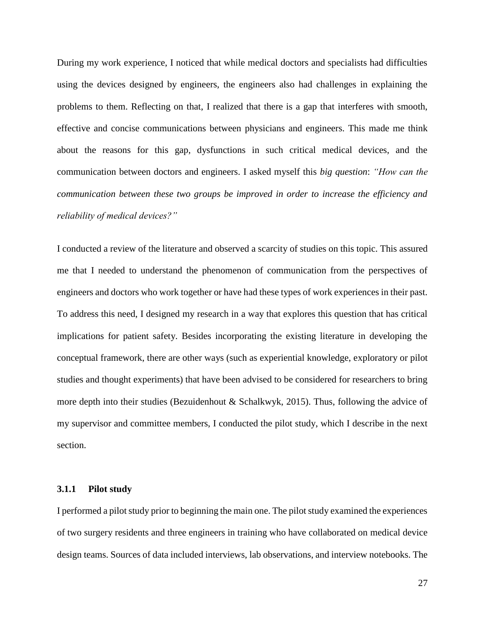During my work experience, I noticed that while medical doctors and specialists had difficulties using the devices designed by engineers, the engineers also had challenges in explaining the problems to them. Reflecting on that, I realized that there is a gap that interferes with smooth, effective and concise communications between physicians and engineers. This made me think about the reasons for this gap, dysfunctions in such critical medical devices, and the communication between doctors and engineers. I asked myself this *big question*: *"How can the communication between these two groups be improved in order to increase the efficiency and reliability of medical devices?"*

I conducted a review of the literature and observed a scarcity of studies on this topic. This assured me that I needed to understand the phenomenon of communication from the perspectives of engineers and doctors who work together or have had these types of work experiences in their past. To address this need, I designed my research in a way that explores this question that has critical implications for patient safety. Besides incorporating the existing literature in developing the conceptual framework, there are other ways (such as experiential knowledge, exploratory or pilot studies and thought experiments) that have been advised to be considered for researchers to bring more depth into their studies (Bezuidenhout & Schalkwyk, 2015). Thus, following the advice of my supervisor and committee members, I conducted the pilot study, which I describe in the next section.

### **3.1.1 Pilot study**

I performed a pilot study prior to beginning the main one. The pilot study examined the experiences of two surgery residents and three engineers in training who have collaborated on medical device design teams. Sources of data included interviews, lab observations, and interview notebooks. The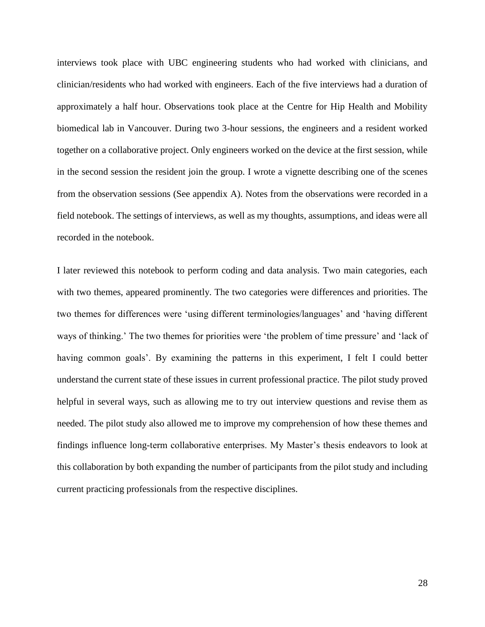interviews took place with UBC engineering students who had worked with clinicians, and clinician/residents who had worked with engineers. Each of the five interviews had a duration of approximately a half hour. Observations took place at the Centre for Hip Health and Mobility biomedical lab in Vancouver. During two 3-hour sessions, the engineers and a resident worked together on a collaborative project. Only engineers worked on the device at the first session, while in the second session the resident join the group. I wrote a vignette describing one of the scenes from the observation sessions (See appendix A). Notes from the observations were recorded in a field notebook. The settings of interviews, as well as my thoughts, assumptions, and ideas were all recorded in the notebook.

I later reviewed this notebook to perform coding and data analysis. Two main categories, each with two themes, appeared prominently. The two categories were differences and priorities. The two themes for differences were 'using different terminologies/languages' and 'having different ways of thinking.' The two themes for priorities were 'the problem of time pressure' and 'lack of having common goals'. By examining the patterns in this experiment, I felt I could better understand the current state of these issues in current professional practice. The pilot study proved helpful in several ways, such as allowing me to try out interview questions and revise them as needed. The pilot study also allowed me to improve my comprehension of how these themes and findings influence long-term collaborative enterprises. My Master's thesis endeavors to look at this collaboration by both expanding the number of participants from the pilot study and including current practicing professionals from the respective disciplines.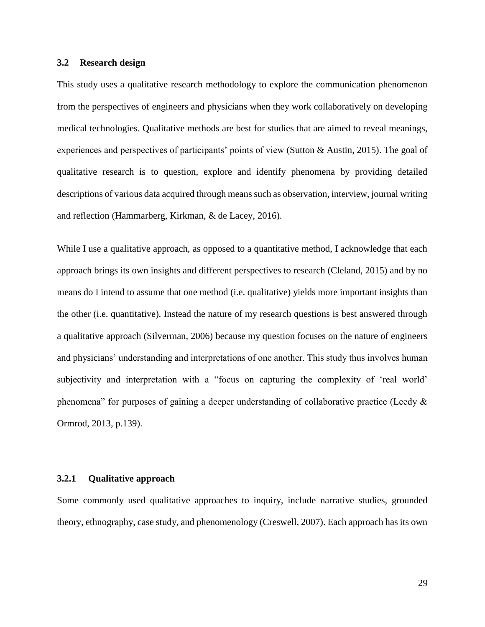## **3.2 Research design**

This study uses a qualitative research methodology to explore the communication phenomenon from the perspectives of engineers and physicians when they work collaboratively on developing medical technologies. Qualitative methods are best for studies that are aimed to reveal meanings, experiences and perspectives of participants' points of view (Sutton & Austin, 2015). The goal of qualitative research is to question, explore and identify phenomena by providing detailed descriptions of various data acquired through means such as observation, interview, journal writing and reflection (Hammarberg, Kirkman, & de Lacey, 2016).

While I use a qualitative approach, as opposed to a quantitative method, I acknowledge that each approach brings its own insights and different perspectives to research (Cleland, 2015) and by no means do I intend to assume that one method (i.e. qualitative) yields more important insights than the other (i.e. quantitative). Instead the nature of my research questions is best answered through a qualitative approach (Silverman, 2006) because my question focuses on the nature of engineers and physicians' understanding and interpretations of one another. This study thus involves human subjectivity and interpretation with a "focus on capturing the complexity of 'real world' phenomena" for purposes of gaining a deeper understanding of collaborative practice (Leedy & Ormrod, 2013, p.139).

### **3.2.1 Qualitative approach**

Some commonly used qualitative approaches to inquiry, include narrative studies, grounded theory, ethnography, case study, and phenomenology (Creswell, 2007). Each approach has its own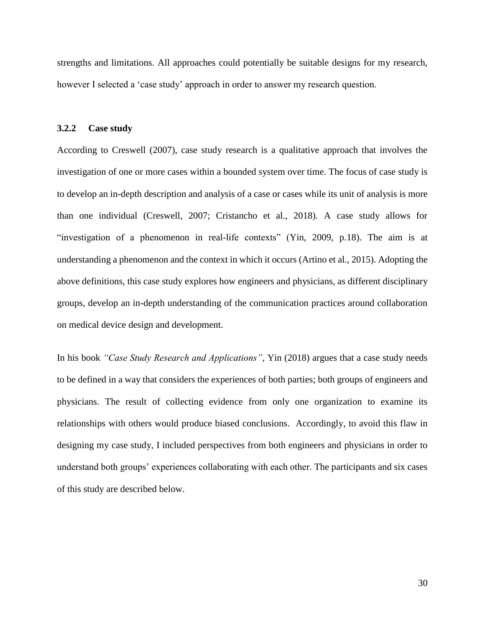strengths and limitations. All approaches could potentially be suitable designs for my research, however I selected a 'case study' approach in order to answer my research question.

#### **3.2.2 Case study**

According to Creswell (2007), case study research is a qualitative approach that involves the investigation of one or more cases within a bounded system over time. The focus of case study is to develop an in-depth description and analysis of a case or cases while its unit of analysis is more than one individual (Creswell, 2007; Cristancho et al., 2018). A case study allows for "investigation of a phenomenon in real-life contexts" (Yin, 2009, p.18). The aim is at understanding a phenomenon and the context in which it occurs (Artino et al., 2015). Adopting the above definitions, this case study explores how engineers and physicians, as different disciplinary groups, develop an in-depth understanding of the communication practices around collaboration on medical device design and development.

In his book *"Case Study Research and Applications"*, Yin (2018) argues that a case study needs to be defined in a way that considers the experiences of both parties; both groups of engineers and physicians. The result of collecting evidence from only one organization to examine its relationships with others would produce biased conclusions. Accordingly, to avoid this flaw in designing my case study, I included perspectives from both engineers and physicians in order to understand both groups' experiences collaborating with each other. The participants and six cases of this study are described below.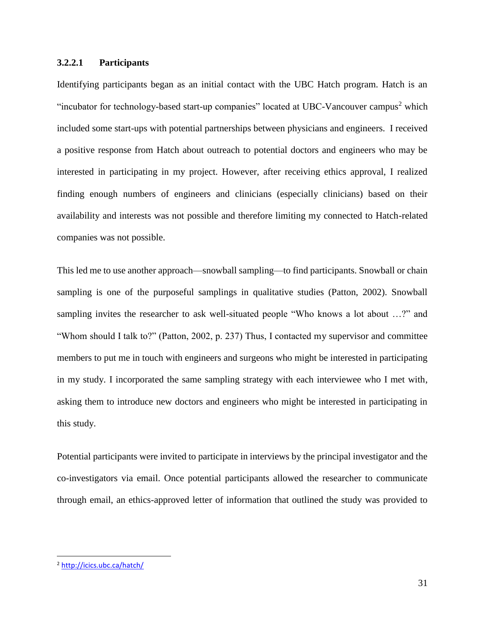## **3.2.2.1 Participants**

Identifying participants began as an initial contact with the UBC Hatch program. Hatch is an "incubator for technology-based start-up companies" located at UBC-Vancouver campus<sup>2</sup> which included some start-ups with potential partnerships between physicians and engineers. I received a positive response from Hatch about outreach to potential doctors and engineers who may be interested in participating in my project. However, after receiving ethics approval, I realized finding enough numbers of engineers and clinicians (especially clinicians) based on their availability and interests was not possible and therefore limiting my connected to Hatch-related companies was not possible.

This led me to use another approach—snowball sampling—to find participants. Snowball or chain sampling is one of the purposeful samplings in qualitative studies (Patton, 2002). Snowball sampling invites the researcher to ask well-situated people "Who knows a lot about …?" and "Whom should I talk to?" (Patton, 2002, p. 237) Thus, I contacted my supervisor and committee members to put me in touch with engineers and surgeons who might be interested in participating in my study. I incorporated the same sampling strategy with each interviewee who I met with, asking them to introduce new doctors and engineers who might be interested in participating in this study.

Potential participants were invited to participate in interviews by the principal investigator and the co-investigators via email. Once potential participants allowed the researcher to communicate through email, an ethics-approved letter of information that outlined the study was provided to

 $\overline{a}$ 

<sup>2</sup> <http://icics.ubc.ca/hatch/>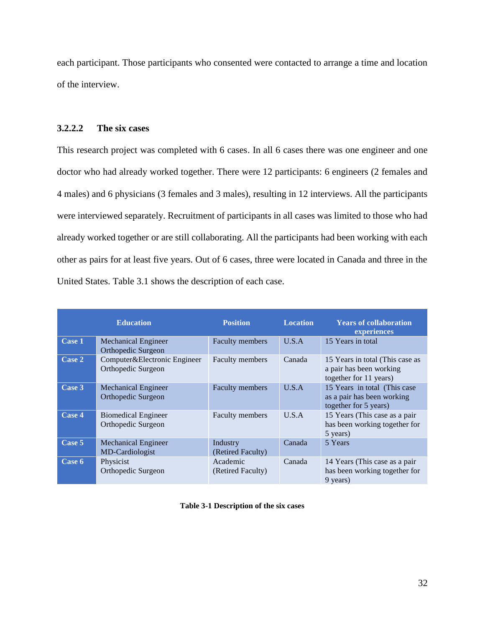each participant. Those participants who consented were contacted to arrange a time and location of the interview.

# **3.2.2.2 The six cases**

This research project was completed with 6 cases. In all 6 cases there was one engineer and one doctor who had already worked together. There were 12 participants: 6 engineers (2 females and 4 males) and 6 physicians (3 females and 3 males), resulting in 12 interviews. All the participants were interviewed separately. Recruitment of participants in all cases was limited to those who had already worked together or are still collaborating. All the participants had been working with each other as pairs for at least five years. Out of 6 cases, three were located in Canada and three in the United States. Table 3.1 shows the description of each case.

|        | <b>Education</b>                                   | <b>Position</b>               | <b>Location</b> | <b>Years of collaboration</b><br>experiences                                         |  |  |  |
|--------|----------------------------------------------------|-------------------------------|-----------------|--------------------------------------------------------------------------------------|--|--|--|
| Case 1 | <b>Mechanical Engineer</b><br>Orthopedic Surgeon   | Faculty members               | U.S.A           | 15 Years in total                                                                    |  |  |  |
| Case 2 | Computer&Electronic Engineer<br>Orthopedic Surgeon | Faculty members               | Canada          | 15 Years in total (This case as<br>a pair has been working<br>together for 11 years) |  |  |  |
| Case 3 | <b>Mechanical Engineer</b><br>Orthopedic Surgeon   | <b>Faculty members</b>        | U.S.A           | 15 Years in total (This case)<br>as a pair has been working<br>together for 5 years) |  |  |  |
| Case 4 | <b>Biomedical Engineer</b><br>Orthopedic Surgeon   | Faculty members               | U.S.A           | 15 Years (This case as a pair<br>has been working together for<br>5 years)           |  |  |  |
| Case 5 | <b>Mechanical Engineer</b><br>MD-Cardiologist      | Industry<br>(Retired Faculty) | Canada          | 5 Years                                                                              |  |  |  |
| Case 6 | Physicist<br>Orthopedic Surgeon                    | Academic<br>(Retired Faculty) | Canada          | 14 Years (This case as a pair<br>has been working together for<br>9 years)           |  |  |  |

**Table 3-1 Description of the six cases**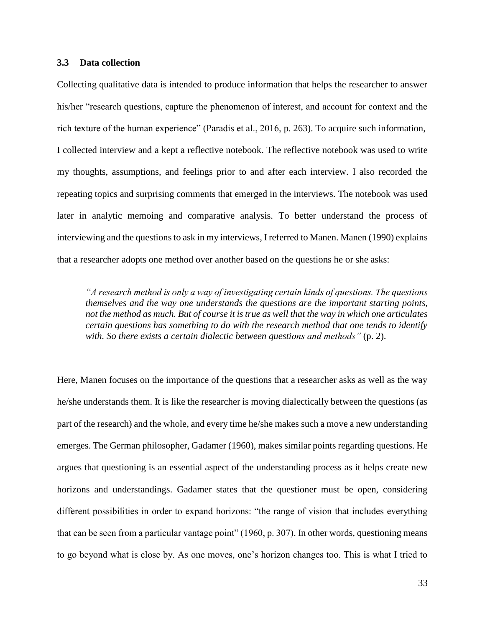### **3.3 Data collection**

Collecting qualitative data is intended to produce information that helps the researcher to answer his/her "research questions, capture the phenomenon of interest, and account for context and the rich texture of the human experience" (Paradis et al., 2016, p. 263). To acquire such information, I collected interview and a kept a reflective notebook. The reflective notebook was used to write my thoughts, assumptions, and feelings prior to and after each interview. I also recorded the repeating topics and surprising comments that emerged in the interviews. The notebook was used later in analytic memoing and comparative analysis. To better understand the process of interviewing and the questions to ask in my interviews, I referred to Manen. Manen (1990) explains that a researcher adopts one method over another based on the questions he or she asks:

*"A research method is only a way of investigating certain kinds of questions. The questions themselves and the way one understands the questions are the important starting points, not the method as much. But of course it is true as well that the way in which one articulates certain questions has something to do with the research method that one tends to identify with. So there exists a certain dialectic between questions and methods"* (p. 2).

Here, Manen focuses on the importance of the questions that a researcher asks as well as the way he/she understands them. It is like the researcher is moving dialectically between the questions (as part of the research) and the whole, and every time he/she makes such a move a new understanding emerges. The German philosopher, Gadamer (1960), makes similar points regarding questions. He argues that questioning is an essential aspect of the understanding process as it helps create new horizons and understandings. Gadamer states that the questioner must be open, considering different possibilities in order to expand horizons: "the range of vision that includes everything that can be seen from a particular vantage point" (1960, p. 307). In other words, questioning means to go beyond what is close by. As one moves, one's horizon changes too. This is what I tried to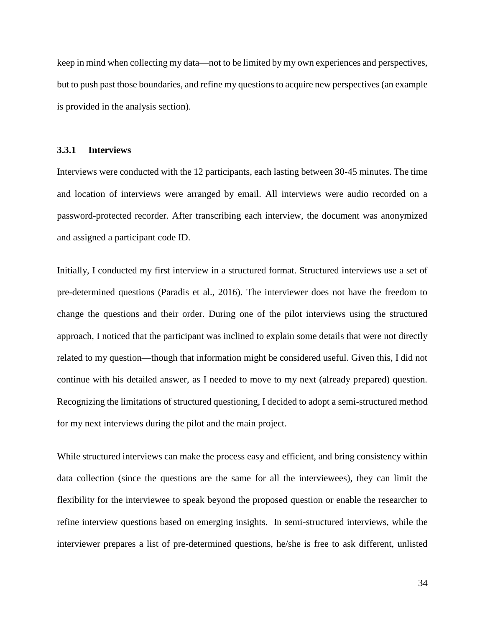keep in mind when collecting my data—not to be limited by my own experiences and perspectives, but to push past those boundaries, and refine my questions to acquire new perspectives (an example is provided in the analysis section).

#### **3.3.1 Interviews**

Interviews were conducted with the 12 participants, each lasting between 30-45 minutes. The time and location of interviews were arranged by email. All interviews were audio recorded on a password-protected recorder. After transcribing each interview, the document was anonymized and assigned a participant code ID.

Initially, I conducted my first interview in a structured format. Structured interviews use a set of pre-determined questions (Paradis et al., 2016). The interviewer does not have the freedom to change the questions and their order. During one of the pilot interviews using the structured approach, I noticed that the participant was inclined to explain some details that were not directly related to my question—though that information might be considered useful. Given this, I did not continue with his detailed answer, as I needed to move to my next (already prepared) question. Recognizing the limitations of structured questioning, I decided to adopt a semi-structured method for my next interviews during the pilot and the main project.

While structured interviews can make the process easy and efficient, and bring consistency within data collection (since the questions are the same for all the interviewees), they can limit the flexibility for the interviewee to speak beyond the proposed question or enable the researcher to refine interview questions based on emerging insights. In semi-structured interviews, while the interviewer prepares a list of pre-determined questions, he/she is free to ask different, unlisted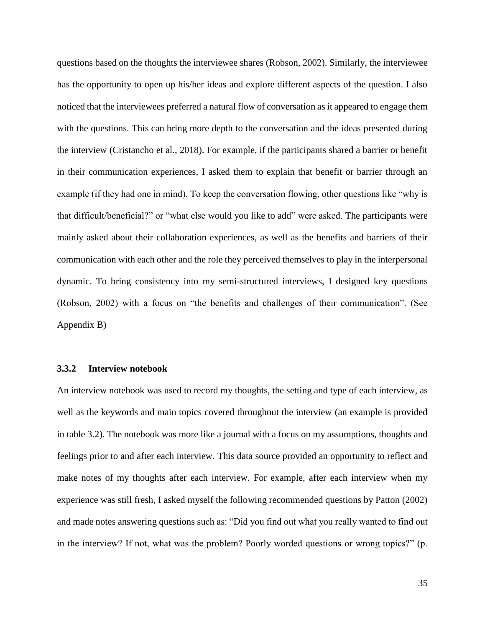questions based on the thoughts the interviewee shares (Robson, 2002). Similarly, the interviewee has the opportunity to open up his/her ideas and explore different aspects of the question. I also noticed that the interviewees preferred a natural flow of conversation as it appeared to engage them with the questions. This can bring more depth to the conversation and the ideas presented during the interview (Cristancho et al., 2018). For example, if the participants shared a barrier or benefit in their communication experiences, I asked them to explain that benefit or barrier through an example (if they had one in mind). To keep the conversation flowing, other questions like "why is that difficult/beneficial?" or "what else would you like to add" were asked. The participants were mainly asked about their collaboration experiences, as well as the benefits and barriers of their communication with each other and the role they perceived themselves to play in the interpersonal dynamic. To bring consistency into my semi-structured interviews, I designed key questions (Robson, 2002) with a focus on "the benefits and challenges of their communication". (See Appendix B)

#### **3.3.2 Interview notebook**

An interview notebook was used to record my thoughts, the setting and type of each interview, as well as the keywords and main topics covered throughout the interview (an example is provided in table 3.2). The notebook was more like a journal with a focus on my assumptions, thoughts and feelings prior to and after each interview. This data source provided an opportunity to reflect and make notes of my thoughts after each interview. For example, after each interview when my experience was still fresh, I asked myself the following recommended questions by Patton (2002) and made notes answering questions such as: "Did you find out what you really wanted to find out in the interview? If not, what was the problem? Poorly worded questions or wrong topics?" (p.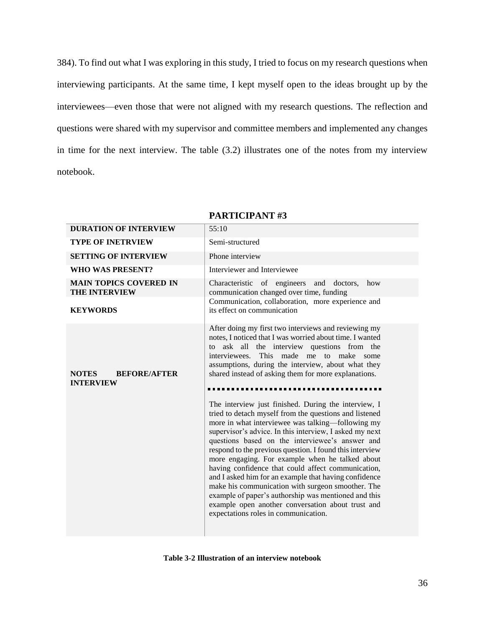384). To find out what I was exploring in this study, I tried to focus on my research questions when interviewing participants. At the same time, I kept myself open to the ideas brought up by the interviewees—even those that were not aligned with my research questions. The reflection and questions were shared with my supervisor and committee members and implemented any changes in time for the next interview. The table (3.2) illustrates one of the notes from my interview notebook.

| <b>DURATION OF INTERVIEW</b>                            | 55:10                                                                                                                                                                                                                                                                                                                                                                                                                                                                                                                                                                                                                                                                                                                     |  |  |  |  |  |
|---------------------------------------------------------|---------------------------------------------------------------------------------------------------------------------------------------------------------------------------------------------------------------------------------------------------------------------------------------------------------------------------------------------------------------------------------------------------------------------------------------------------------------------------------------------------------------------------------------------------------------------------------------------------------------------------------------------------------------------------------------------------------------------------|--|--|--|--|--|
| <b>TYPE OF INETRVIEW</b>                                | Semi-structured                                                                                                                                                                                                                                                                                                                                                                                                                                                                                                                                                                                                                                                                                                           |  |  |  |  |  |
| <b>SETTING OF INTERVIEW</b>                             | Phone interview                                                                                                                                                                                                                                                                                                                                                                                                                                                                                                                                                                                                                                                                                                           |  |  |  |  |  |
| <b>WHO WAS PRESENT?</b>                                 | Interviewer and Interviewee                                                                                                                                                                                                                                                                                                                                                                                                                                                                                                                                                                                                                                                                                               |  |  |  |  |  |
| <b>MAIN TOPICS COVERED IN</b><br><b>THE INTERVIEW</b>   | Characteristic of engineers<br>and doctors,<br>how<br>communication changed over time, funding                                                                                                                                                                                                                                                                                                                                                                                                                                                                                                                                                                                                                            |  |  |  |  |  |
| <b>KEYWORDS</b>                                         | Communication, collaboration, more experience and<br>its effect on communication                                                                                                                                                                                                                                                                                                                                                                                                                                                                                                                                                                                                                                          |  |  |  |  |  |
| <b>NOTES</b><br><b>BEFORE/AFTER</b><br><b>INTERVIEW</b> | After doing my first two interviews and reviewing my<br>notes, I noticed that I was worried about time. I wanted<br>ask all the interview questions from the<br>to<br>interviewees.<br>This<br>made me to make some<br>assumptions, during the interview, about what they<br>shared instead of asking them for more explanations.                                                                                                                                                                                                                                                                                                                                                                                         |  |  |  |  |  |
|                                                         | The interview just finished. During the interview, I<br>tried to detach myself from the questions and listened<br>more in what interviewee was talking—following my<br>supervisor's advice. In this interview, I asked my next<br>questions based on the interviewee's answer and<br>respond to the previous question. I found this interview<br>more engaging. For example when he talked about<br>having confidence that could affect communication,<br>and I asked him for an example that having confidence<br>make his communication with surgeon smoother. The<br>example of paper's authorship was mentioned and this<br>example open another conversation about trust and<br>expectations roles in communication. |  |  |  |  |  |

### **PARTICIPANT #3**

**Table 3-2 Illustration of an interview notebook**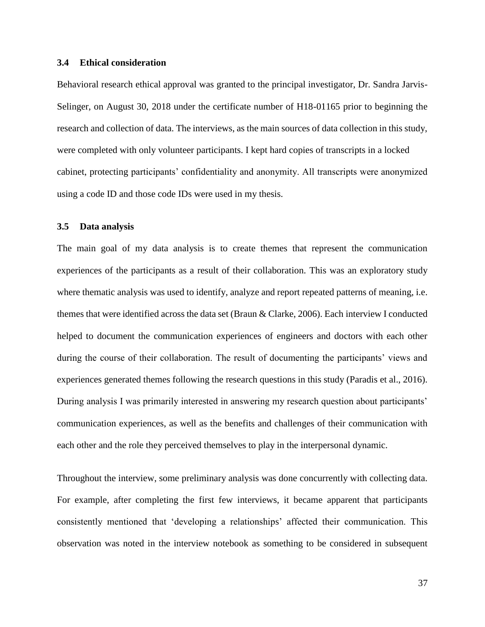#### **3.4 Ethical consideration**

Behavioral research ethical approval was granted to the principal investigator, Dr. Sandra Jarvis-Selinger, on August 30, 2018 under the certificate number of H18-01165 prior to beginning the research and collection of data. The interviews, as the main sources of data collection in this study, were completed with only volunteer participants. I kept hard copies of transcripts in a locked cabinet, protecting participants' confidentiality and anonymity. All transcripts were anonymized using a code ID and those code IDs were used in my thesis.

#### **3.5 Data analysis**

The main goal of my data analysis is to create themes that represent the communication experiences of the participants as a result of their collaboration. This was an exploratory study where thematic analysis was used to identify, analyze and report repeated patterns of meaning, i.e. themes that were identified across the data set (Braun & Clarke, 2006). Each interview I conducted helped to document the communication experiences of engineers and doctors with each other during the course of their collaboration. The result of documenting the participants' views and experiences generated themes following the research questions in this study (Paradis et al., 2016). During analysis I was primarily interested in answering my research question about participants' communication experiences, as well as the benefits and challenges of their communication with each other and the role they perceived themselves to play in the interpersonal dynamic.

Throughout the interview, some preliminary analysis was done concurrently with collecting data. For example, after completing the first few interviews, it became apparent that participants consistently mentioned that 'developing a relationships' affected their communication. This observation was noted in the interview notebook as something to be considered in subsequent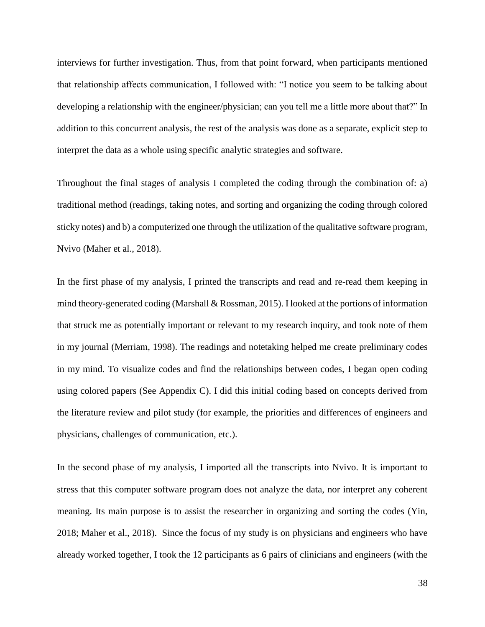interviews for further investigation. Thus, from that point forward, when participants mentioned that relationship affects communication, I followed with: "I notice you seem to be talking about developing a relationship with the engineer/physician; can you tell me a little more about that?" In addition to this concurrent analysis, the rest of the analysis was done as a separate, explicit step to interpret the data as a whole using specific analytic strategies and software.

Throughout the final stages of analysis I completed the coding through the combination of: a) traditional method (readings, taking notes, and sorting and organizing the coding through colored sticky notes) and b) a computerized one through the utilization of the qualitative software program, Nvivo (Maher et al., 2018).

In the first phase of my analysis, I printed the transcripts and read and re-read them keeping in mind theory-generated coding (Marshall & Rossman, 2015). I looked at the portions of information that struck me as potentially important or relevant to my research inquiry, and took note of them in my journal (Merriam, 1998). The readings and notetaking helped me create preliminary codes in my mind. To visualize codes and find the relationships between codes, I began open coding using colored papers (See Appendix C). I did this initial coding based on concepts derived from the literature review and pilot study (for example, the priorities and differences of engineers and physicians, challenges of communication, etc.).

In the second phase of my analysis, I imported all the transcripts into Nvivo. It is important to stress that this computer software program does not analyze the data, nor interpret any coherent meaning. Its main purpose is to assist the researcher in organizing and sorting the codes (Yin, 2018; Maher et al., 2018). Since the focus of my study is on physicians and engineers who have already worked together, I took the 12 participants as 6 pairs of clinicians and engineers (with the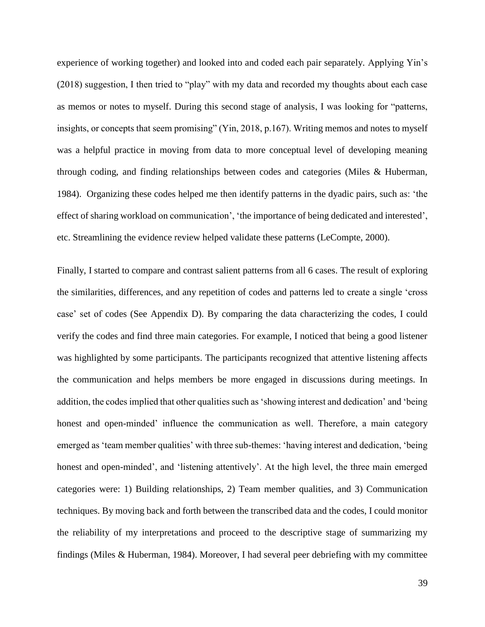experience of working together) and looked into and coded each pair separately. Applying Yin's (2018) suggestion, I then tried to "play" with my data and recorded my thoughts about each case as memos or notes to myself. During this second stage of analysis, I was looking for "patterns, insights, or concepts that seem promising" (Yin, 2018, p.167). Writing memos and notes to myself was a helpful practice in moving from data to more conceptual level of developing meaning through coding, and finding relationships between codes and categories (Miles & Huberman, 1984). Organizing these codes helped me then identify patterns in the dyadic pairs, such as: 'the effect of sharing workload on communication', 'the importance of being dedicated and interested', etc. Streamlining the evidence review helped validate these patterns (LeCompte, 2000).

Finally, I started to compare and contrast salient patterns from all 6 cases. The result of exploring the similarities, differences, and any repetition of codes and patterns led to create a single 'cross case' set of codes (See Appendix D). By comparing the data characterizing the codes, I could verify the codes and find three main categories. For example, I noticed that being a good listener was highlighted by some participants. The participants recognized that attentive listening affects the communication and helps members be more engaged in discussions during meetings. In addition, the codes implied that other qualities such as 'showing interest and dedication' and 'being honest and open-minded' influence the communication as well. Therefore, a main category emerged as 'team member qualities' with three sub-themes: 'having interest and dedication, 'being honest and open-minded', and 'listening attentively'. At the high level, the three main emerged categories were: 1) Building relationships, 2) Team member qualities, and 3) Communication techniques. By moving back and forth between the transcribed data and the codes, I could monitor the reliability of my interpretations and proceed to the descriptive stage of summarizing my findings (Miles & Huberman, 1984). Moreover, I had several peer debriefing with my committee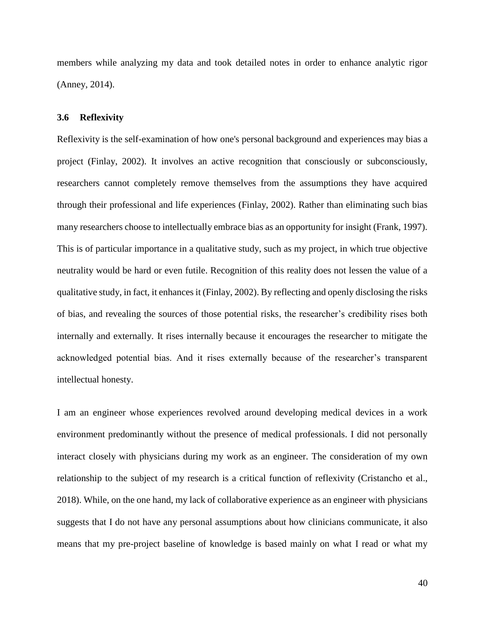members while analyzing my data and took detailed notes in order to enhance analytic rigor (Anney, 2014).

#### **3.6 Reflexivity**

Reflexivity is the self-examination of how one's personal background and experiences may bias a project (Finlay, 2002). It involves an active recognition that consciously or subconsciously, researchers cannot completely remove themselves from the assumptions they have acquired through their professional and life experiences (Finlay, 2002). Rather than eliminating such bias many researchers choose to intellectually embrace bias as an opportunity for insight (Frank, 1997). This is of particular importance in a qualitative study, such as my project, in which true objective neutrality would be hard or even futile. Recognition of this reality does not lessen the value of a qualitative study, in fact, it enhances it (Finlay, 2002). By reflecting and openly disclosing the risks of bias, and revealing the sources of those potential risks, the researcher's credibility rises both internally and externally. It rises internally because it encourages the researcher to mitigate the acknowledged potential bias. And it rises externally because of the researcher's transparent intellectual honesty.

I am an engineer whose experiences revolved around developing medical devices in a work environment predominantly without the presence of medical professionals. I did not personally interact closely with physicians during my work as an engineer. The consideration of my own relationship to the subject of my research is a critical function of reflexivity (Cristancho et al., 2018). While, on the one hand, my lack of collaborative experience as an engineer with physicians suggests that I do not have any personal assumptions about how clinicians communicate, it also means that my pre-project baseline of knowledge is based mainly on what I read or what my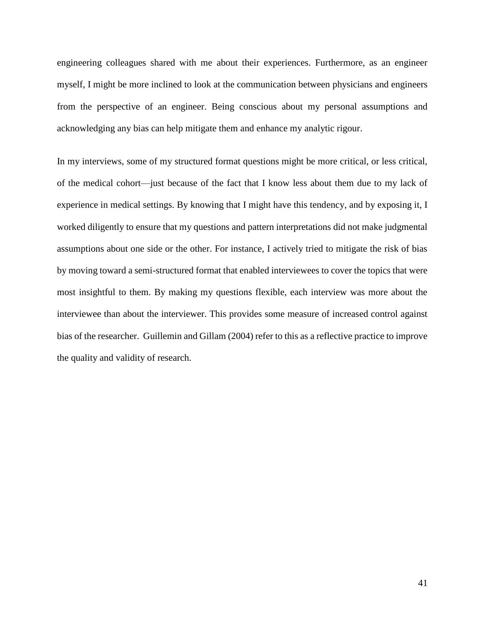engineering colleagues shared with me about their experiences. Furthermore, as an engineer myself, I might be more inclined to look at the communication between physicians and engineers from the perspective of an engineer. Being conscious about my personal assumptions and acknowledging any bias can help mitigate them and enhance my analytic rigour.

In my interviews, some of my structured format questions might be more critical, or less critical, of the medical cohort—just because of the fact that I know less about them due to my lack of experience in medical settings. By knowing that I might have this tendency, and by exposing it, I worked diligently to ensure that my questions and pattern interpretations did not make judgmental assumptions about one side or the other. For instance, I actively tried to mitigate the risk of bias by moving toward a semi-structured format that enabled interviewees to cover the topics that were most insightful to them. By making my questions flexible, each interview was more about the interviewee than about the interviewer. This provides some measure of increased control against bias of the researcher. Guillemin and Gillam (2004) refer to this as a reflective practice to improve the quality and validity of research.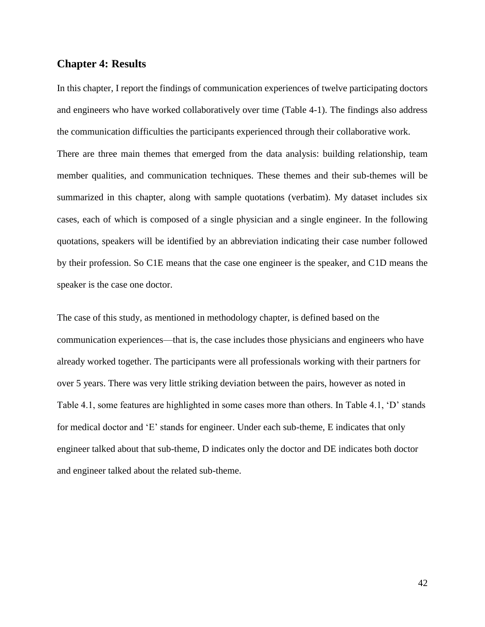### **Chapter 4: Results**

In this chapter, I report the findings of communication experiences of twelve participating doctors and engineers who have worked collaboratively over time (Table 4-1). The findings also address the communication difficulties the participants experienced through their collaborative work.

There are three main themes that emerged from the data analysis: building relationship, team member qualities, and communication techniques. These themes and their sub-themes will be summarized in this chapter, along with sample quotations (verbatim). My dataset includes six cases, each of which is composed of a single physician and a single engineer. In the following quotations, speakers will be identified by an abbreviation indicating their case number followed by their profession. So C1E means that the case one engineer is the speaker, and C1D means the speaker is the case one doctor.

The case of this study, as mentioned in methodology chapter, is defined based on the communication experiences—that is, the case includes those physicians and engineers who have already worked together. The participants were all professionals working with their partners for over 5 years. There was very little striking deviation between the pairs, however as noted in Table 4.1, some features are highlighted in some cases more than others. In Table 4.1, 'D' stands for medical doctor and 'E' stands for engineer. Under each sub-theme, E indicates that only engineer talked about that sub-theme, D indicates only the doctor and DE indicates both doctor and engineer talked about the related sub-theme.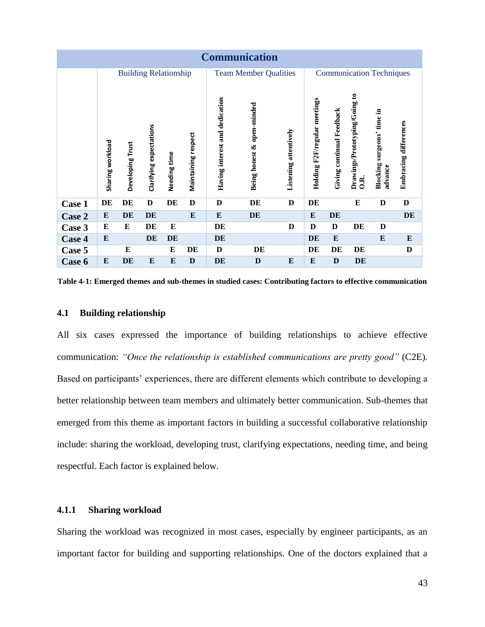| <b>Communication</b> |                              |                  |                         |              |                     |                                |                            |                       |                                 |                           |                                                   |                                          |                       |
|----------------------|------------------------------|------------------|-------------------------|--------------|---------------------|--------------------------------|----------------------------|-----------------------|---------------------------------|---------------------------|---------------------------------------------------|------------------------------------------|-----------------------|
|                      | <b>Building Relationship</b> |                  |                         |              |                     | <b>Team Member Qualities</b>   |                            |                       | <b>Communication Techniques</b> |                           |                                                   |                                          |                       |
|                      | Sharing workload             | Developing Trust | Clarifying expectations | Needing time | Maintaining respect | Having interest and dedication | Being honest & open-minded | Listening attentively | Holding F2F/regular meetings    | Giving continual Feedback | Drawings/Prototyping/Going to<br>$0.\overline{R}$ | surgeons' time in<br>Blocking<br>advance | Embracing differences |
| Case 1               | DE                           | DE               | D                       | DE           | D                   | D                              | DE                         | D                     | DE                              |                           | E                                                 | D                                        | D                     |
| Case 2               | E                            | DE               | DE                      |              | ${\bf E}$           | E                              | DE                         |                       | E                               | DE                        |                                                   |                                          | DE                    |
| Case 3               | E                            | E                | DE                      | E            |                     | DE                             |                            | D                     | D                               | D                         | DE                                                | D                                        |                       |
| Case 4               | ${\bf E}$                    |                  | DE                      | DE           |                     | DE                             |                            |                       | <b>DE</b>                       | E                         |                                                   | E                                        | E                     |
| Case 5               |                              | E                |                         | E            | DE                  | D                              | DE                         |                       | DE                              | DE                        | DE                                                |                                          | D                     |
| Case 6               | E                            | DE               | E                       | E            | D                   | DE                             | D                          | E                     | E                               | D                         | DE                                                |                                          |                       |

**Table 4-1: Emerged themes and sub-themes in studied cases: Contributing factors to effective communication** 

### **4.1 Building relationship**

All six cases expressed the importance of building relationships to achieve effective communication: *"Once the relationship is established communications are pretty good"* (C2E)*.*  Based on participants' experiences, there are different elements which contribute to developing a better relationship between team members and ultimately better communication. Sub-themes that emerged from this theme as important factors in building a successful collaborative relationship include: sharing the workload, developing trust, clarifying expectations, needing time, and being respectful. Each factor is explained below.

## **4.1.1 Sharing workload**

Sharing the workload was recognized in most cases, especially by engineer participants, as an important factor for building and supporting relationships. One of the doctors explained that a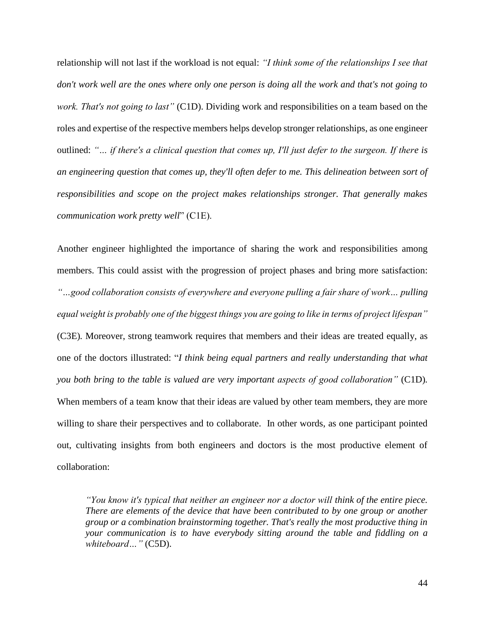relationship will not last if the workload is not equal: *"I think some of the relationships I see that don't work well are the ones where only one person is doing all the work and that's not going to work. That's not going to last"* (C1D). Dividing work and responsibilities on a team based on the roles and expertise of the respective members helps develop stronger relationships, as one engineer outlined: *"… if there's a clinical question that comes up, I'll just defer to the surgeon. If there is an engineering question that comes up, they'll often defer to me. This delineation between sort of responsibilities and scope on the project makes relationships stronger. That generally makes communication work pretty well*" (C1E).

Another engineer highlighted the importance of sharing the work and responsibilities among members. This could assist with the progression of project phases and bring more satisfaction: *"…good collaboration consists of everywhere and everyone pulling a fair share of work… pulling equal weight is probably one of the biggest things you are going to like in terms of project lifespan"*

(C3E)*.* Moreover, strong teamwork requires that members and their ideas are treated equally, as one of the doctors illustrated: "*I think being equal partners and really understanding that what you both bring to the table is valued are very important aspects of good collaboration"* (C1D)*.* When members of a team know that their ideas are valued by other team members, they are more willing to share their perspectives and to collaborate. In other words, as one participant pointed out, cultivating insights from both engineers and doctors is the most productive element of collaboration:

*"You know it's typical that neither an engineer nor a doctor will think of the entire piece. There are elements of the device that have been contributed to by one group or another group or a combination brainstorming together. That's really the most productive thing in your communication is to have everybody sitting around the table and fiddling on a whiteboard…"* (C5D).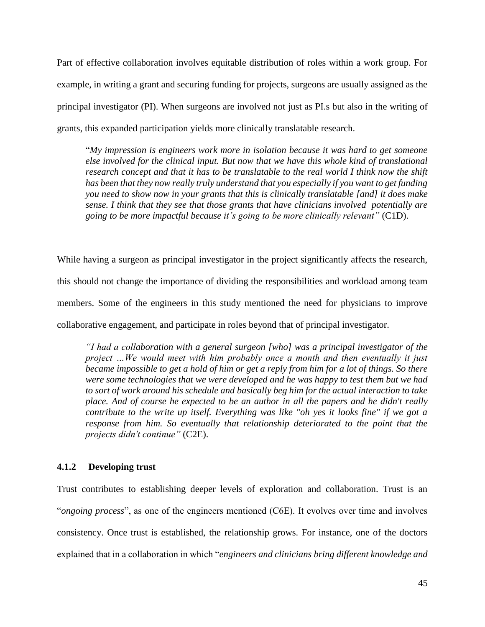Part of effective collaboration involves equitable distribution of roles within a work group. For example, in writing a grant and securing funding for projects, surgeons are usually assigned as the principal investigator (PI). When surgeons are involved not just as PI.s but also in the writing of grants, this expanded participation yields more clinically translatable research.

"*My impression is engineers work more in isolation because it was hard to get someone else involved for the clinical input. But now that we have this whole kind of translational research concept and that it has to be translatable to the real world I think now the shift has been that they now really truly understand that you especially if you want to get funding you need to show now in your grants that this is clinically translatable [and] it does make sense. I think that they see that those grants that have clinicians involved potentially are going to be more impactful because it's going to be more clinically relevant"* (C1D).

While having a surgeon as principal investigator in the project significantly affects the research, this should not change the importance of dividing the responsibilities and workload among team members. Some of the engineers in this study mentioned the need for physicians to improve collaborative engagement, and participate in roles beyond that of principal investigator.

*"I had a collaboration with a general surgeon [who] was a principal investigator of the project …We would meet with him probably once a month and then eventually it just became impossible to get a hold of him or get a reply from him for a lot of things. So there were some technologies that we were developed and he was happy to test them but we had to sort of work around his schedule and basically beg him for the actual interaction to take place. And of course he expected to be an author in all the papers and he didn't really contribute to the write up itself. Everything was like "oh yes it looks fine" if we got a response from him. So eventually that relationship deteriorated to the point that the projects didn't continue"* (C2E).

### **4.1.2 Developing trust**

Trust contributes to establishing deeper levels of exploration and collaboration. Trust is an "*ongoing process*", as one of the engineers mentioned (C6E). It evolves over time and involves consistency. Once trust is established, the relationship grows. For instance, one of the doctors explained that in a collaboration in which "*engineers and clinicians bring different knowledge and*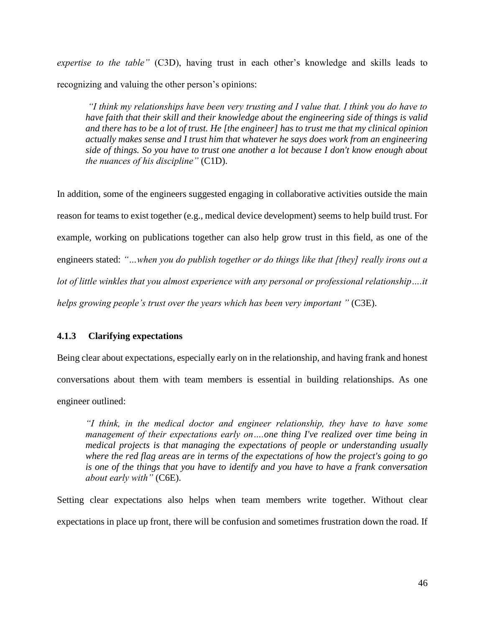*expertise to the table"* (C3D), having trust in each other's knowledge and skills leads to recognizing and valuing the other person's opinions:

*"I think my relationships have been very trusting and I value that. I think you do have to have faith that their skill and their knowledge about the engineering side of things is valid and there has to be a lot of trust. He [the engineer] has to trust me that my clinical opinion actually makes sense and I trust him that whatever he says does work from an engineering side of things. So you have to trust one another a lot because I don't know enough about the nuances of his discipline"* (C1D).

In addition, some of the engineers suggested engaging in collaborative activities outside the main reason for teams to exist together (e.g., medical device development) seems to help build trust. For example, working on publications together can also help grow trust in this field, as one of the engineers stated: *"…when you do publish together or do things like that [they] really irons out a lot of little winkles that you almost experience with any personal or professional relationship….it helps growing people's trust over the years which has been very important "* (C3E).

# **4.1.3 Clarifying expectations**

Being clear about expectations, especially early on in the relationship, and having frank and honest conversations about them with team members is essential in building relationships. As one engineer outlined:

*"I think, in the medical doctor and engineer relationship, they have to have some management of their expectations early on….one thing I've realized over time being in medical projects is that managing the expectations of people or understanding usually where the red flag areas are in terms of the expectations of how the project's going to go is one of the things that you have to identify and you have to have a frank conversation about early with"* (C6E).

Setting clear expectations also helps when team members write together. Without clear expectations in place up front, there will be confusion and sometimes frustration down the road. If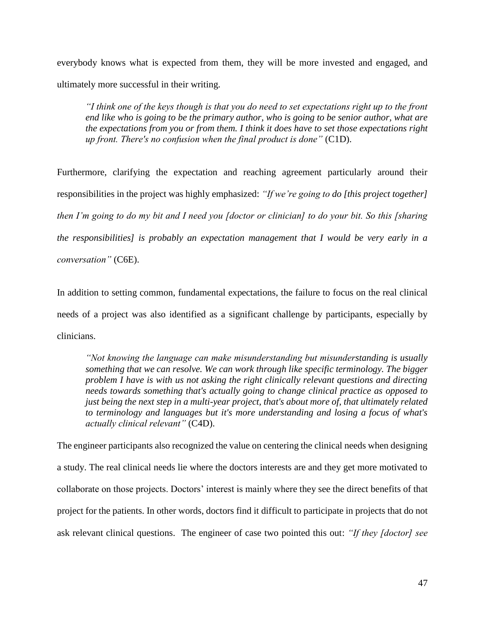everybody knows what is expected from them, they will be more invested and engaged, and ultimately more successful in their writing.

*"I think one of the keys though is that you do need to set expectations right up to the front end like who is going to be the primary author, who is going to be senior author, what are the expectations from you or from them. I think it does have to set those expectations right up front. There's no confusion when the final product is done"* (C1D).

Furthermore, clarifying the expectation and reaching agreement particularly around their responsibilities in the project was highly emphasized: *"If we're going to do [this project together] then I'm going to do my bit and I need you [doctor or clinician] to do your bit. So this [sharing the responsibilities] is probably an expectation management that I would be very early in a conversation"* (C6E).

In addition to setting common, fundamental expectations, the failure to focus on the real clinical needs of a project was also identified as a significant challenge by participants, especially by clinicians.

*"Not knowing the language can make misunderstanding but misunderstanding is usually something that we can resolve. We can work through like specific terminology. The bigger problem I have is with us not asking the right clinically relevant questions and directing needs towards something that's actually going to change clinical practice as opposed to just being the next step in a multi-year project, that's about more of, that ultimately related to terminology and languages but it's more understanding and losing a focus of what's actually clinical relevant"* (C4D).

The engineer participants also recognized the value on centering the clinical needs when designing a study. The real clinical needs lie where the doctors interests are and they get more motivated to collaborate on those projects. Doctors' interest is mainly where they see the direct benefits of that project for the patients. In other words, doctors find it difficult to participate in projects that do not ask relevant clinical questions. The engineer of case two pointed this out: *"If they [doctor] see*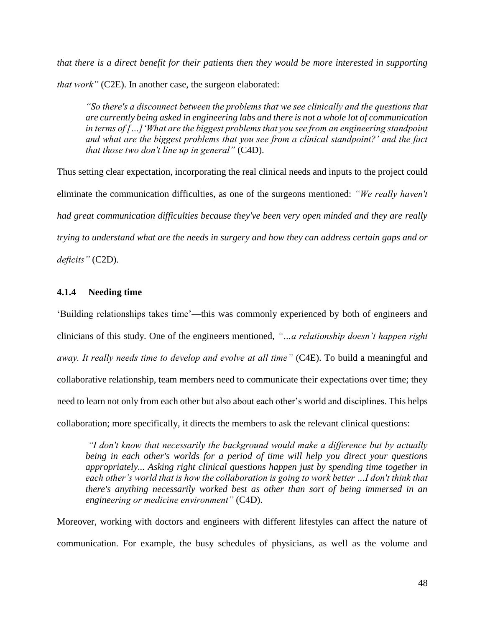*that there is a direct benefit for their patients then they would be more interested in supporting that work"* (C2E). In another case, the surgeon elaborated:

*"So there's a disconnect between the problems that we see clinically and the questions that are currently being asked in engineering labs and there is not a whole lot of communication in terms of […]'What are the biggest problems that you see from an engineering standpoint and what are the biggest problems that you see from a clinical standpoint?' and the fact that those two don't line up in general"* (C4D).

Thus setting clear expectation, incorporating the real clinical needs and inputs to the project could eliminate the communication difficulties, as one of the surgeons mentioned: *"We really haven't had great communication difficulties because they've been very open minded and they are really trying to understand what are the needs in surgery and how they can address certain gaps and or deficits"* (C2D).

### **4.1.4 Needing time**

'Building relationships takes time'—this was commonly experienced by both of engineers and clinicians of this study. One of the engineers mentioned, *"…a relationship doesn't happen right away. It really needs time to develop and evolve at all time"* (C4E). To build a meaningful and collaborative relationship, team members need to communicate their expectations over time; they need to learn not only from each other but also about each other's world and disciplines. This helps collaboration; more specifically, it directs the members to ask the relevant clinical questions:

*"I don't know that necessarily the background would make a difference but by actually being in each other's worlds for a period of time will help you direct your questions appropriately... Asking right clinical questions happen just by spending time together in*  each other's world that is how the collaboration is going to work better ...I don't think that *there's anything necessarily worked best as other than sort of being immersed in an engineering or medicine environment"* (C4D).

Moreover, working with doctors and engineers with different lifestyles can affect the nature of communication. For example, the busy schedules of physicians, as well as the volume and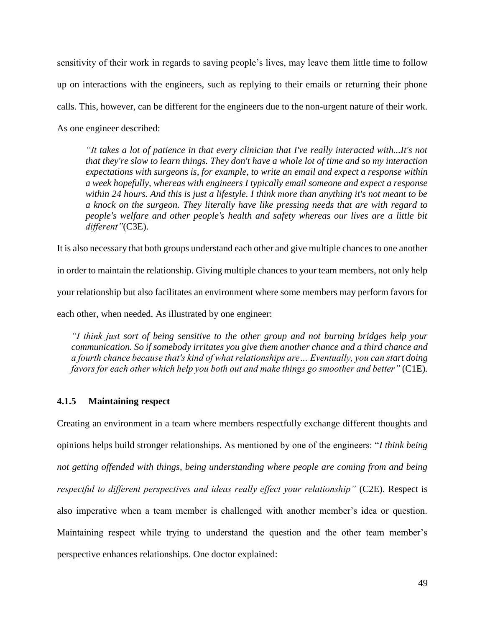sensitivity of their work in regards to saving people's lives, may leave them little time to follow up on interactions with the engineers, such as replying to their emails or returning their phone calls. This, however, can be different for the engineers due to the non-urgent nature of their work. As one engineer described:

*"It takes a lot of patience in that every clinician that I've really interacted with...It's not that they're slow to learn things. They don't have a whole lot of time and so my interaction expectations with surgeons is, for example, to write an email and expect a response within a week hopefully, whereas with engineers I typically email someone and expect a response within 24 hours. And this is just a lifestyle. I think more than anything it's not meant to be a knock on the surgeon. They literally have like pressing needs that are with regard to people's welfare and other people's health and safety whereas our lives are a little bit different"*(C3E).

It is also necessary that both groups understand each other and give multiple chances to one another

in order to maintain the relationship. Giving multiple chances to your team members, not only help your relationship but also facilitates an environment where some members may perform favors for each other, when needed. As illustrated by one engineer:

*"I think just sort of being sensitive to the other group and not burning bridges help your communication. So if somebody irritates you give them another chance and a third chance and a fourth chance because that's kind of what relationships are… Eventually, you can start doing favors for each other which help you both out and make things go smoother and better"* (C1E)*.*

### **4.1.5 Maintaining respect**

Creating an environment in a team where members respectfully exchange different thoughts and opinions helps build stronger relationships. As mentioned by one of the engineers: "*I think being not getting offended with things, being understanding where people are coming from and being respectful to different perspectives and ideas really effect your relationship"* (C2E). Respect is also imperative when a team member is challenged with another member's idea or question. Maintaining respect while trying to understand the question and the other team member's perspective enhances relationships. One doctor explained: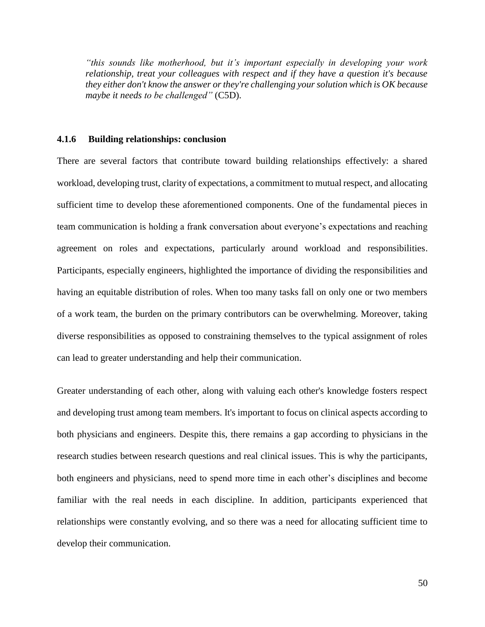*"this sounds like motherhood, but it's important especially in developing your work relationship, treat your colleagues with respect and if they have a question it's because they either don't know the answer or they're challenging your solution which is OK because maybe it needs to be challenged"* (C5D).

### **4.1.6 Building relationships: conclusion**

There are several factors that contribute toward building relationships effectively: a shared workload, developing trust, clarity of expectations, a commitment to mutual respect, and allocating sufficient time to develop these aforementioned components. One of the fundamental pieces in team communication is holding a frank conversation about everyone's expectations and reaching agreement on roles and expectations, particularly around workload and responsibilities. Participants, especially engineers, highlighted the importance of dividing the responsibilities and having an equitable distribution of roles. When too many tasks fall on only one or two members of a work team, the burden on the primary contributors can be overwhelming. Moreover, taking diverse responsibilities as opposed to constraining themselves to the typical assignment of roles can lead to greater understanding and help their communication.

Greater understanding of each other, along with valuing each other's knowledge fosters respect and developing trust among team members. It's important to focus on clinical aspects according to both physicians and engineers. Despite this, there remains a gap according to physicians in the research studies between research questions and real clinical issues. This is why the participants, both engineers and physicians, need to spend more time in each other's disciplines and become familiar with the real needs in each discipline. In addition, participants experienced that relationships were constantly evolving, and so there was a need for allocating sufficient time to develop their communication.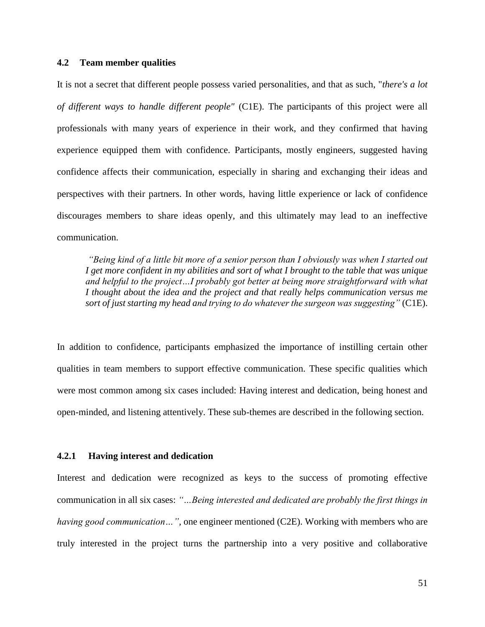### **4.2 Team member qualities**

It is not a secret that different people possess varied personalities, and that as such, "*there's a lot of different ways to handle different people"* (C1E). The participants of this project were all professionals with many years of experience in their work, and they confirmed that having experience equipped them with confidence. Participants, mostly engineers, suggested having confidence affects their communication, especially in sharing and exchanging their ideas and perspectives with their partners. In other words, having little experience or lack of confidence discourages members to share ideas openly, and this ultimately may lead to an ineffective communication.

*"Being kind of a little bit more of a senior person than I obviously was when I started out I get more confident in my abilities and sort of what I brought to the table that was unique and helpful to the project…I probably got better at being more straightforward with what I thought about the idea and the project and that really helps communication versus me sort of just starting my head and trying to do whatever the surgeon was suggesting"* (C1E).

In addition to confidence, participants emphasized the importance of instilling certain other qualities in team members to support effective communication. These specific qualities which were most common among six cases included: Having interest and dedication, being honest and open-minded, and listening attentively. These sub-themes are described in the following section.

#### **4.2.1 Having interest and dedication**

Interest and dedication were recognized as keys to the success of promoting effective communication in all six cases: *"…Being interested and dedicated are probably the first things in having good communication…"*, one engineer mentioned (C2E). Working with members who are truly interested in the project turns the partnership into a very positive and collaborative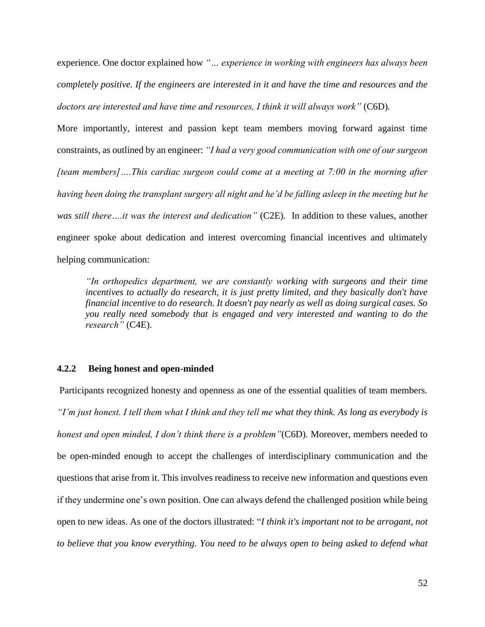experience. One doctor explained how *"… experience in working with engineers has always been completely positive. If the engineers are interested in it and have the time and resources and the doctors are interested and have time and resources, I think it will always work"* (C6D)*.* 

More importantly, interest and passion kept team members moving forward against time constraints, as outlined by an engineer: *"I had a very good communication with one of our surgeon [team members]….This cardiac surgeon could come at a meeting at 7:00 in the morning after having been doing the transplant surgery all night and he'd be falling asleep in the meeting but he was still there….it was the interest and dedication"* (C2E)*.* In addition to these values, another engineer spoke about dedication and interest overcoming financial incentives and ultimately helping communication:

*"In orthopedics department, we are constantly working with surgeons and their time incentives to actually do research, it is just pretty limited, and they basically don't have financial incentive to do research. It doesn't pay nearly as well as doing surgical cases. So you really need somebody that is engaged and very interested and wanting to do the research"* (C4E).

### **4.2.2 Being honest and open-minded**

Participants recognized honesty and openness as one of the essential qualities of team members. *"I'm just honest. I tell them what I think and they tell me what they think. As long as everybody is honest and open minded, I don't think there is a problem"*(C6D). Moreover, members needed to be open-minded enough to accept the challenges of interdisciplinary communication and the questions that arise from it. This involves readiness to receive new information and questions even if they undermine one's own position. One can always defend the challenged position while being open to new ideas. As one of the doctors illustrated: "*I think it's important not to be arrogant, not to believe that you know everything. You need to be always open to being asked to defend what*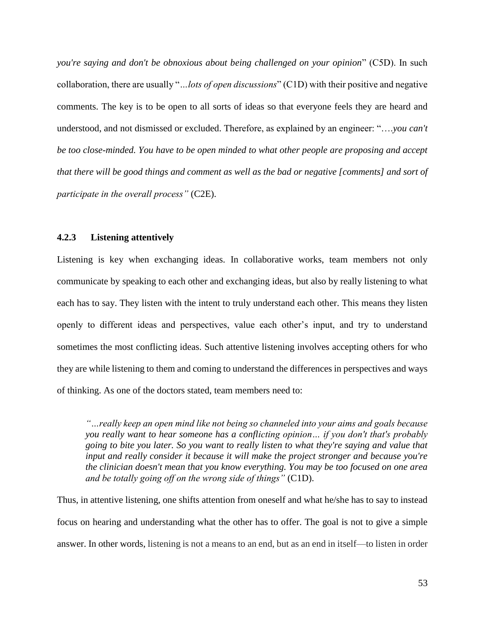*you're saying and don't be obnoxious about being challenged on your opinion*" (C5D). In such collaboration, there are usually "*…lots of open discussions*" (C1D) with their positive and negative comments. The key is to be open to all sorts of ideas so that everyone feels they are heard and understood, and not dismissed or excluded. Therefore, as explained by an engineer: "….*you can't be too close-minded. You have to be open minded to what other people are proposing and accept that there will be good things and comment as well as the bad or negative [comments] and sort of participate in the overall process"* (C2E).

### **4.2.3 Listening attentively**

Listening is key when exchanging ideas. In collaborative works, team members not only communicate by speaking to each other and exchanging ideas, but also by really listening to what each has to say. They listen with the intent to truly understand each other. This means they listen openly to different ideas and perspectives, value each other's input, and try to understand sometimes the most conflicting ideas. Such attentive listening involves accepting others for who they are while listening to them and coming to understand the differences in perspectives and ways of thinking. As one of the doctors stated, team members need to:

*"…really keep an open mind like not being so channeled into your aims and goals because you really want to hear someone has a conflicting opinion… if you don't that's probably going to bite you later. So you want to really listen to what they're saying and value that input and really consider it because it will make the project stronger and because you're the clinician doesn't mean that you know everything. You may be too focused on one area and be totally going off on the wrong side of things"* (C1D).

Thus, in attentive listening, one shifts attention from oneself and what he/she has to say to instead focus on hearing and understanding what the other has to offer. The goal is not to give a simple answer. In other words, listening is not a means to an end, but as an end in itself—to listen in order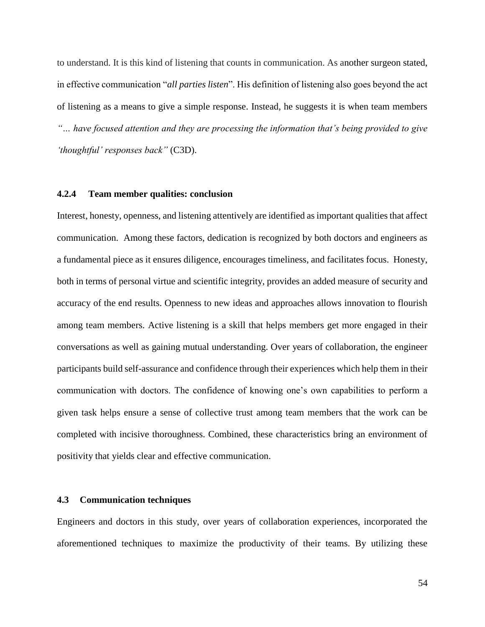to understand. It is this kind of listening that counts in communication. As another surgeon stated, in effective communication "*all parties listen*". His definition of listening also goes beyond the act of listening as a means to give a simple response. Instead, he suggests it is when team members *"… have focused attention and they are processing the information that's being provided to give 'thoughtful' responses back"* (C3D).

#### **4.2.4 Team member qualities: conclusion**

Interest, honesty, openness, and listening attentively are identified as important qualities that affect communication. Among these factors, dedication is recognized by both doctors and engineers as a fundamental piece as it ensures diligence, encourages timeliness, and facilitates focus. Honesty, both in terms of personal virtue and scientific integrity, provides an added measure of security and accuracy of the end results. Openness to new ideas and approaches allows innovation to flourish among team members. Active listening is a skill that helps members get more engaged in their conversations as well as gaining mutual understanding. Over years of collaboration, the engineer participants build self-assurance and confidence through their experiences which help them in their communication with doctors. The confidence of knowing one's own capabilities to perform a given task helps ensure a sense of collective trust among team members that the work can be completed with incisive thoroughness. Combined, these characteristics bring an environment of positivity that yields clear and effective communication.

#### **4.3 Communication techniques**

Engineers and doctors in this study, over years of collaboration experiences, incorporated the aforementioned techniques to maximize the productivity of their teams. By utilizing these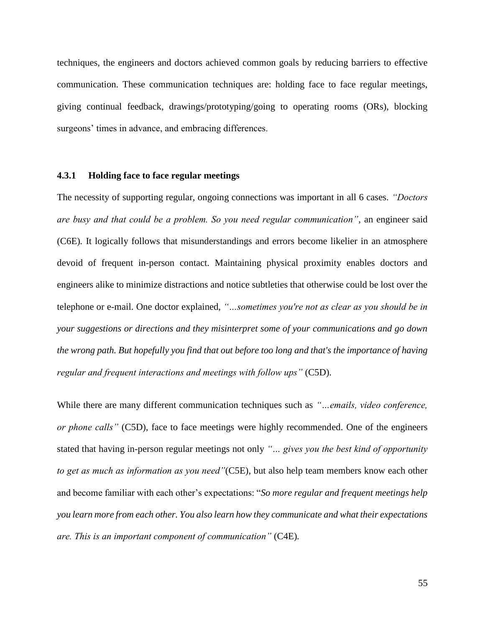techniques, the engineers and doctors achieved common goals by reducing barriers to effective communication. These communication techniques are: holding face to face regular meetings, giving continual feedback, drawings/prototyping/going to operating rooms (ORs), blocking surgeons' times in advance, and embracing differences.

### **4.3.1 Holding face to face regular meetings**

The necessity of supporting regular, ongoing connections was important in all 6 cases. *"Doctors are busy and that could be a problem. So you need regular communication"*, an engineer said (C6E)*.* It logically follows that misunderstandings and errors become likelier in an atmosphere devoid of frequent in-person contact. Maintaining physical proximity enables doctors and engineers alike to minimize distractions and notice subtleties that otherwise could be lost over the telephone or e-mail. One doctor explained, *"…sometimes you're not as clear as you should be in your suggestions or directions and they misinterpret some of your communications and go down the wrong path. But hopefully you find that out before too long and that's the importance of having regular and frequent interactions and meetings with follow ups"* (C5D).

While there are many different communication techniques such as *"…emails, video conference, or phone calls"* (C5D), face to face meetings were highly recommended. One of the engineers stated that having in-person regular meetings not only *"… gives you the best kind of opportunity to get as much as information as you need"*(C5E)*,* but also help team members know each other and become familiar with each other's expectations: "*So more regular and frequent meetings help you learn more from each other. You also learn how they communicate and what their expectations are. This is an important component of communication"* (C4E)*.*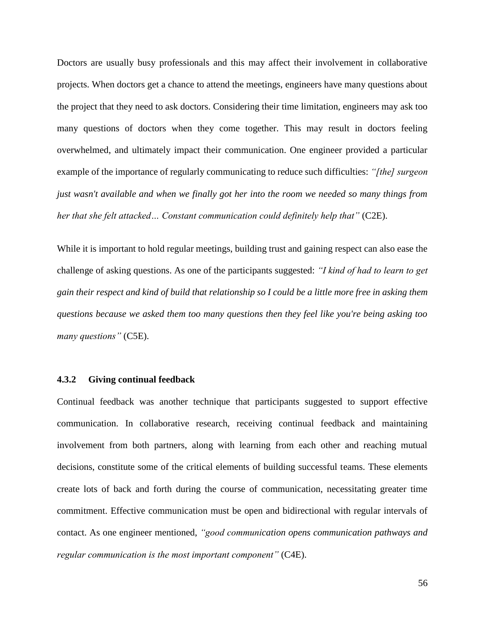Doctors are usually busy professionals and this may affect their involvement in collaborative projects. When doctors get a chance to attend the meetings, engineers have many questions about the project that they need to ask doctors. Considering their time limitation, engineers may ask too many questions of doctors when they come together. This may result in doctors feeling overwhelmed, and ultimately impact their communication. One engineer provided a particular example of the importance of regularly communicating to reduce such difficulties: *"[the] surgeon just wasn't available and when we finally got her into the room we needed so many things from her that she felt attacked… Constant communication could definitely help that"* (C2E).

While it is important to hold regular meetings, building trust and gaining respect can also ease the challenge of asking questions. As one of the participants suggested: *"I kind of had to learn to get gain their respect and kind of build that relationship so I could be a little more free in asking them questions because we asked them too many questions then they feel like you're being asking too many questions"* (C5E).

### **4.3.2 Giving continual feedback**

Continual feedback was another technique that participants suggested to support effective communication. In collaborative research, receiving continual feedback and maintaining involvement from both partners, along with learning from each other and reaching mutual decisions, constitute some of the critical elements of building successful teams. These elements create lots of back and forth during the course of communication, necessitating greater time commitment. Effective communication must be open and bidirectional with regular intervals of contact. As one engineer mentioned, *"good communication opens communication pathways and regular communication is the most important component"* (C4E).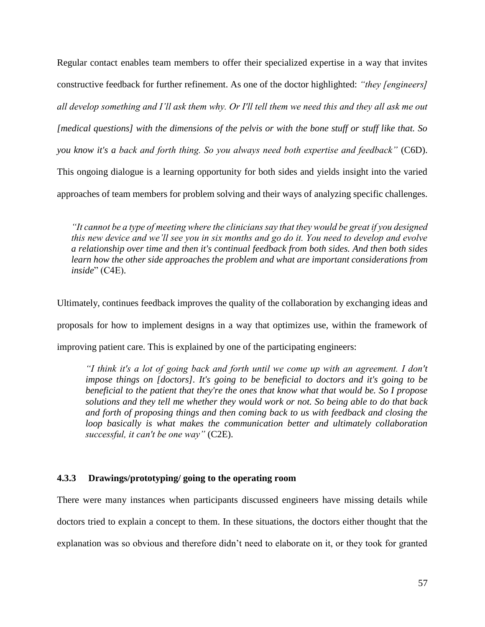Regular contact enables team members to offer their specialized expertise in a way that invites constructive feedback for further refinement. As one of the doctor highlighted: *"they [engineers] all develop something and I'll ask them why. Or I'll tell them we need this and they all ask me out [medical questions] with the dimensions of the pelvis or with the bone stuff or stuff like that. So you know it's a back and forth thing. So you always need both expertise and feedback"* (C6D). This ongoing dialogue is a learning opportunity for both sides and yields insight into the varied approaches of team members for problem solving and their ways of analyzing specific challenges.

*"It cannot be a type of meeting where the clinicians say that they would be great if you designed this new device and we'll see you in six months and go do it. You need to develop and evolve a relationship over time and then it's continual feedback from both sides. And then both sides learn how the other side approaches the problem and what are important considerations from inside*" (C4E).

Ultimately, continues feedback improves the quality of the collaboration by exchanging ideas and proposals for how to implement designs in a way that optimizes use, within the framework of improving patient care. This is explained by one of the participating engineers:

*"I think it's a lot of going back and forth until we come up with an agreement. I don't impose things on [doctors]. It's going to be beneficial to doctors and it's going to be beneficial to the patient that they're the ones that know what that would be. So I propose solutions and they tell me whether they would work or not. So being able to do that back and forth of proposing things and then coming back to us with feedback and closing the loop basically is what makes the communication better and ultimately collaboration successful, it can't be one way"* (C2E).

### **4.3.3 Drawings/prototyping/ going to the operating room**

There were many instances when participants discussed engineers have missing details while doctors tried to explain a concept to them. In these situations, the doctors either thought that the explanation was so obvious and therefore didn't need to elaborate on it, or they took for granted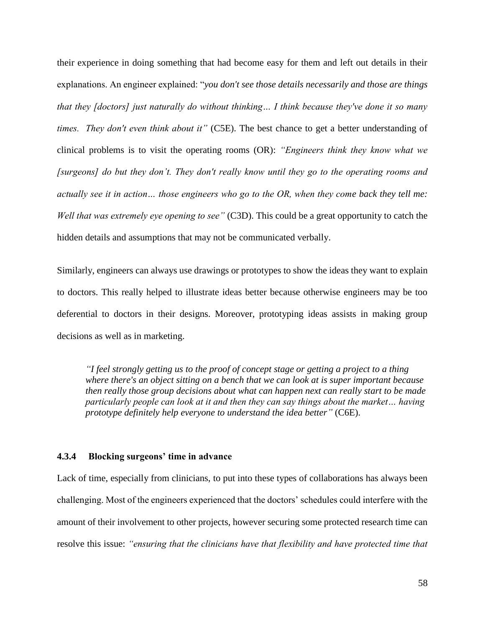their experience in doing something that had become easy for them and left out details in their explanations. An engineer explained: "*you don't see those details necessarily and those are things that they [doctors] just naturally do without thinking… I think because they've done it so many times. They don't even think about it"* (C5E). The best chance to get a better understanding of clinical problems is to visit the operating rooms (OR): *"Engineers think they know what we [surgeons] do but they don't. They don't really know until they go to the operating rooms and actually see it in action… those engineers who go to the OR, when they come back they tell me: Well that was extremely eye opening to see"* (C3D). This could be a great opportunity to catch the hidden details and assumptions that may not be communicated verbally.

Similarly, engineers can always use drawings or prototypes to show the ideas they want to explain to doctors. This really helped to illustrate ideas better because otherwise engineers may be too deferential to doctors in their designs. Moreover, prototyping ideas assists in making group decisions as well as in marketing.

*"I feel strongly getting us to the proof of concept stage or getting a project to a thing where there's an object sitting on a bench that we can look at is super important because then really those group decisions about what can happen next can really start to be made particularly people can look at it and then they can say things about the market… having prototype definitely help everyone to understand the idea better"* (C6E).

#### **4.3.4 Blocking surgeons' time in advance**

Lack of time, especially from clinicians, to put into these types of collaborations has always been challenging. Most of the engineers experienced that the doctors' schedules could interfere with the amount of their involvement to other projects, however securing some protected research time can resolve this issue: *"ensuring that the clinicians have that flexibility and have protected time that*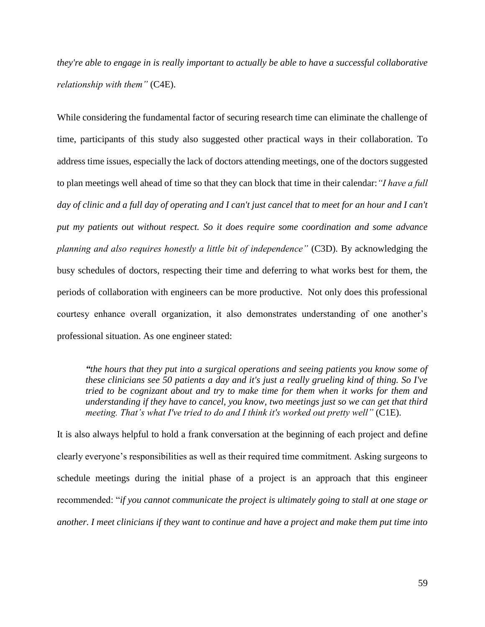*they're able to engage in is really important to actually be able to have a successful collaborative relationship with them"* (C4E).

While considering the fundamental factor of securing research time can eliminate the challenge of time, participants of this study also suggested other practical ways in their collaboration. To address time issues, especially the lack of doctors attending meetings, one of the doctors suggested to plan meetings well ahead of time so that they can block that time in their calendar:*"I have a full day of clinic and a full day of operating and I can't just cancel that to meet for an hour and I can't put my patients out without respect. So it does require some coordination and some advance planning and also requires honestly a little bit of independence"* (C3D). By acknowledging the busy schedules of doctors, respecting their time and deferring to what works best for them, the periods of collaboration with engineers can be more productive. Not only does this professional courtesy enhance overall organization, it also demonstrates understanding of one another's professional situation. As one engineer stated:

*"the hours that they put into a surgical operations and seeing patients you know some of these clinicians see 50 patients a day and it's just a really grueling kind of thing. So I've tried to be cognizant about and try to make time for them when it works for them and understanding if they have to cancel, you know, two meetings just so we can get that third meeting. That's what I've tried to do and I think it's worked out pretty well"* (C1E).

It is also always helpful to hold a frank conversation at the beginning of each project and define clearly everyone's responsibilities as well as their required time commitment. Asking surgeons to schedule meetings during the initial phase of a project is an approach that this engineer recommended: "*if you cannot communicate the project is ultimately going to stall at one stage or another. I meet clinicians if they want to continue and have a project and make them put time into*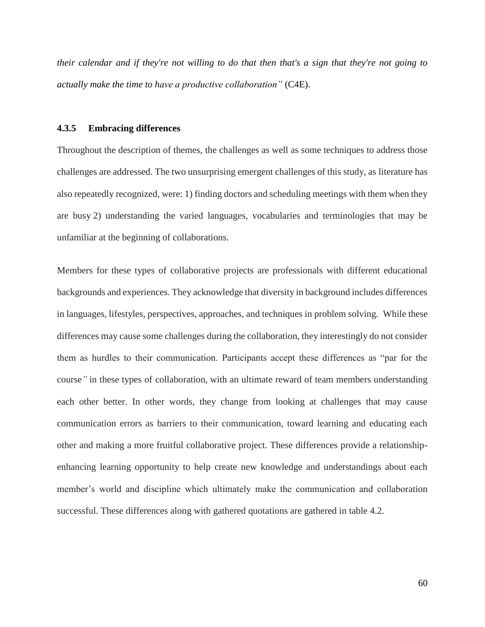*their calendar and if they're not willing to do that then that's a sign that they're not going to actually make the time to have a productive collaboration"* (C4E).

#### **4.3.5 Embracing differences**

Throughout the description of themes, the challenges as well as some techniques to address those challenges are addressed. The two unsurprising emergent challenges of this study, as literature has also repeatedly recognized, were: 1) finding doctors and scheduling meetings with them when they are busy 2) understanding the varied languages, vocabularies and terminologies that may be unfamiliar at the beginning of collaborations.

Members for these types of collaborative projects are professionals with different educational backgrounds and experiences. They acknowledge that diversity in background includes differences in languages, lifestyles, perspectives, approaches, and techniques in problem solving. While these differences may cause some challenges during the collaboration, they interestingly do not consider them as hurdles to their communication. Participants accept these differences as "par for the course*"* in these types of collaboration, with an ultimate reward of team members understanding each other better. In other words, they change from looking at challenges that may cause communication errors as barriers to their communication, toward learning and educating each other and making a more fruitful collaborative project. These differences provide a relationshipenhancing learning opportunity to help create new knowledge and understandings about each member's world and discipline which ultimately make the communication and collaboration successful. These differences along with gathered quotations are gathered in table 4.2.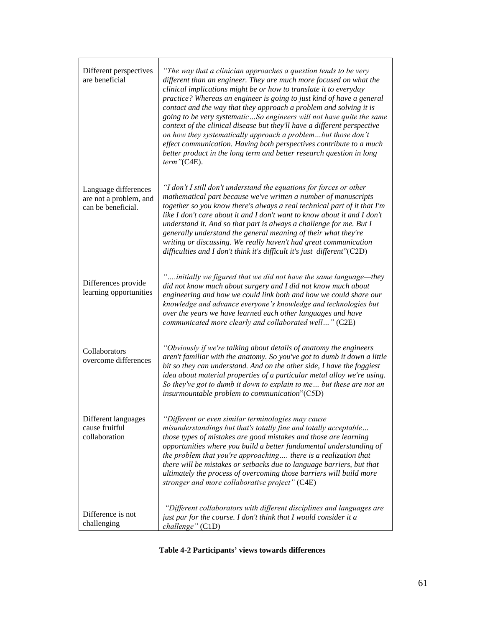| Different perspectives<br>are beneficial                             | "The way that a clinician approaches a question tends to be very<br>different than an engineer. They are much more focused on what the<br>clinical implications might be or how to translate it to everyday<br>practice? Whereas an engineer is going to just kind of have a general<br>contact and the way that they approach a problem and solving it is<br>going to be very systematicSo engineers will not have quite the same<br>context of the clinical disease but they'll have a different perspective<br>on how they systematically approach a problembut those don't<br>effect communication. Having both perspectives contribute to a much<br>better product in the long term and better research question in long<br>$term$ "(C4E). |
|----------------------------------------------------------------------|-------------------------------------------------------------------------------------------------------------------------------------------------------------------------------------------------------------------------------------------------------------------------------------------------------------------------------------------------------------------------------------------------------------------------------------------------------------------------------------------------------------------------------------------------------------------------------------------------------------------------------------------------------------------------------------------------------------------------------------------------|
| Language differences<br>are not a problem, and<br>can be beneficial. | "I don't I still don't understand the equations for forces or other<br>mathematical part because we've written a number of manuscripts<br>together so you know there's always a real technical part of it that I'm<br>like I don't care about it and I don't want to know about it and I don't<br>understand it. And so that part is always a challenge for me. But I<br>generally understand the general meaning of their what they're<br>writing or discussing. We really haven't had great communication<br>difficulties and I don't think it's difficult it's just different"(C2D)                                                                                                                                                          |
| Differences provide<br>learning opportunities                        | "initially we figured that we did not have the same language-they<br>did not know much about surgery and I did not know much about<br>engineering and how we could link both and how we could share our<br>knowledge and advance everyone's knowledge and technologies but<br>over the years we have learned each other languages and have<br>communicated more clearly and collaborated well" (C2E)                                                                                                                                                                                                                                                                                                                                            |
| Collaborators<br>overcome differences                                | "Obviously if we're talking about details of anatomy the engineers<br>aren't familiar with the anatomy. So you've got to dumb it down a little<br>bit so they can understand. And on the other side, I have the foggiest<br>idea about material properties of a particular metal alloy we're using.<br>So they've got to dumb it down to explain to me but these are not an<br>insurmountable problem to communication"(C5D)                                                                                                                                                                                                                                                                                                                    |
| Different languages<br>cause fruitful<br>collaboration               | "Different or even similar terminologies may cause<br>misunderstandings but that's totally fine and totally acceptable<br>those types of mistakes are good mistakes and those are learning<br>opportunities where you build a better fundamental understanding of<br>the problem that you're approaching there is a realization that<br>there will be mistakes or setbacks due to language barriers, but that<br>ultimately the process of overcoming those barriers will build more<br>stronger and more collaborative project" (C4E)                                                                                                                                                                                                          |
| Difference is not<br>challenging                                     | "Different collaborators with different disciplines and languages are<br>just par for the course. I don't think that I would consider it a<br>challenge" (C1D)                                                                                                                                                                                                                                                                                                                                                                                                                                                                                                                                                                                  |

**Table 4-2 Participants' views towards differences**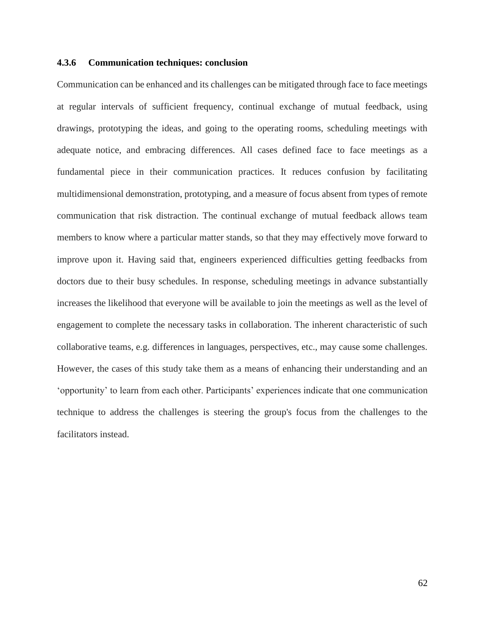### **4.3.6 Communication techniques: conclusion**

Communication can be enhanced and its challenges can be mitigated through face to face meetings at regular intervals of sufficient frequency, continual exchange of mutual feedback, using drawings, prototyping the ideas, and going to the operating rooms, scheduling meetings with adequate notice, and embracing differences. All cases defined face to face meetings as a fundamental piece in their communication practices. It reduces confusion by facilitating multidimensional demonstration, prototyping, and a measure of focus absent from types of remote communication that risk distraction. The continual exchange of mutual feedback allows team members to know where a particular matter stands, so that they may effectively move forward to improve upon it. Having said that, engineers experienced difficulties getting feedbacks from doctors due to their busy schedules. In response, scheduling meetings in advance substantially increases the likelihood that everyone will be available to join the meetings as well as the level of engagement to complete the necessary tasks in collaboration. The inherent characteristic of such collaborative teams, e.g. differences in languages, perspectives, etc., may cause some challenges. However, the cases of this study take them as a means of enhancing their understanding and an 'opportunity' to learn from each other. Participants' experiences indicate that one communication technique to address the challenges is steering the group's focus from the challenges to the facilitators instead.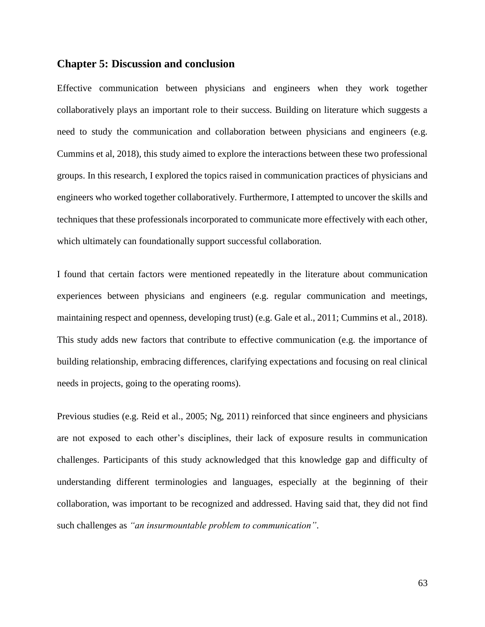### **Chapter 5: Discussion and conclusion**

Effective communication between physicians and engineers when they work together collaboratively plays an important role to their success. Building on literature which suggests a need to study the communication and collaboration between physicians and engineers (e.g. Cummins et al, 2018), this study aimed to explore the interactions between these two professional groups. In this research, I explored the topics raised in communication practices of physicians and engineers who worked together collaboratively. Furthermore, I attempted to uncover the skills and techniques that these professionals incorporated to communicate more effectively with each other, which ultimately can foundationally support successful collaboration.

I found that certain factors were mentioned repeatedly in the literature about communication experiences between physicians and engineers (e.g. regular communication and meetings, maintaining respect and openness, developing trust) (e.g. Gale et al., 2011; Cummins et al., 2018). This study adds new factors that contribute to effective communication (e.g. the importance of building relationship, embracing differences, clarifying expectations and focusing on real clinical needs in projects, going to the operating rooms).

Previous studies (e.g. Reid et al., 2005; Ng, 2011) reinforced that since engineers and physicians are not exposed to each other's disciplines, their lack of exposure results in communication challenges. Participants of this study acknowledged that this knowledge gap and difficulty of understanding different terminologies and languages, especially at the beginning of their collaboration, was important to be recognized and addressed. Having said that, they did not find such challenges as *"an insurmountable problem to communication"*.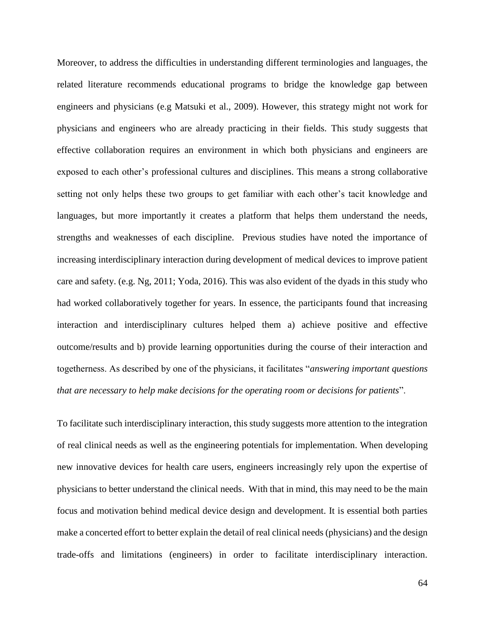Moreover, to address the difficulties in understanding different terminologies and languages, the related literature recommends educational programs to bridge the knowledge gap between engineers and physicians (e.g Matsuki et al., 2009). However, this strategy might not work for physicians and engineers who are already practicing in their fields. This study suggests that effective collaboration requires an environment in which both physicians and engineers are exposed to each other's professional cultures and disciplines. This means a strong collaborative setting not only helps these two groups to get familiar with each other's tacit knowledge and languages, but more importantly it creates a platform that helps them understand the needs, strengths and weaknesses of each discipline. Previous studies have noted the importance of increasing interdisciplinary interaction during development of medical devices to improve patient care and safety. (e.g. Ng, 2011; Yoda, 2016). This was also evident of the dyads in this study who had worked collaboratively together for years. In essence, the participants found that increasing interaction and interdisciplinary cultures helped them a) achieve positive and effective outcome/results and b) provide learning opportunities during the course of their interaction and togetherness. As described by one of the physicians, it facilitates "*answering important questions that are necessary to help make decisions for the operating room or decisions for patients*".

To facilitate such interdisciplinary interaction, this study suggests more attention to the integration of real clinical needs as well as the engineering potentials for implementation. When developing new innovative devices for health care users, engineers increasingly rely upon the expertise of physicians to better understand the clinical needs. With that in mind, this may need to be the main focus and motivation behind medical device design and development. It is essential both parties make a concerted effort to better explain the detail of real clinical needs (physicians) and the design trade-offs and limitations (engineers) in order to facilitate interdisciplinary interaction.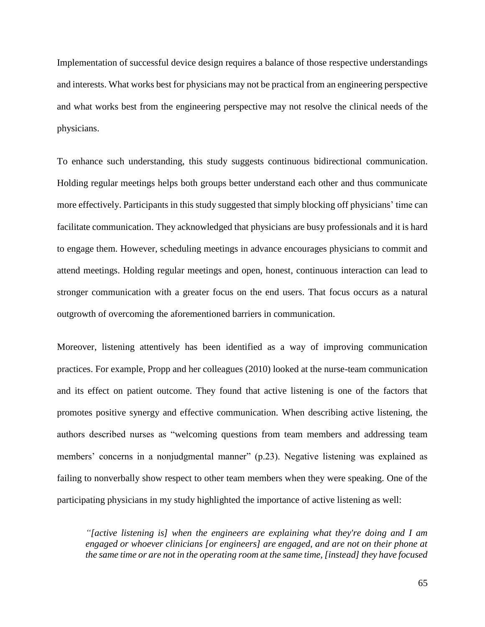Implementation of successful device design requires a balance of those respective understandings and interests. What works best for physicians may not be practical from an engineering perspective and what works best from the engineering perspective may not resolve the clinical needs of the physicians.

To enhance such understanding, this study suggests continuous bidirectional communication. Holding regular meetings helps both groups better understand each other and thus communicate more effectively. Participants in this study suggested that simply blocking off physicians' time can facilitate communication. They acknowledged that physicians are busy professionals and it is hard to engage them. However, scheduling meetings in advance encourages physicians to commit and attend meetings. Holding regular meetings and open, honest, continuous interaction can lead to stronger communication with a greater focus on the end users. That focus occurs as a natural outgrowth of overcoming the aforementioned barriers in communication.

Moreover, listening attentively has been identified as a way of improving communication practices. For example, Propp and her colleagues (2010) looked at the nurse-team communication and its effect on patient outcome. They found that active listening is one of the factors that promotes positive synergy and effective communication. When describing active listening, the authors described nurses as "welcoming questions from team members and addressing team members' concerns in a nonjudgmental manner" (p.23). Negative listening was explained as failing to nonverbally show respect to other team members when they were speaking. One of the participating physicians in my study highlighted the importance of active listening as well:

*"[active listening is] when the engineers are explaining what they're doing and I am engaged or whoever clinicians [or engineers] are engaged, and are not on their phone at the same time or are not in the operating room at the same time, [instead] they have focused*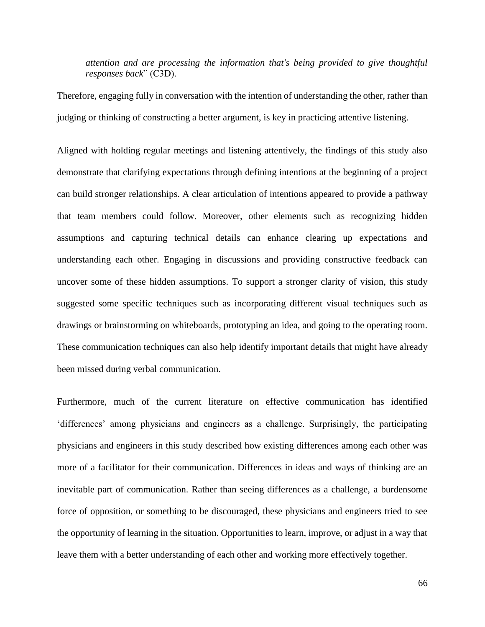*attention and are processing the information that's being provided to give thoughtful responses back*" (C3D).

Therefore, engaging fully in conversation with the intention of understanding the other, rather than judging or thinking of constructing a better argument, is key in practicing attentive listening.

Aligned with holding regular meetings and listening attentively, the findings of this study also demonstrate that clarifying expectations through defining intentions at the beginning of a project can build stronger relationships. A clear articulation of intentions appeared to provide a pathway that team members could follow. Moreover, other elements such as recognizing hidden assumptions and capturing technical details can enhance clearing up expectations and understanding each other. Engaging in discussions and providing constructive feedback can uncover some of these hidden assumptions. To support a stronger clarity of vision, this study suggested some specific techniques such as incorporating different visual techniques such as drawings or brainstorming on whiteboards, prototyping an idea, and going to the operating room. These communication techniques can also help identify important details that might have already been missed during verbal communication.

Furthermore, much of the current literature on effective communication has identified 'differences' among physicians and engineers as a challenge. Surprisingly, the participating physicians and engineers in this study described how existing differences among each other was more of a facilitator for their communication. Differences in ideas and ways of thinking are an inevitable part of communication. Rather than seeing differences as a challenge, a burdensome force of opposition, or something to be discouraged, these physicians and engineers tried to see the opportunity of learning in the situation. Opportunities to learn, improve, or adjust in a way that leave them with a better understanding of each other and working more effectively together.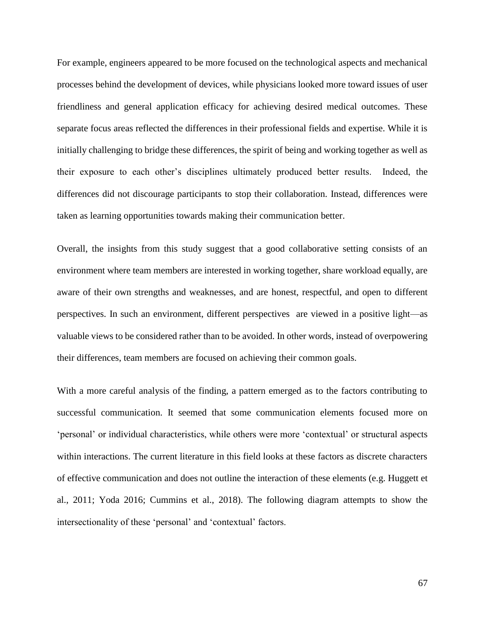For example, engineers appeared to be more focused on the technological aspects and mechanical processes behind the development of devices, while physicians looked more toward issues of user friendliness and general application efficacy for achieving desired medical outcomes. These separate focus areas reflected the differences in their professional fields and expertise. While it is initially challenging to bridge these differences, the spirit of being and working together as well as their exposure to each other's disciplines ultimately produced better results. Indeed, the differences did not discourage participants to stop their collaboration. Instead, differences were taken as learning opportunities towards making their communication better.

Overall, the insights from this study suggest that a good collaborative setting consists of an environment where team members are interested in working together, share workload equally, are aware of their own strengths and weaknesses, and are honest, respectful, and open to different perspectives. In such an environment, different perspectives are viewed in a positive light—as valuable views to be considered rather than to be avoided. In other words, instead of overpowering their differences, team members are focused on achieving their common goals.

With a more careful analysis of the finding, a pattern emerged as to the factors contributing to successful communication. It seemed that some communication elements focused more on 'personal' or individual characteristics, while others were more 'contextual' or structural aspects within interactions. The current literature in this field looks at these factors as discrete characters of effective communication and does not outline the interaction of these elements (e.g. Huggett et al., 2011; Yoda 2016; Cummins et al., 2018). The following diagram attempts to show the intersectionality of these 'personal' and 'contextual' factors.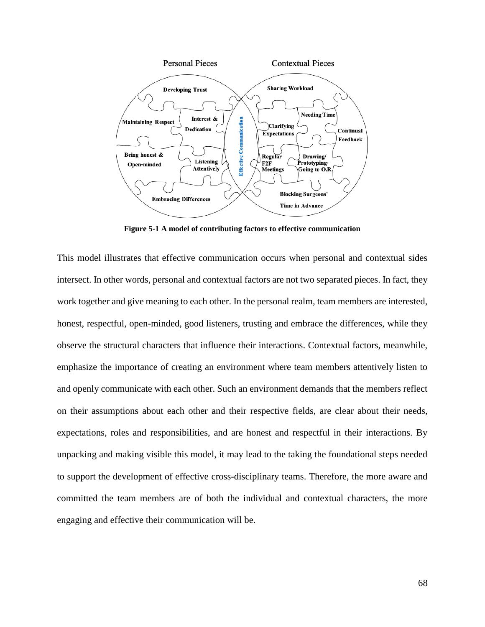

**Figure 5-1 A model of contributing factors to effective communication**

This model illustrates that effective communication occurs when personal and contextual sides intersect. In other words, personal and contextual factors are not two separated pieces. In fact, they work together and give meaning to each other. In the personal realm, team members are interested, honest, respectful, open-minded, good listeners, trusting and embrace the differences, while they observe the structural characters that influence their interactions. Contextual factors, meanwhile, emphasize the importance of creating an environment where team members attentively listen to and openly communicate with each other. Such an environment demands that the members reflect on their assumptions about each other and their respective fields, are clear about their needs, expectations, roles and responsibilities, and are honest and respectful in their interactions. By unpacking and making visible this model, it may lead to the taking the foundational steps needed to support the development of effective cross-disciplinary teams. Therefore, the more aware and committed the team members are of both the individual and contextual characters, the more engaging and effective their communication will be.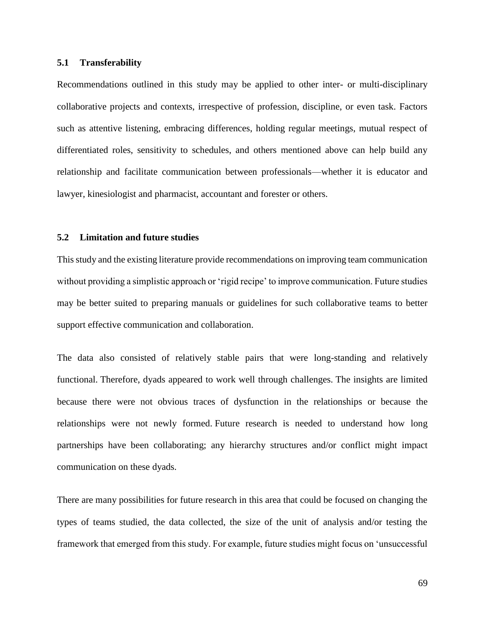### **5.1 Transferability**

Recommendations outlined in this study may be applied to other inter- or multi-disciplinary collaborative projects and contexts, irrespective of profession, discipline, or even task. Factors such as attentive listening, embracing differences, holding regular meetings, mutual respect of differentiated roles, sensitivity to schedules, and others mentioned above can help build any relationship and facilitate communication between professionals—whether it is educator and lawyer, kinesiologist and pharmacist, accountant and forester or others.

### **5.2 Limitation and future studies**

This study and the existing literature provide recommendations on improving team communication without providing a simplistic approach or 'rigid recipe' to improve communication. Future studies may be better suited to preparing manuals or guidelines for such collaborative teams to better support effective communication and collaboration.

The data also consisted of relatively stable pairs that were long-standing and relatively functional. Therefore, dyads appeared to work well through challenges. The insights are limited because there were not obvious traces of dysfunction in the relationships or because the relationships were not newly formed. Future research is needed to understand how long partnerships have been collaborating; any hierarchy structures and/or conflict might impact communication on these dyads.

There are many possibilities for future research in this area that could be focused on changing the types of teams studied, the data collected, the size of the unit of analysis and/or testing the framework that emerged from this study. For example, future studies might focus on 'unsuccessful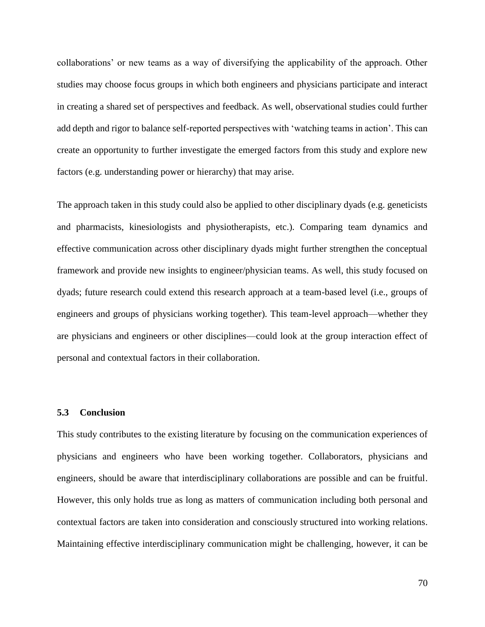collaborations' or new teams as a way of diversifying the applicability of the approach. Other studies may choose focus groups in which both engineers and physicians participate and interact in creating a shared set of perspectives and feedback. As well, observational studies could further add depth and rigor to balance self-reported perspectives with 'watching teams in action'. This can create an opportunity to further investigate the emerged factors from this study and explore new factors (e.g. understanding power or hierarchy) that may arise.

The approach taken in this study could also be applied to other disciplinary dyads (e.g. geneticists and pharmacists, kinesiologists and physiotherapists, etc.). Comparing team dynamics and effective communication across other disciplinary dyads might further strengthen the conceptual framework and provide new insights to engineer/physician teams. As well, this study focused on dyads; future research could extend this research approach at a team-based level (i.e., groups of engineers and groups of physicians working together). This team-level approach—whether they are physicians and engineers or other disciplines—could look at the group interaction effect of personal and contextual factors in their collaboration.

### **5.3 Conclusion**

This study contributes to the existing literature by focusing on the communication experiences of physicians and engineers who have been working together. Collaborators, physicians and engineers, should be aware that interdisciplinary collaborations are possible and can be fruitful. However, this only holds true as long as matters of communication including both personal and contextual factors are taken into consideration and consciously structured into working relations. Maintaining effective interdisciplinary communication might be challenging, however, it can be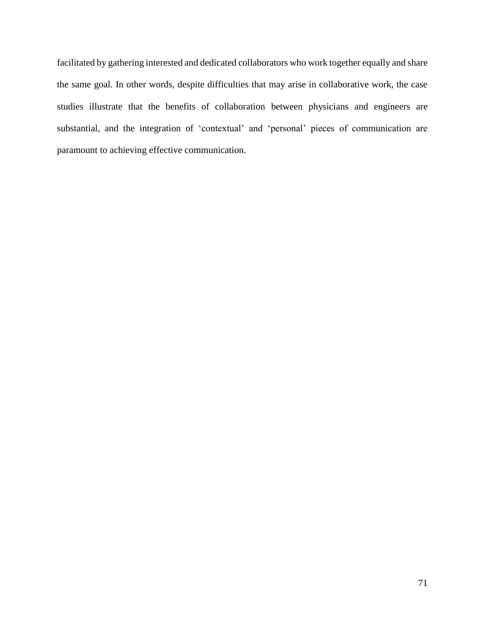facilitated by gathering interested and dedicated collaborators who work together equally and share the same goal. In other words, despite difficulties that may arise in collaborative work, the case studies illustrate that the benefits of collaboration between physicians and engineers are substantial, and the integration of 'contextual' and 'personal' pieces of communication are paramount to achieving effective communication.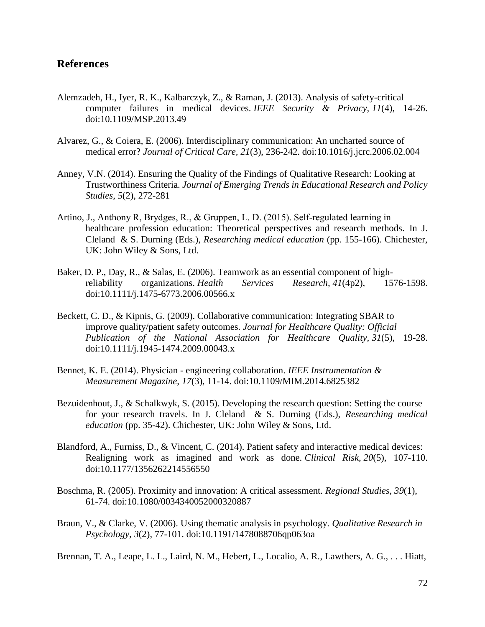## **References**

- Alemzadeh, H., Iyer, R. K., Kalbarczyk, Z., & Raman, J. (2013). Analysis of safety-critical computer failures in medical devices. *IEEE Security & Privacy, 11*(4), 14-26. doi:10.1109/MSP.2013.49
- Alvarez, G., & Coiera, E. (2006). Interdisciplinary communication: An uncharted source of medical error? *Journal of Critical Care, 21*(3), 236-242. doi:10.1016/j.jcrc.2006.02.004
- Anney, V.N. (2014). Ensuring the Quality of the Findings of Qualitative Research: Looking at Trustworthiness Criteria. *Journal of Emerging Trends in Educational Research and Policy Studies*, *5*(2), 272-281
- Artino, J., Anthony R, Brydges, R., & Gruppen, L. D. (2015). Self‐regulated learning in healthcare profession education: Theoretical perspectives and research methods. In J. Cleland & S. Durning (Eds.), *Researching medical education* (pp. 155-166). Chichester, UK: John Wiley & Sons, Ltd.
- Baker, D. P., Day, R., & Salas, E. (2006). Teamwork as an essential component of highreliability organizations. *Health Services Research, 41*(4p2), 1576-1598. doi:10.1111/j.1475-6773.2006.00566.x
- Beckett, C. D., & Kipnis, G. (2009). Collaborative communication: Integrating SBAR to improve quality/patient safety outcomes. *Journal for Healthcare Quality: Official Publication of the National Association for Healthcare Quality, 31*(5), 19-28. doi:10.1111/j.1945-1474.2009.00043.x
- Bennet, K. E. (2014). Physician engineering collaboration. *IEEE Instrumentation & Measurement Magazine, 17*(3), 11-14. doi:10.1109/MIM.2014.6825382
- Bezuidenhout, J., & Schalkwyk, S. (2015). Developing the research question: Setting the course for your research travels. In J. Cleland & S. Durning (Eds.), *Researching medical education* (pp. 35-42). Chichester, UK: John Wiley & Sons, Ltd.
- Blandford, A., Furniss, D., & Vincent, C. (2014). Patient safety and interactive medical devices: Realigning work as imagined and work as done. *Clinical Risk, 20*(5), 107-110. doi:10.1177/1356262214556550
- Boschma, R. (2005). Proximity and innovation: A critical assessment. *Regional Studies, 39*(1), 61-74. doi:10.1080/0034340052000320887
- Braun, V., & Clarke, V. (2006). Using thematic analysis in psychology. *Qualitative Research in Psychology, 3*(2), 77-101. doi:10.1191/1478088706qp063oa

Brennan, T. A., Leape, L. L., Laird, N. M., Hebert, L., Localio, A. R., Lawthers, A. G., . . . Hiatt,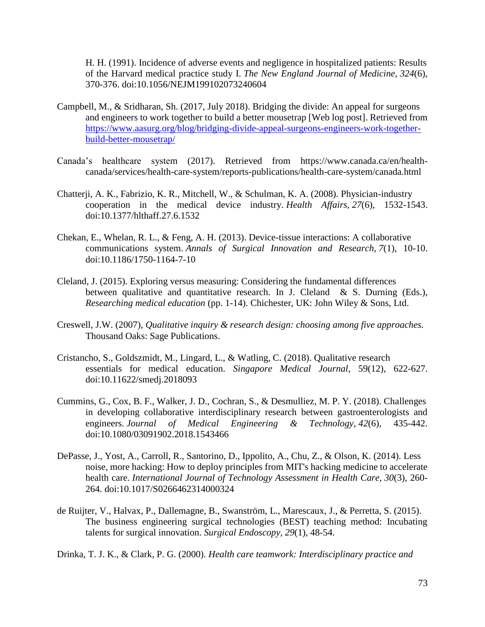H. H. (1991). Incidence of adverse events and negligence in hospitalized patients: Results of the Harvard medical practice study I. *The New England Journal of Medicine, 324*(6), 370-376. doi:10.1056/NEJM199102073240604

- Campbell, M., & Sridharan, Sh. (2017, July 2018). Bridging the divide: An appeal for surgeons and engineers to work together to build a better mousetrap [Web log post]. Retrieved from [https://www.aasurg.org/blog/bridging-divide-appeal-surgeons-engineers-work-together](https://www.aasurg.org/blog/bridging-divide-appeal-surgeons-engineers-work-together-build-better-mousetrap/)[build-better-mousetrap/](https://www.aasurg.org/blog/bridging-divide-appeal-surgeons-engineers-work-together-build-better-mousetrap/)
- Canada's healthcare system (2017). Retrieved from https://www.canada.ca/en/health canada/services/health-care-system/reports-publications/health-care-system/canada.html
- Chatterji, A. K., Fabrizio, K. R., Mitchell, W., & Schulman, K. A. (2008). Physician-industry cooperation in the medical device industry. *Health Affairs, 27*(6), 1532-1543. doi:10.1377/hlthaff.27.6.1532
- Chekan, E., Whelan, R. L., & Feng, A. H. (2013). Device-tissue interactions: A collaborative communications system. *Annals of Surgical Innovation and Research, 7*(1), 10-10. doi:10.1186/1750-1164-7-10
- Cleland, J. (2015). Exploring versus measuring: Considering the fundamental differences between qualitative and quantitative research. In J. Cleland & S. Durning (Eds.), *Researching medical education* (pp. 1-14). Chichester, UK: John Wiley & Sons, Ltd.
- Creswell, J.W. (2007), *Qualitative inquiry & research design: choosing among five approaches.*  Thousand Oaks: Sage Publications.
- Cristancho, S., Goldszmidt, M., Lingard, L., & Watling, C. (2018). Qualitative research essentials for medical education. *Singapore Medical Journal*, 59(12), 622-627. doi:10.11622/smedj.2018093
- Cummins, G., Cox, B. F., Walker, J. D., Cochran, S., & Desmulliez, M. P. Y. (2018). Challenges in developing collaborative interdisciplinary research between gastroenterologists and engineers. *Journal of Medical Engineering & Technology, 42*(6), 435-442. doi:10.1080/03091902.2018.1543466
- DePasse, J., Yost, A., Carroll, R., Santorino, D., Ippolito, A., Chu, Z., & Olson, K. (2014). Less noise, more hacking: How to deploy principles from MIT's hacking medicine to accelerate health care. *International Journal of Technology Assessment in Health Care, 30*(3), 260- 264. doi:10.1017/S0266462314000324
- de Ruijter, V., Halvax, P., Dallemagne, B., Swanström, L., Marescaux, J., & Perretta, S. (2015). The business engineering surgical technologies (BEST) teaching method: Incubating talents for surgical innovation. *Surgical Endoscopy, 29*(1), 48-54.

Drinka, T. J. K., & Clark, P. G. (2000). *Health care teamwork: Interdisciplinary practice and*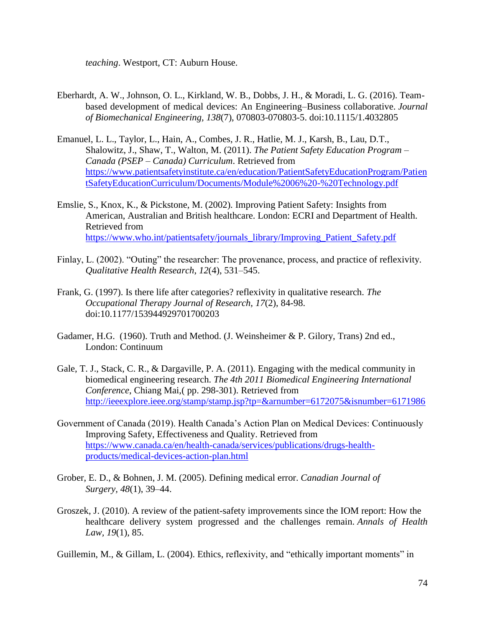*teaching*. Westport, CT: Auburn House.

- Eberhardt, A. W., Johnson, O. L., Kirkland, W. B., Dobbs, J. H., & Moradi, L. G. (2016). Teambased development of medical devices: An Engineering–Business collaborative. *Journal of Biomechanical Engineering, 138*(7), 070803-070803-5. doi:10.1115/1.4032805
- Emanuel, L. L., Taylor, L., Hain, A., Combes, J. R., Hatlie, M. J., Karsh, B., Lau, D.T., Shalowitz, J., Shaw, T., Walton, M. (2011). *The Patient Safety Education Program* – *Canada (PSEP* – *Canada) Curriculum*. Retrieved from [https://www.patientsafetyinstitute.ca/en/education/PatientSafetyEducationProgram/Patien](https://www.patientsafetyinstitute.ca/en/education/PatientSafetyEducationProgram/PatientSafetyEducationCurriculum/Documents/Module%2006%20-%20Technology.pdf) [tSafetyEducationCurriculum/Documents/Module%2006%20-%20Technology.pdf](https://www.patientsafetyinstitute.ca/en/education/PatientSafetyEducationProgram/PatientSafetyEducationCurriculum/Documents/Module%2006%20-%20Technology.pdf)
- Emslie, S., Knox, K., & Pickstone, M. (2002). Improving Patient Safety: Insights from American, Australian and British healthcare. London: ECRI and Department of Health. Retrieved from [https://www.who.int/patientsafety/journals\\_library/Improving\\_Patient\\_Safety.pdf](https://www.who.int/patientsafety/journals_library/Improving_Patient_Safety.pdf)
- Finlay, L. (2002). "Outing" the researcher: The provenance, process, and practice of reflexivity. *Qualitative Health Research*, *12*(4), 531–545.
- Frank, G. (1997). Is there life after categories? reflexivity in qualitative research. *The Occupational Therapy Journal of Research, 17*(2), 84-98. doi:10.1177/153944929701700203
- Gadamer, H.G. (1960). Truth and Method. (J. Weinsheimer & P. Gilory, Trans) 2nd ed., London: Continuum
- Gale, T. J., Stack, C. R., & Dargaville, P. A. (2011). Engaging with the medical community in biomedical engineering research. *The 4th 2011 Biomedical Engineering International Conference*, Chiang Mai,( pp. 298-301). Retrieved from <http://ieeexplore.ieee.org/stamp/stamp.jsp?tp=&arnumber=6172075&isnumber=6171986>
- Government of Canada (2019). Health Canada's Action Plan on Medical Devices: Continuously Improving Safety, Effectiveness and Quality. Retrieved from [https://www.canada.ca/en/health-canada/services/publications/drugs-health](https://www.canada.ca/en/health-canada/services/publications/drugs-health-products/medical-devices-action-plan.html)[products/medical-devices-action-plan.html](https://www.canada.ca/en/health-canada/services/publications/drugs-health-products/medical-devices-action-plan.html)
- Grober, E. D., & Bohnen, J. M. (2005). Defining medical error. *Canadian Journal of Surgery, 48*(1), 39–44.
- Groszek, J. (2010). A review of the patient-safety improvements since the IOM report: How the healthcare delivery system progressed and the challenges remain. *Annals of Health Law, 19*(1), 85.

Guillemin, M., & Gillam, L. (2004). Ethics, reflexivity, and "ethically important moments" in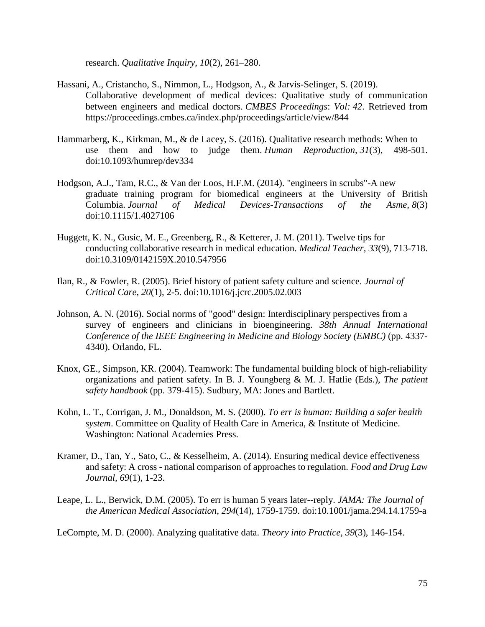research. *Qualitative Inquiry*, *10*(2), 261–280.

- Hassani, A., Cristancho, S., Nimmon, L., Hodgson, A., & Jarvis-Selinger, S. (2019). Collaborative development of medical devices: Qualitative study of communication between engineers and medical doctors. *CMBES Proceedings*: *Vol: 42*. Retrieved from https://proceedings.cmbes.ca/index.php/proceedings/article/view/844
- Hammarberg, K., Kirkman, M., & de Lacey, S. (2016). Qualitative research methods: When to use them and how to judge them. *Human Reproduction, 31*(3), 498-501. doi:10.1093/humrep/dev334
- Hodgson, A.J., Tam, R.C., & Van der Loos, H.F.M. (2014). "engineers in scrubs"-A new graduate training program for biomedical engineers at the University of British Columbia. *Journal of Medical Devices-Transactions of the Asme, 8*(3) doi:10.1115/1.4027106
- Huggett, K. N., Gusic, M. E., Greenberg, R., & Ketterer, J. M. (2011). Twelve tips for conducting collaborative research in medical education. *Medical Teacher, 33*(9), 713-718. doi:10.3109/0142159X.2010.547956
- Ilan, R., & Fowler, R. (2005). Brief history of patient safety culture and science. *Journal of Critical Care, 20*(1), 2-5. doi:10.1016/j.jcrc.2005.02.003
- Johnson, A. N. (2016). Social norms of "good" design: Interdisciplinary perspectives from a survey of engineers and clinicians in bioengineering. *38th Annual International Conference of the IEEE Engineering in Medicine and Biology Society (EMBC)* (pp. 4337- 4340). Orlando, FL.
- Knox, GE., Simpson, KR. (2004). Teamwork: The fundamental building block of high-reliability organizations and patient safety. In B. J. Youngberg & M. J. Hatlie (Eds.), *The patient safety handbook* (pp. 379-415). Sudbury, MA: Jones and Bartlett.
- Kohn, L. T., Corrigan, J. M., Donaldson, M. S. (2000). *To err is human: Building a safer health system*. Committee on Quality of Health Care in America, & Institute of Medicine. Washington: National Academies Press.
- Kramer, D., Tan, Y., Sato, C., & Kesselheim, A. (2014). Ensuring medical device effectiveness and safety: A cross - national comparison of approaches to regulation. *Food and Drug Law Journal, 69*(1), 1-23.
- Leape, L. L., Berwick, D.M. (2005). To err is human 5 years later--reply. *JAMA: The Journal of the American Medical Association, 294*(14), 1759-1759. doi:10.1001/jama.294.14.1759-a

LeCompte, M. D. (2000). Analyzing qualitative data. *Theory into Practice, 39*(3), 146-154.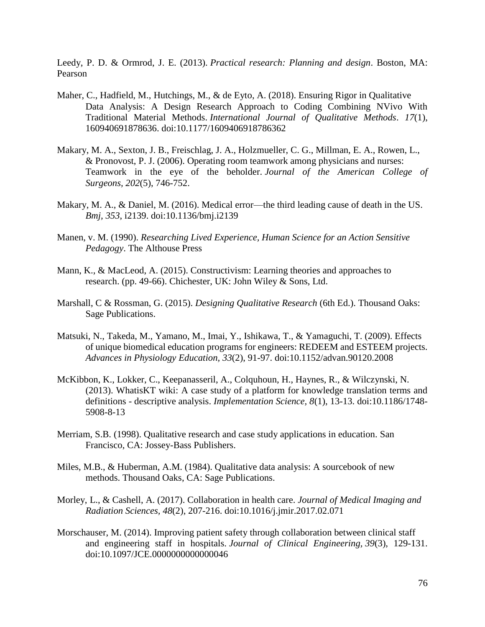Leedy, P. D. & Ormrod, J. E. (2013). *Practical research: Planning and design*. Boston, MA: Pearson

- Maher, C., Hadfield, M., Hutchings, M., & de Eyto, A. (2018). Ensuring Rigor in Qualitative Data Analysis: A Design Research Approach to Coding Combining NVivo With Traditional Material Methods. *International Journal of Qualitative Methods*. *17*(1), 160940691878636. doi:10.1177/1609406918786362
- Makary, M. A., Sexton, J. B., Freischlag, J. A., Holzmueller, C. G., Millman, E. A., Rowen, L., & Pronovost, P. J. (2006). Operating room teamwork among physicians and nurses: Teamwork in the eye of the beholder. *Journal of the American College of Surgeons, 202*(5), 746-752.
- Makary, M. A., & Daniel, M. (2016). Medical error—the third leading cause of death in the US. *Bmj, 353*, i2139. doi:10.1136/bmj.i2139
- Manen, v. M. (1990). *Researching Lived Experience, Human Science for an Action Sensitive Pedagogy*. The Althouse Press
- Mann, K., & MacLeod, A. (2015). Constructivism: Learning theories and approaches to research. (pp. 49-66). Chichester, UK: John Wiley & Sons, Ltd.
- Marshall, C & Rossman, G. (2015). *Designing Qualitative Research* (6th Ed.). Thousand Oaks: Sage Publications.
- Matsuki, N., Takeda, M., Yamano, M., Imai, Y., Ishikawa, T., & Yamaguchi, T. (2009). Effects of unique biomedical education programs for engineers: REDEEM and ESTEEM projects. *Advances in Physiology Education, 33*(2), 91-97. doi:10.1152/advan.90120.2008
- McKibbon, K., Lokker, C., Keepanasseril, A., Colquhoun, H., Haynes, R., & Wilczynski, N. (2013). WhatisKT wiki: A case study of a platform for knowledge translation terms and definitions - descriptive analysis. *Implementation Science, 8*(1), 13-13. doi:10.1186/1748- 5908-8-13
- Merriam, S.B. (1998). Qualitative research and case study applications in education. San Francisco, CA: Jossey-Bass Publishers.
- Miles, M.B., & Huberman, A.M. (1984). Qualitative data analysis: A sourcebook of new methods. Thousand Oaks, CA: Sage Publications.
- Morley, L., & Cashell, A. (2017). Collaboration in health care. *Journal of Medical Imaging and Radiation Sciences, 48*(2), 207-216. doi:10.1016/j.jmir.2017.02.071
- Morschauser, M. (2014). Improving patient safety through collaboration between clinical staff and engineering staff in hospitals. *Journal of Clinical Engineering, 39*(3), 129-131. doi:10.1097/JCE.0000000000000046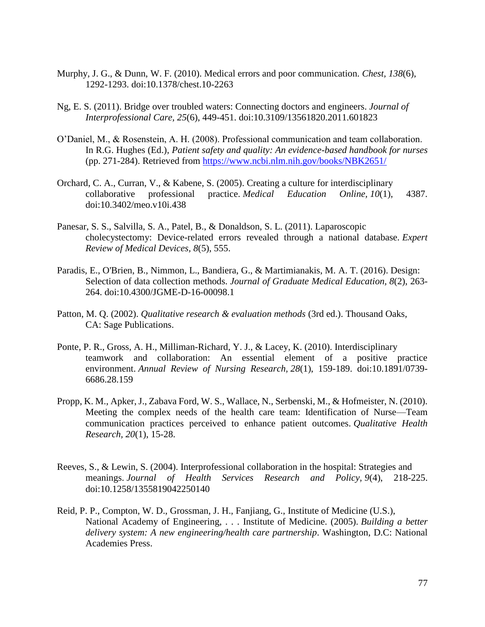- Murphy, J. G., & Dunn, W. F. (2010). Medical errors and poor communication. *Chest, 138*(6), 1292-1293. doi:10.1378/chest.10-2263
- Ng, E. S. (2011). Bridge over troubled waters: Connecting doctors and engineers. *Journal of Interprofessional Care, 25*(6), 449-451. doi:10.3109/13561820.2011.601823
- O'Daniel, M., & Rosenstein, A. H. (2008). Professional communication and team collaboration. In R.G. Hughes (Ed.), *Patient safety and quality: An evidence-based handbook for nurses* (pp. 271-284). Retrieved from<https://www.ncbi.nlm.nih.gov/books/NBK2651/>
- Orchard, C. A., Curran, V., & Kabene, S. (2005). Creating a culture for interdisciplinary collaborative professional practice. *Medical Education Online, 10*(1), 4387. doi:10.3402/meo.v10i.438
- Panesar, S. S., Salvilla, S. A., Patel, B., & Donaldson, S. L. (2011). Laparoscopic cholecystectomy: Device-related errors revealed through a national database. *Expert Review of Medical Devices, 8*(5), 555.
- Paradis, E., O'Brien, B., Nimmon, L., Bandiera, G., & Martimianakis, M. A. T. (2016). Design: Selection of data collection methods. *Journal of Graduate Medical Education, 8*(2), 263- 264. doi:10.4300/JGME-D-16-00098.1
- Patton, M. Q. (2002). *Qualitative research & evaluation methods* (3rd ed.). Thousand Oaks, CA: Sage Publications.
- Ponte, P. R., Gross, A. H., Milliman-Richard, Y. J., & Lacey, K. (2010). Interdisciplinary teamwork and collaboration: An essential element of a positive practice environment. *Annual Review of Nursing Research, 28*(1), 159-189. doi:10.1891/0739- 6686.28.159
- Propp, K. M., Apker, J., Zabava Ford, W. S., Wallace, N., Serbenski, M., & Hofmeister, N. (2010). Meeting the complex needs of the health care team: Identification of Nurse—Team communication practices perceived to enhance patient outcomes. *Qualitative Health Research, 20*(1), 15-28.
- Reeves, S., & Lewin, S. (2004). Interprofessional collaboration in the hospital: Strategies and meanings. *Journal of Health Services Research and Policy, 9*(4), 218-225. doi:10.1258/1355819042250140
- Reid, P. P., Compton, W. D., Grossman, J. H., Fanjiang, G., Institute of Medicine (U.S.), National Academy of Engineering, . . . Institute of Medicine. (2005). *Building a better delivery system: A new engineering/health care partnership*. Washington, D.C: National Academies Press.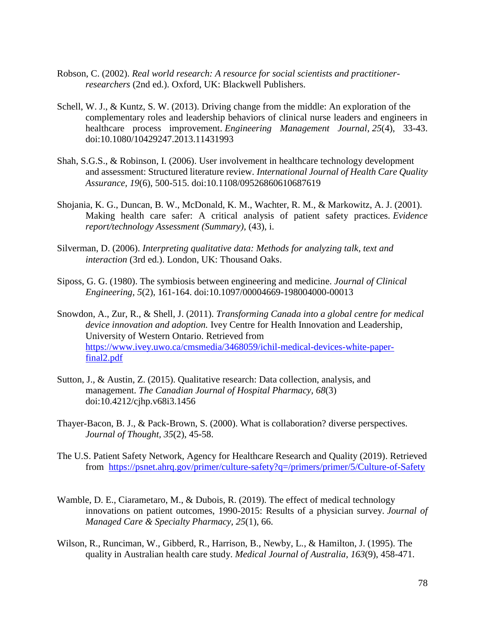- Robson, C. (2002). *Real world research: A resource for social scientists and practitionerresearchers* (2nd ed.). Oxford, UK: Blackwell Publishers.
- Schell, W. J., & Kuntz, S. W. (2013). Driving change from the middle: An exploration of the complementary roles and leadership behaviors of clinical nurse leaders and engineers in healthcare process improvement. *Engineering Management Journal, 25*(4), 33-43. doi:10.1080/10429247.2013.11431993
- Shah, S.G.S., & Robinson, I. (2006). User involvement in healthcare technology development and assessment: Structured literature review. *International Journal of Health Care Quality Assurance, 19*(6), 500-515. doi:10.1108/09526860610687619
- Shojania, K. G., Duncan, B. W., McDonald, K. M., Wachter, R. M., & Markowitz, A. J. (2001). Making health care safer: A critical analysis of patient safety practices. *Evidence report/technology Assessment (Summary),* (43), i.
- Silverman, D. (2006). *Interpreting qualitative data: Methods for analyzing talk, text and interaction* (3rd ed.). London, UK: Thousand Oaks.
- Siposs, G. G. (1980). The symbiosis between engineering and medicine. *Journal of Clinical Engineering, 5*(2), 161-164. doi:10.1097/00004669-198004000-00013
- Snowdon, A., Zur, R., & Shell, J. (2011). *Transforming Canada into a global centre for medical device innovation and adoption.* Ivey Centre for Health Innovation and Leadership, University of Western Ontario. Retrieved from [https://www.ivey.uwo.ca/cmsmedia/3468059/ichil-medical-devices-white-paper](https://www.ivey.uwo.ca/cmsmedia/3468059/ichil-medical-devices-white-paper-final2.pdf)[final2.pdf](https://www.ivey.uwo.ca/cmsmedia/3468059/ichil-medical-devices-white-paper-final2.pdf)
- Sutton, J., & Austin, Z. (2015). Qualitative research: Data collection, analysis, and management. *The Canadian Journal of Hospital Pharmacy, 68*(3) doi:10.4212/cjhp.v68i3.1456
- Thayer-Bacon, B. J., & Pack-Brown, S. (2000). What is collaboration? diverse perspectives. *Journal of Thought, 35*(2), 45-58.
- The U.S. Patient Safety Network, Agency for Healthcare Research and Quality (2019). Retrieved from <https://psnet.ahrq.gov/primer/culture-safety?q=/primers/primer/5/Culture-of-Safety>
- Wamble, D. E., Ciarametaro, M., & Dubois, R. (2019). The effect of medical technology innovations on patient outcomes, 1990-2015: Results of a physician survey. *Journal of Managed Care & Specialty Pharmacy, 25*(1), 66.
- Wilson, R., Runciman, W., Gibberd, R., Harrison, B., Newby, L., & Hamilton, J. (1995). The quality in Australian health care study. *Medical Journal of Australia, 163*(9), 458-471.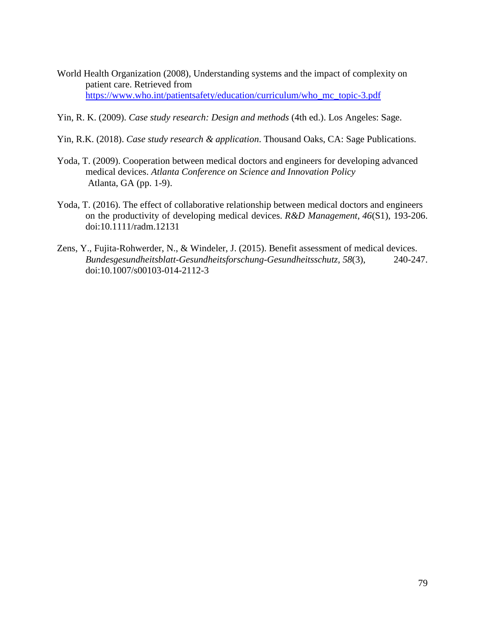- World Health Organization (2008), Understanding systems and the impact of complexity on patient care. Retrieved from [https://www.who.int/patientsafety/education/curriculum/who\\_mc\\_topic-3.pdf](https://www.who.int/patientsafety/education/curriculum/who_mc_topic-3.pdf)
- Yin, R. K. (2009). *Case study research: Design and methods* (4th ed.). Los Angeles: Sage.
- Yin, R.K. (2018). *Case study research & application*. Thousand Oaks, CA: Sage Publications.
- Yoda, T. (2009). Cooperation between medical doctors and engineers for developing advanced medical devices. *Atlanta Conference on Science and Innovation Policy* Atlanta, GA (pp. 1-9).
- Yoda, T. (2016). The effect of collaborative relationship between medical doctors and engineers on the productivity of developing medical devices. *R&D Management, 46*(S1), 193-206. doi:10.1111/radm.12131
- Zens, Y., Fujita-Rohwerder, N., & Windeler, J. (2015). Benefit assessment of medical devices. *Bundesgesundheitsblatt-Gesundheitsforschung-Gesundheitsschutz, 58*(3), 240-247. doi:10.1007/s00103-014-2112-3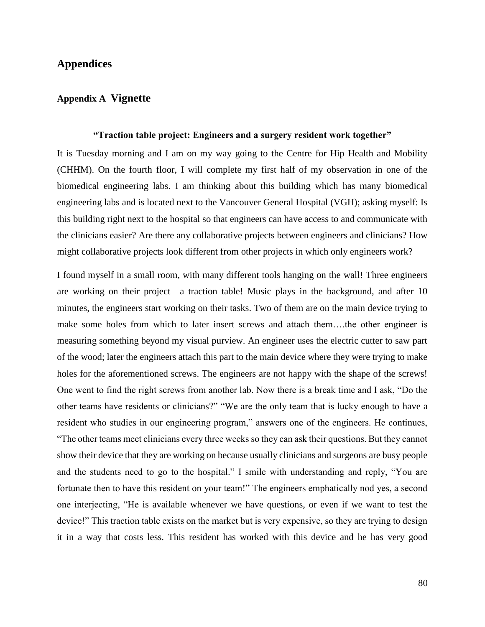## **Appendices**

### **Appendix A Vignette**

### **"Traction table project: Engineers and a surgery resident work together"**

It is Tuesday morning and I am on my way going to the Centre for Hip Health and Mobility (CHHM). On the fourth floor, I will complete my first half of my observation in one of the biomedical engineering labs. I am thinking about this building which has many biomedical engineering labs and is located next to the Vancouver General Hospital (VGH); asking myself: Is this building right next to the hospital so that engineers can have access to and communicate with the clinicians easier? Are there any collaborative projects between engineers and clinicians? How might collaborative projects look different from other projects in which only engineers work?

I found myself in a small room, with many different tools hanging on the wall! Three engineers are working on their project—a traction table! Music plays in the background, and after 10 minutes, the engineers start working on their tasks. Two of them are on the main device trying to make some holes from which to later insert screws and attach them….the other engineer is measuring something beyond my visual purview. An engineer uses the electric cutter to saw part of the wood; later the engineers attach this part to the main device where they were trying to make holes for the aforementioned screws. The engineers are not happy with the shape of the screws! One went to find the right screws from another lab. Now there is a break time and I ask, "Do the other teams have residents or clinicians?" "We are the only team that is lucky enough to have a resident who studies in our engineering program," answers one of the engineers. He continues, "The other teams meet clinicians every three weeks so they can ask their questions. But they cannot show their device that they are working on because usually clinicians and surgeons are busy people and the students need to go to the hospital." I smile with understanding and reply, "You are fortunate then to have this resident on your team!" The engineers emphatically nod yes, a second one interjecting, "He is available whenever we have questions, or even if we want to test the device!" This traction table exists on the market but is very expensive, so they are trying to design it in a way that costs less. This resident has worked with this device and he has very good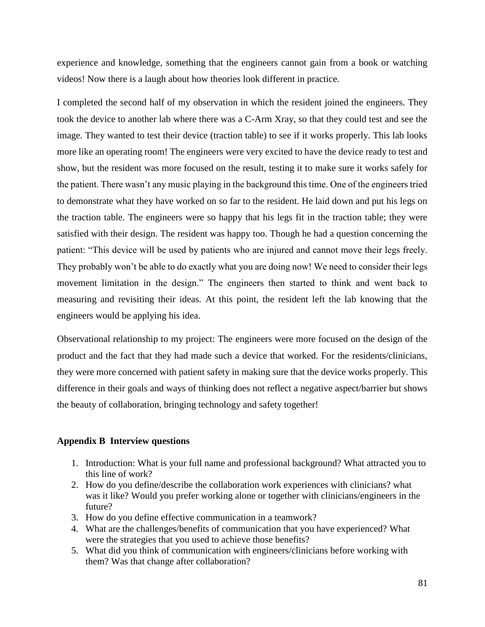experience and knowledge, something that the engineers cannot gain from a book or watching videos! Now there is a laugh about how theories look different in practice.

I completed the second half of my observation in which the resident joined the engineers. They took the device to another lab where there was a C-Arm Xray, so that they could test and see the image. They wanted to test their device (traction table) to see if it works properly. This lab looks more like an operating room! The engineers were very excited to have the device ready to test and show, but the resident was more focused on the result, testing it to make sure it works safely for the patient. There wasn't any music playing in the background this time. One of the engineers tried to demonstrate what they have worked on so far to the resident. He laid down and put his legs on the traction table. The engineers were so happy that his legs fit in the traction table; they were satisfied with their design. The resident was happy too. Though he had a question concerning the patient: "This device will be used by patients who are injured and cannot move their legs freely. They probably won't be able to do exactly what you are doing now! We need to consider their legs movement limitation in the design." The engineers then started to think and went back to measuring and revisiting their ideas. At this point, the resident left the lab knowing that the engineers would be applying his idea.

Observational relationship to my project: The engineers were more focused on the design of the product and the fact that they had made such a device that worked. For the residents/clinicians, they were more concerned with patient safety in making sure that the device works properly. This difference in their goals and ways of thinking does not reflect a negative aspect/barrier but shows the beauty of collaboration, bringing technology and safety together!

### **Appendix B Interview questions**

- 1. Introduction: What is your full name and professional background? What attracted you to this line of work?
- 2. How do you define/describe the collaboration work experiences with clinicians? what was it like? Would you prefer working alone or together with clinicians/engineers in the future?
- 3. How do you define effective communication in a teamwork?
- 4. What are the challenges/benefits of communication that you have experienced? What were the strategies that you used to achieve those benefits?
- 5. What did you think of communication with engineers/clinicians before working with them? Was that change after collaboration?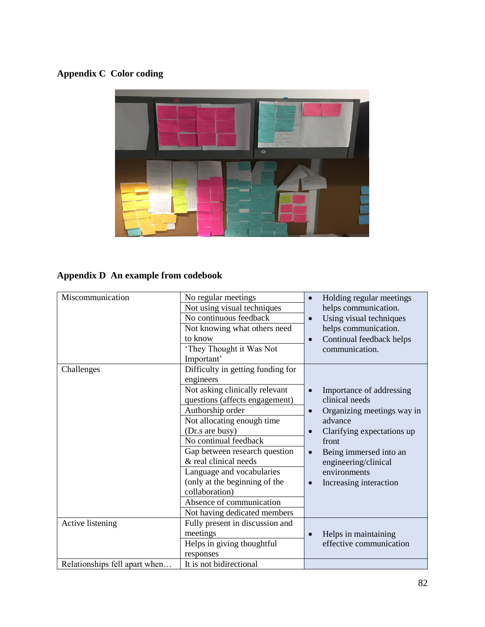# **Appendix C Color coding**



# **Appendix D An example from codebook**

| Miscommunication              | No regular meetings               | Holding regular meetings<br>$\bullet$   |
|-------------------------------|-----------------------------------|-----------------------------------------|
|                               | Not using visual techniques       | helps communication.                    |
|                               | No continuous feedback            | Using visual techniques<br>$\bullet$    |
|                               | Not knowing what others need      | helps communication.                    |
|                               | to know                           | Continual feedback helps<br>$\bullet$   |
|                               | 'They Thought it Was Not          | communication.                          |
|                               | Important'                        |                                         |
| Challenges                    | Difficulty in getting funding for |                                         |
|                               | engineers                         |                                         |
|                               | Not asking clinically relevant    | Importance of addressing                |
|                               | questions (affects engagement)    | clinical needs                          |
|                               | Authorship order                  | Organizing meetings way in<br>$\bullet$ |
|                               | Not allocating enough time        | advance                                 |
|                               | (Dr.s are busy)                   | Clarifying expectations up<br>$\bullet$ |
|                               | No continual feedback             | front                                   |
|                               | Gap between research question     | Being immersed into an<br>$\bullet$     |
|                               | & real clinical needs             | engineering/clinical                    |
|                               | Language and vocabularies         | environments                            |
|                               | (only at the beginning of the     | Increasing interaction                  |
|                               | collaboration)                    |                                         |
|                               | Absence of communication          |                                         |
|                               | Not having dedicated members      |                                         |
| Active listening              | Fully present in discussion and   |                                         |
|                               | meetings                          | Helps in maintaining<br>$\bullet$       |
|                               | Helps in giving thoughtful        | effective communication                 |
|                               | responses                         |                                         |
| Relationships fell apart when | It is not bidirectional           |                                         |